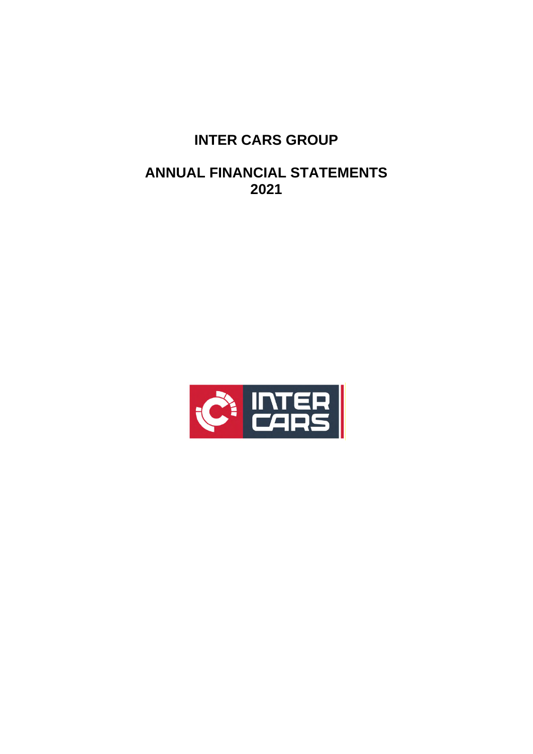# **INTER CARS GROUP**

# **ANNUAL FINANCIAL STATEMENTS 2021**

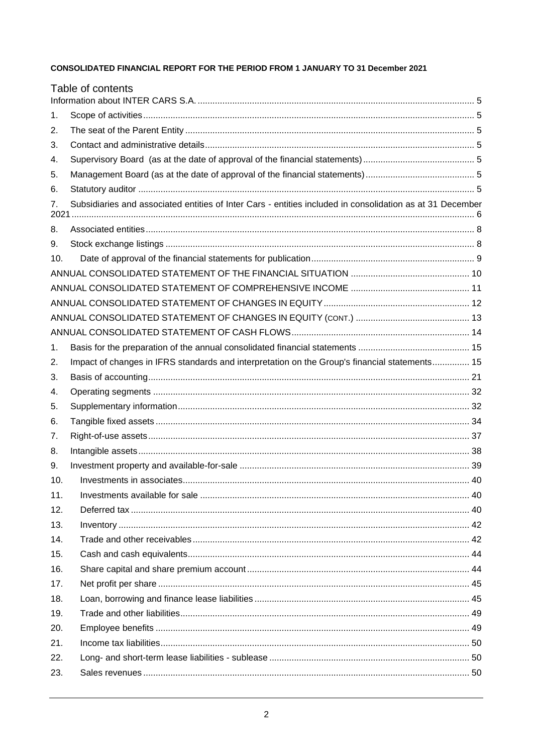# CONSOLIDATED FINANCIAL REPORT FOR THE PERIOD FROM 1 JANUARY TO 31 December 2021

|     | Table of contents                                                                                         |  |
|-----|-----------------------------------------------------------------------------------------------------------|--|
|     |                                                                                                           |  |
| 1.  |                                                                                                           |  |
| 2.  |                                                                                                           |  |
| 3.  |                                                                                                           |  |
| 4.  |                                                                                                           |  |
| 5.  |                                                                                                           |  |
| 6.  |                                                                                                           |  |
| 7.  | Subsidiaries and associated entities of Inter Cars - entities included in consolidation as at 31 December |  |
| 8.  |                                                                                                           |  |
| 9.  |                                                                                                           |  |
| 10. |                                                                                                           |  |
|     |                                                                                                           |  |
|     |                                                                                                           |  |
|     |                                                                                                           |  |
|     |                                                                                                           |  |
|     |                                                                                                           |  |
| 1.  |                                                                                                           |  |
| 2.  | Impact of changes in IFRS standards and interpretation on the Group's financial statements 15             |  |
| 3.  |                                                                                                           |  |
| 4.  |                                                                                                           |  |
| 5.  |                                                                                                           |  |
| 6.  |                                                                                                           |  |
| 7.  |                                                                                                           |  |
| 8.  |                                                                                                           |  |
| 9.  |                                                                                                           |  |
| 10. |                                                                                                           |  |
| 11. |                                                                                                           |  |
| 12. |                                                                                                           |  |
| 13. |                                                                                                           |  |
| 14. |                                                                                                           |  |
| 15. |                                                                                                           |  |
| 16. |                                                                                                           |  |
| 17. |                                                                                                           |  |
| 18. |                                                                                                           |  |
| 19. |                                                                                                           |  |
| 20. |                                                                                                           |  |
| 21. |                                                                                                           |  |
| 22. |                                                                                                           |  |
| 23. |                                                                                                           |  |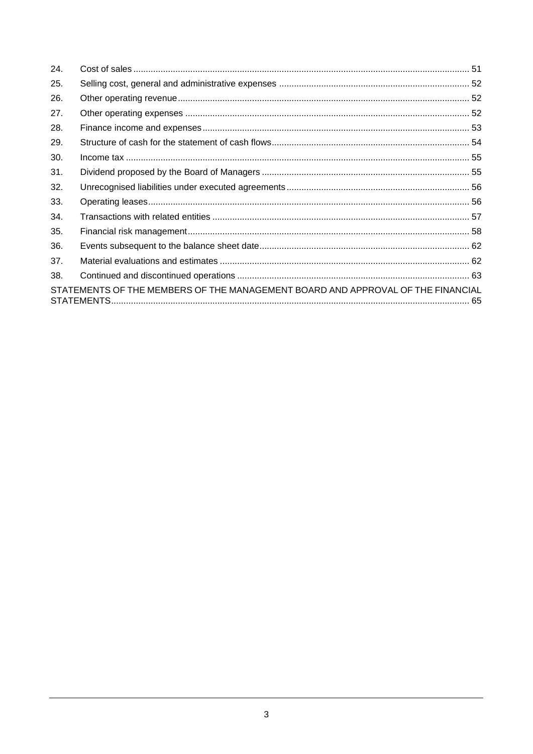| 24. |                                                                                 |  |
|-----|---------------------------------------------------------------------------------|--|
| 25. |                                                                                 |  |
| 26. |                                                                                 |  |
| 27. |                                                                                 |  |
| 28. |                                                                                 |  |
| 29. |                                                                                 |  |
| 30. |                                                                                 |  |
| 31. |                                                                                 |  |
| 32. |                                                                                 |  |
| 33. |                                                                                 |  |
| 34. |                                                                                 |  |
| 35. |                                                                                 |  |
| 36. |                                                                                 |  |
| 37. |                                                                                 |  |
| 38. |                                                                                 |  |
|     | STATEMENTS OF THE MEMBERS OF THE MANAGEMENT BOARD AND APPROVAL OF THE FINANCIAL |  |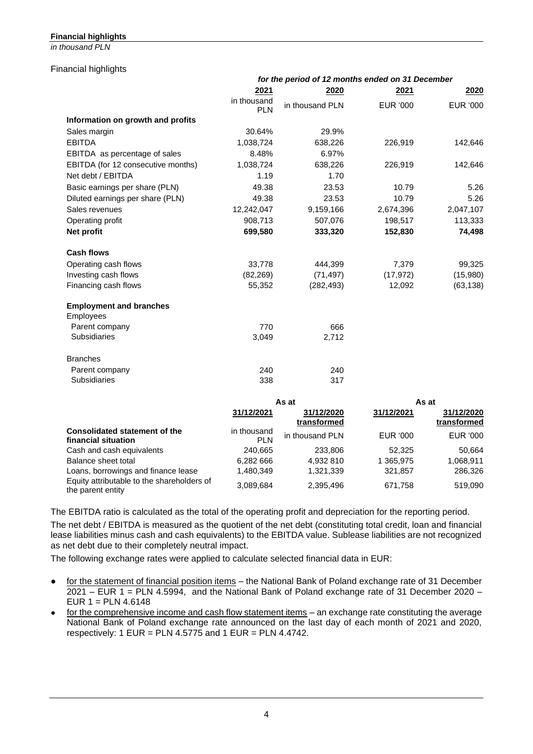# **Financial highlights**

*in thousand PLN*

#### Financial highlights

|                                    |                           | for the period of 12 months ended on 31 December |                 |                 |
|------------------------------------|---------------------------|--------------------------------------------------|-----------------|-----------------|
|                                    | 2021                      | 2020                                             | 2021            | <b>2020</b>     |
|                                    | in thousand<br><b>PLN</b> | in thousand PLN                                  | <b>EUR '000</b> | <b>EUR '000</b> |
| Information on growth and profits  |                           |                                                  |                 |                 |
| Sales margin                       | 30.64%                    | 29.9%                                            |                 |                 |
| <b>EBITDA</b>                      | 1,038,724                 | 638,226                                          | 226,919         | 142,646         |
| EBITDA as percentage of sales      | 8.48%                     | 6.97%                                            |                 |                 |
| EBITDA (for 12 consecutive months) | 1,038,724                 | 638,226                                          | 226,919         | 142,646         |
| Net debt / EBITDA                  | 1.19                      | 1.70                                             |                 |                 |
| Basic earnings per share (PLN)     | 49.38                     | 23.53                                            | 10.79           | 5.26            |
| Diluted earnings per share (PLN)   | 49.38                     | 23.53                                            | 10.79           | 5.26            |
| Sales revenues                     | 12,242,047                | 9,159,166                                        | 2,674,396       | 2,047,107       |
| Operating profit                   | 908,713                   | 507,076                                          | 198,517         | 113,333         |
| Net profit                         | 699,580                   | 333,320                                          | 152,830         | 74,498          |
| <b>Cash flows</b>                  |                           |                                                  |                 |                 |
| Operating cash flows               | 33,778                    | 444,399                                          | 7,379           | 99,325          |
| Investing cash flows               | (82, 269)                 | (71, 497)                                        | (17, 972)       | (15,980)        |
| Financing cash flows               | 55,352                    | (282, 493)                                       | 12,092          | (63, 138)       |
| <b>Employment and branches</b>     |                           |                                                  |                 |                 |
| Employees                          |                           |                                                  |                 |                 |
| Parent company                     | 770                       | 666                                              |                 |                 |
| <b>Subsidiaries</b>                | 3,049                     | 2,712                                            |                 |                 |
| <b>Branches</b>                    |                           |                                                  |                 |                 |
| Parent company                     | 240                       | 240                                              |                 |                 |
| <b>Subsidiaries</b>                | 338                       | 317                                              |                 |                 |
|                                    |                           | As at                                            | As at           |                 |

|                                                                 |                           | AS dl                     |            | AS dl                     |
|-----------------------------------------------------------------|---------------------------|---------------------------|------------|---------------------------|
|                                                                 | 31/12/2021                | 31/12/2020<br>transformed | 31/12/2021 | 31/12/2020<br>transformed |
| <b>Consolidated statement of the</b><br>financial situation     | in thousand<br><b>PLN</b> | in thousand PLN           | EUR '000   | EUR '000                  |
| Cash and cash equivalents                                       | 240,665                   | 233,806                   | 52.325     | 50.664                    |
| Balance sheet total                                             | 6.282 666                 | 4.932 810                 | 1 365.975  | 1,068,911                 |
| Loans, borrowings and finance lease                             | 1.480.349                 | 1,321,339                 | 321,857    | 286,326                   |
| Equity attributable to the shareholders of<br>the parent entity | 3,089,684                 | 2,395,496                 | 671,758    | 519,090                   |

The EBITDA ratio is calculated as the total of the operating profit and depreciation for the reporting period.

The net debt / EBITDA is measured as the quotient of the net debt (constituting total credit, loan and financial lease liabilities minus cash and cash equivalents) to the EBITDA value. Sublease liabilities are not recognized as net debt due to their completely neutral impact.

The following exchange rates were applied to calculate selected financial data in EUR:

- for the statement of financial position items the National Bank of Poland exchange rate of 31 December 2021 – EUR 1 = PLN 4.5994, and the National Bank of Poland exchange rate of 31 December 2020 – EUR  $1 =$  PLN 4.6148
- for the comprehensive income and cash flow statement items an exchange rate constituting the average National Bank of Poland exchange rate announced on the last day of each month of 2021 and 2020, respectively: 1 EUR = PLN  $4.5775$  and 1 EUR = PLN  $4.4742$ .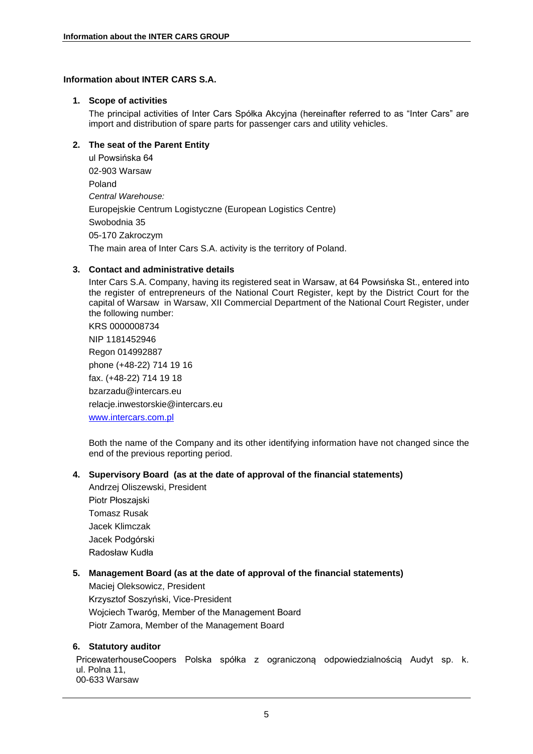# <span id="page-4-1"></span><span id="page-4-0"></span>**Information about INTER CARS S.A.**

#### **1. Scope of activities**

The principal activities of Inter Cars Spółka Akcyjna (hereinafter referred to as "Inter Cars" are import and distribution of spare parts for passenger cars and utility vehicles.

# <span id="page-4-2"></span>**2. The seat of the Parent Entity**

ul Powsińska 64 02-903 Warsaw Poland *Central Warehouse:* Europejskie Centrum Logistyczne (European Logistics Centre) Swobodnia 35 05-170 Zakroczym The main area of Inter Cars S.A. activity is the territory of Poland.

# <span id="page-4-3"></span>**3. Contact and administrative details**

Inter Cars S.A. Company, having its registered seat in Warsaw, at 64 Powsińska St., entered into the register of entrepreneurs of the National Court Register, kept by the District Court for the capital of Warsaw in Warsaw, XII Commercial Department of the National Court Register, under the following number: KRS 0000008734 NIP 1181452946

Regon 014992887 phone (+48-22) 714 19 16 fax. (+48-22) 714 19 18 bzarzadu@intercars.eu relacje.inwestorskie@intercars.eu [www.intercars.com.pl](http://www.intercars.com.pl/)

Both the name of the Company and its other identifying information have not changed since the end of the previous reporting period.

# <span id="page-4-4"></span>**4. Supervisory Board (as at the date of approval of the financial statements)**

Andrzej Oliszewski, President Piotr Płoszajski Tomasz Rusak Jacek Klimczak Jacek Podgórski Radosław Kudła

# <span id="page-4-5"></span>**5. Management Board (as at the date of approval of the financial statements)**

Maciej Oleksowicz, President Krzysztof Soszyński, Vice-President Wojciech Twaróg, Member of the Management Board Piotr Zamora, Member of the Management Board

# <span id="page-4-6"></span>**6. Statutory auditor**

PricewaterhouseCoopers Polska spółka z ograniczoną odpowiedzialnością Audyt sp. k. ul. Polna 11, 00-633 Warsaw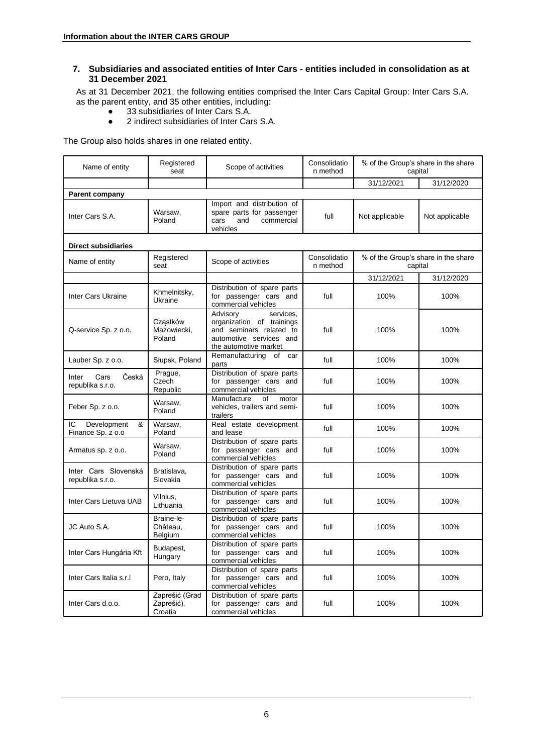# <span id="page-5-0"></span>**7. Subsidiaries and associated entities of Inter Cars - entities included in consolidation as at 31 December 2021**

As at 31 December 2021, the following entities comprised the Inter Cars Capital Group: Inter Cars S.A. as the parent entity, and 35 other entities, including:

- 33 subsidiaries of Inter Cars S.A.
- 2 indirect subsidiaries of Inter Cars S.A.

The Group also holds shares in one related entity.

| Name of entity                              | Registered<br>seat                      | Scope of activities                                                                                                               | Consolidatio<br>n method | % of the Group's share in the share<br>capital |                |
|---------------------------------------------|-----------------------------------------|-----------------------------------------------------------------------------------------------------------------------------------|--------------------------|------------------------------------------------|----------------|
|                                             |                                         |                                                                                                                                   |                          | 31/12/2021                                     | 31/12/2020     |
| <b>Parent company</b>                       |                                         |                                                                                                                                   |                          |                                                |                |
| Inter Cars S.A.                             | Warsaw.<br>Poland                       | Import and distribution of<br>spare parts for passenger<br>cars<br>and<br>commercial<br>vehicles                                  | full                     | Not applicable                                 | Not applicable |
| <b>Direct subsidiaries</b>                  |                                         |                                                                                                                                   |                          |                                                |                |
| Name of entity                              | Registered<br>seat                      | Scope of activities                                                                                                               | Consolidatio<br>n method | % of the Group's share in the share<br>capital |                |
|                                             |                                         |                                                                                                                                   |                          | 31/12/2021                                     | 31/12/2020     |
| Inter Cars Ukraine                          | Khmelnitsky,<br>Ukraine                 | Distribution of spare parts<br>for passenger cars and<br>commercial vehicles                                                      | full                     | 100%                                           | 100%           |
| Q-service Sp. z o.o.                        | Cząstków<br>Mazowiecki,<br>Poland       | Advisory<br>services,<br>organization of trainings<br>and seminars related to<br>automotive services and<br>the automotive market | full                     | 100%                                           | 100%           |
| Lauber Sp. z o.o.                           | Słupsk, Poland                          | Remanufacturing<br>of car<br>parts                                                                                                | full                     | 100%                                           | 100%           |
| Česká<br>Cars<br>Inter<br>republika s.r.o.  | Prague,<br>Czech<br>Republic            | Distribution of spare parts<br>for passenger cars and<br>commercial vehicles                                                      | full                     | 100%                                           | 100%           |
| Feber Sp. z o.o.                            | Warsaw,<br>Poland                       | Manufacture<br>of<br>motor<br>vehicles, trailers and semi-<br>trailers                                                            | full                     | 100%                                           | 100%           |
| Development<br>&<br>ΙC<br>Finance Sp. z o.o | Warsaw,<br>Poland                       | Real estate development<br>and lease                                                                                              | full                     | 100%                                           | 100%           |
| Armatus sp. z o.o.                          | Warsaw,<br>Poland                       | Distribution of spare parts<br>for passenger cars and<br>commercial vehicles                                                      | full                     | 100%                                           | 100%           |
| Inter Cars Slovenská<br>republika s.r.o.    | Bratislava,<br>Slovakia                 | Distribution of spare parts<br>for passenger cars and<br>commercial vehicles                                                      | full                     | 100%                                           | 100%           |
| Inter Cars Lietuva UAB                      | Vilnius,<br>Lithuania                   | Distribution of spare parts<br>for passenger cars and<br>commercial vehicles                                                      | full                     | 100%                                           | 100%           |
| JC Auto S.A.                                | Braine-le-<br>Château,<br>Belgium       | Distribution of spare parts<br>for passenger cars and<br>commercial vehicles                                                      | full                     | 100%                                           | 100%           |
| Inter Cars Hungária Kft                     | Budapest,<br>Hungary                    | Distribution of spare parts<br>for passenger cars and<br>commercial vehicles                                                      | full                     | 100%                                           | 100%           |
| Inter Cars Italia s.r.I                     | Pero, Italy                             | Distribution of spare parts<br>for passenger cars and<br>commercial vehicles                                                      | full                     | 100%                                           | 100%           |
| Inter Cars d.o.o.                           | Zaprešić (Grad<br>Zaprešić),<br>Croatia | Distribution of spare parts<br>for passenger cars and<br>commercial vehicles                                                      | full                     | 100%                                           | 100%           |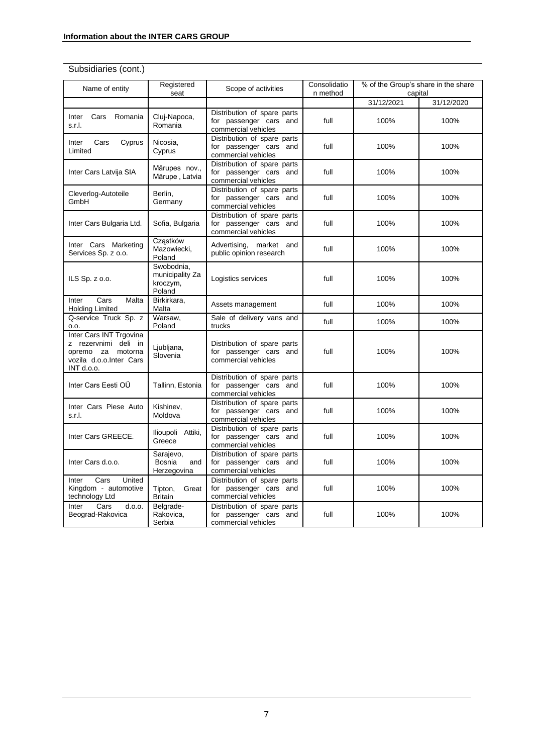# Subsidiaries (cont.)

| Name of entity                                                                                                | Registered<br>seat                                  | Scope of activities                                                          | Consolidatio<br>n method | % of the Group's share in the share<br>capital |            |
|---------------------------------------------------------------------------------------------------------------|-----------------------------------------------------|------------------------------------------------------------------------------|--------------------------|------------------------------------------------|------------|
|                                                                                                               |                                                     |                                                                              |                          | 31/12/2021                                     | 31/12/2020 |
| Cars<br>Romania<br>Inter<br>s.r.l.                                                                            | Cluj-Napoca,<br>Romania                             | Distribution of spare parts<br>for passenger cars and<br>commercial vehicles | full                     | 100%                                           | 100%       |
| Inter<br>Cars<br>Cyprus<br>Limited                                                                            | Nicosia,<br>Cyprus                                  | Distribution of spare parts<br>for passenger cars and<br>commercial vehicles | full                     | 100%                                           | 100%       |
| Inter Cars Latvija SIA                                                                                        | Mārupes nov.,<br>Mārupe, Latvia                     | Distribution of spare parts<br>for passenger cars and<br>commercial vehicles | full                     | 100%                                           | 100%       |
| Cleverlog-Autoteile<br>GmbH                                                                                   | Berlin,<br>Germany                                  | Distribution of spare parts<br>for passenger cars and<br>commercial vehicles | full                     | 100%                                           | 100%       |
| Inter Cars Bulgaria Ltd.                                                                                      | Sofia, Bulgaria                                     | Distribution of spare parts<br>for passenger cars and<br>commercial vehicles | full                     | 100%                                           | 100%       |
| Inter Cars Marketing<br>Services Sp. z o.o.                                                                   | Czastków<br>Mazowiecki,<br>Poland                   | Advertising, market and<br>public opinion research                           | full                     | 100%                                           | 100%       |
| ILS Sp. $z$ 0.0.                                                                                              | Swobodnia,<br>municipality Za<br>kroczym,<br>Poland | Logistics services                                                           | full                     | 100%                                           | 100%       |
| Cars<br>Malta<br>Inter<br><b>Holding Limited</b>                                                              | Birkirkara,<br>Malta                                | Assets management                                                            | full                     | 100%                                           | 100%       |
| Q-service Truck Sp. z<br>0.0.                                                                                 | Warsaw,<br>Poland                                   | Sale of delivery vans and<br>trucks                                          | full                     | 100%                                           | 100%       |
| Inter Cars INT Trgovina<br>z rezervnimi deli in<br>opremo za motorna<br>vozila d.o.o.Inter Cars<br>INT d.o.o. | Ljubljana,<br>Slovenia                              | Distribution of spare parts<br>for passenger cars and<br>commercial vehicles | full                     | 100%                                           | 100%       |
| Inter Cars Eesti OÜ                                                                                           | Tallinn, Estonia                                    | Distribution of spare parts<br>for passenger cars and<br>commercial vehicles | full                     | 100%                                           | 100%       |
| Inter Cars Piese Auto<br>s.r.l.                                                                               | Kishinev,<br>Moldova                                | Distribution of spare parts<br>for passenger cars and<br>commercial vehicles | full                     | 100%                                           | 100%       |
| Inter Cars GREECE.                                                                                            | Ilioupoli Attiki,<br>Greece                         | Distribution of spare parts<br>for passenger cars and<br>commercial vehicles | full                     | 100%                                           | 100%       |
| Inter Cars d.o.o.                                                                                             | Sarajevo,<br>Bosnia<br>and<br>Herzegovina           | Distribution of spare parts<br>for passenger cars and<br>commercial vehicles | full                     | 100%                                           | 100%       |
| Cars<br>United<br>Inter<br>Kingdom - automotive<br>technology Ltd                                             | Tipton,<br>Great<br><b>Britain</b>                  | Distribution of spare parts<br>for passenger cars and<br>commercial vehicles | full                     | 100%                                           | 100%       |
| Inter<br>Cars<br>d.o.o.<br>Beograd-Rakovica                                                                   | Belgrade-<br>Rakovica,<br>Serbia                    | Distribution of spare parts<br>for passenger cars and<br>commercial vehicles | full                     | 100%                                           | 100%       |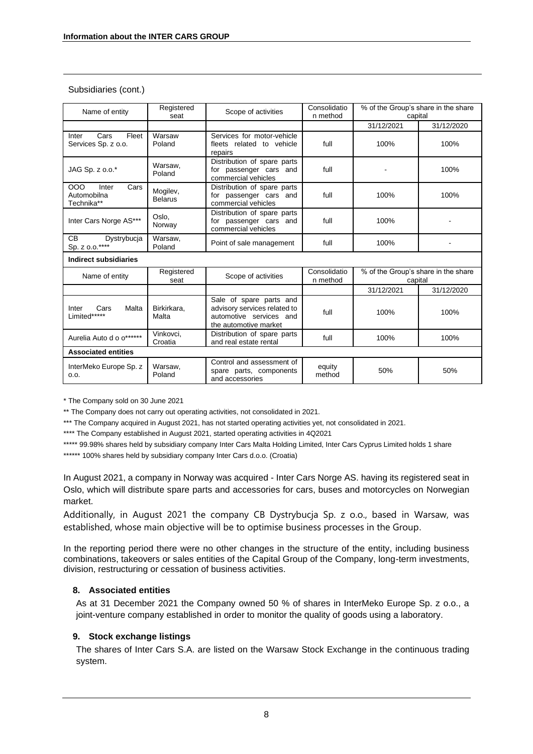## Subsidiaries (cont.)

| Name of entity                                    | Registered<br>seat         | Scope of activities                                                                                         | Consolidatio<br>n method |                                                | % of the Group's share in the share<br>capital |  |  |
|---------------------------------------------------|----------------------------|-------------------------------------------------------------------------------------------------------------|--------------------------|------------------------------------------------|------------------------------------------------|--|--|
|                                                   |                            |                                                                                                             |                          | 31/12/2021                                     | 31/12/2020                                     |  |  |
| Cars<br>Fleet<br>Inter<br>Services Sp. z o.o.     | Warsaw<br>Poland           | Services for motor-vehicle<br>fleets related to vehicle<br>repairs                                          | full                     | 100%                                           | 100%                                           |  |  |
| JAG Sp. z o.o.*                                   | Warsaw,<br>Poland          | Distribution of spare parts<br>for passenger cars and<br>commercial vehicles                                | full                     |                                                | 100%                                           |  |  |
| 000<br>Inter<br>Cars<br>Automobilna<br>Technika** | Mogilev,<br><b>Belarus</b> | Distribution of spare parts<br>for passenger cars and<br>commercial vehicles                                | full                     | 100%                                           | 100%                                           |  |  |
| Inter Cars Norge AS***                            | Oslo,<br>Norway            | Distribution of spare parts<br>for passenger cars and<br>commercial vehicles                                | full                     | 100%                                           |                                                |  |  |
| <b>CB</b><br>Dystrybucja<br>Sp. z o.o.****        | Warsaw.<br>Poland          | Point of sale management                                                                                    | full                     | 100%                                           |                                                |  |  |
| Indirect subsidiaries                             |                            |                                                                                                             |                          |                                                |                                                |  |  |
| Name of entity                                    | Registered<br>seat         | Scope of activities                                                                                         | Consolidatio<br>n method | % of the Group's share in the share<br>capital |                                                |  |  |
|                                                   |                            |                                                                                                             |                          | 31/12/2021                                     | 31/12/2020                                     |  |  |
| Malta<br>Cars<br>Inter<br>Limited*****            | Birkirkara.<br>Malta       | Sale of spare parts and<br>advisory services related to<br>automotive services and<br>the automotive market | full                     | 100%                                           | 100%                                           |  |  |
| Aurelia Auto d o o******                          | Vinkovci.<br>Croatia       | Distribution of spare parts<br>and real estate rental                                                       | full                     | 100%                                           | 100%                                           |  |  |
| <b>Associated entities</b>                        |                            |                                                                                                             |                          |                                                |                                                |  |  |
| InterMeko Europe Sp. z<br>0.0.                    | Warsaw,<br>Poland          | Control and assessment of<br>spare parts, components<br>and accessories                                     | equity<br>method         | 50%                                            | 50%                                            |  |  |

\* The Company sold on 30 June 2021

\*\* The Company does not carry out operating activities, not consolidated in 2021.

\*\*\* The Company acquired in August 2021, has not started operating activities yet, not consolidated in 2021.

\*\*\*\* The Company established in August 2021, started operating activities in 4Q2021

\*\*\*\*\* 99.98% shares held by subsidiary company Inter Cars Malta Holding Limited, Inter Cars Cyprus Limited holds 1 share

\*\*\*\*\*\* 100% shares held by subsidiary company Inter Cars d.o.o. (Croatia)

In August 2021, a company in Norway was acquired - Inter Cars Norge AS. having its registered seat in Oslo, which will distribute spare parts and accessories for cars, buses and motorcycles on Norwegian market.

Additionally, in August 2021 the company CB Dystrybucja Sp. z o.o., based in Warsaw, was established, whose main objective will be to optimise business processes in the Group.

In the reporting period there were no other changes in the structure of the entity, including business combinations, takeovers or sales entities of the Capital Group of the Company, long-term investments, division, restructuring or cessation of business activities.

# <span id="page-7-0"></span>**8. Associated entities**

As at 31 December 2021 the Company owned 50 % of shares in InterMeko Europe Sp. z o.o., a joint-venture company established in order to monitor the quality of goods using a laboratory.

# <span id="page-7-1"></span>**9. Stock exchange listings**

The shares of Inter Cars S.A. are listed on the Warsaw Stock Exchange in the continuous trading system.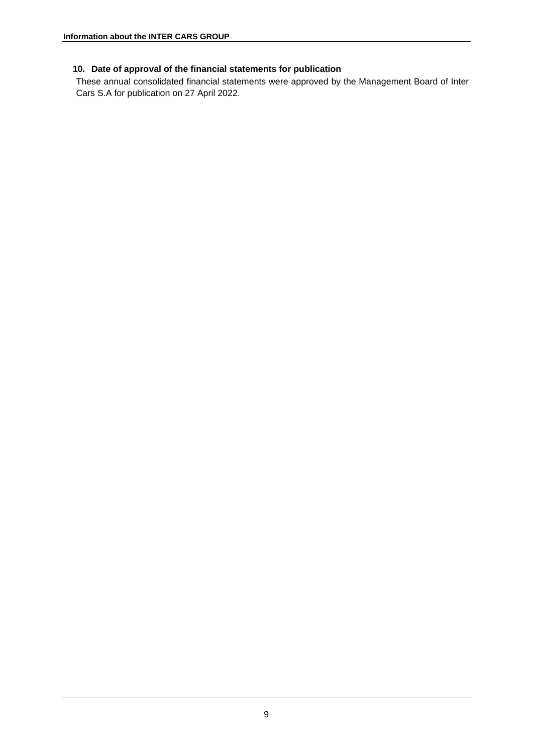# <span id="page-8-0"></span>**10. Date of approval of the financial statements for publication**

These annual consolidated financial statements were approved by the Management Board of Inter Cars S.A for publication on 27 April 2022.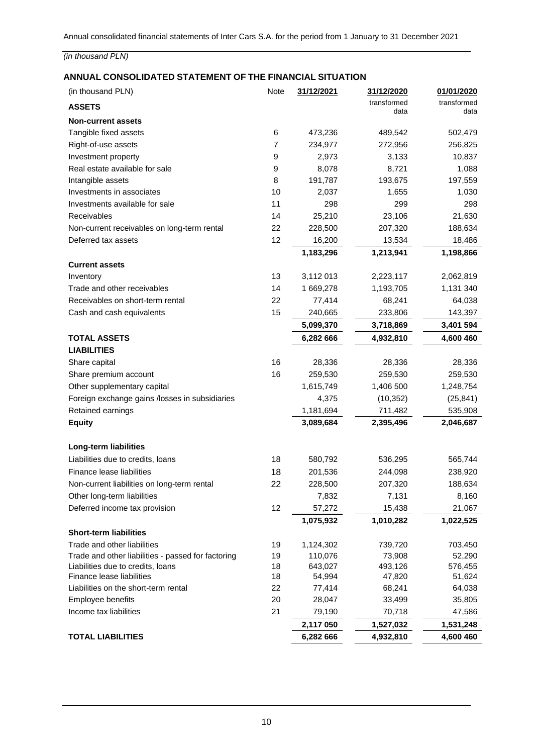# <span id="page-9-0"></span>**ANNUAL CONSOLIDATED STATEMENT OF THE FINANCIAL SITUATION**

| (in thousand PLN)                                  | Note           | 31/12/2021 | 31/12/2020          | 01/01/2020          |
|----------------------------------------------------|----------------|------------|---------------------|---------------------|
| <b>ASSETS</b>                                      |                |            | transformed<br>data | transformed<br>data |
| <b>Non-current assets</b>                          |                |            |                     |                     |
| Tangible fixed assets                              | 6              | 473,236    | 489,542             | 502,479             |
| Right-of-use assets                                | $\overline{7}$ | 234,977    | 272,956             | 256,825             |
| Investment property                                | 9              | 2,973      | 3,133               | 10,837              |
| Real estate available for sale                     | 9              | 8,078      | 8,721               | 1,088               |
| Intangible assets                                  | 8              | 191,787    | 193,675             | 197,559             |
| Investments in associates                          | 10             | 2,037      | 1,655               | 1,030               |
| Investments available for sale                     | 11             | 298        | 299                 | 298                 |
| Receivables                                        | 14             | 25,210     | 23,106              | 21,630              |
| Non-current receivables on long-term rental        | 22             | 228,500    | 207,320             | 188,634             |
| Deferred tax assets                                | 12             | 16,200     | 13,534              | 18,486              |
|                                                    |                | 1,183,296  | 1,213,941           | 1,198,866           |
| <b>Current assets</b>                              |                |            |                     |                     |
| Inventory                                          | 13             | 3,112 013  | 2,223,117           | 2,062,819           |
| Trade and other receivables                        | 14             | 1 669,278  | 1,193,705           | 1,131 340           |
| Receivables on short-term rental                   | 22             | 77,414     | 68,241              | 64,038              |
| Cash and cash equivalents                          | 15             | 240,665    | 233,806             | 143,397             |
|                                                    |                | 5,099,370  | 3,718,869           | 3,401 594           |
| <b>TOTAL ASSETS</b>                                |                | 6,282 666  | 4,932,810           | 4,600 460           |
| <b>LIABILITIES</b>                                 |                |            |                     |                     |
| Share capital                                      | 16             | 28,336     | 28,336              | 28,336              |
| Share premium account                              | 16             | 259,530    | 259,530             | 259,530             |
| Other supplementary capital                        |                | 1,615,749  | 1,406 500           | 1,248,754           |
| Foreign exchange gains /losses in subsidiaries     |                | 4,375      | (10, 352)           | (25, 841)           |
| Retained earnings                                  |                | 1,181,694  | 711,482             | 535,908             |
| <b>Equity</b>                                      |                | 3,089,684  | 2,395,496           | 2,046,687           |
|                                                    |                |            |                     |                     |
| Long-term liabilities                              |                |            |                     |                     |
| Liabilities due to credits, loans                  | 18             | 580,792    | 536,295             | 565,744             |
| Finance lease liabilities                          | 18             | 201,536    | 244,098             | 238,920             |
| Non-current liabilities on long-term rental        | 22             | 228,500    | 207,320             | 188,634             |
| Other long-term liabilities                        |                | 7,832      | 7,131               | 8,160               |
| Deferred income tax provision                      | 12             | 57,272     | 15,438              | 21,067              |
|                                                    |                | 1,075,932  | 1,010,282           | 1,022,525           |
| <b>Short-term liabilities</b>                      |                |            |                     |                     |
| Trade and other liabilities                        | 19             | 1,124,302  | 739,720             | 703,450             |
| Trade and other liabilities - passed for factoring | 19             | 110,076    | 73,908              | 52,290              |
| Liabilities due to credits, loans                  | 18             | 643,027    | 493,126             | 576,455             |
| Finance lease liabilities                          | 18             | 54,994     | 47,820              | 51,624              |
| Liabilities on the short-term rental               | 22             | 77,414     | 68,241              | 64,038              |
| Employee benefits                                  | 20             | 28,047     | 33,499              | 35,805              |
| Income tax liabilities                             | 21             | 79,190     | 70,718              | 47,586              |
|                                                    |                | 2,117 050  | 1,527,032           | 1,531,248           |
| <b>TOTAL LIABILITIES</b>                           |                | 6,282 666  | 4,932,810           | 4,600 460           |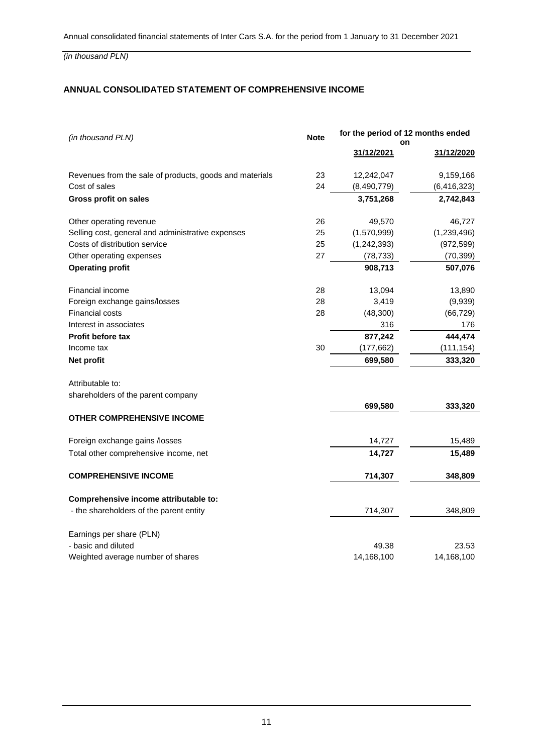# <span id="page-10-0"></span>**ANNUAL CONSOLIDATED STATEMENT OF COMPREHENSIVE INCOME**

| (in thousand PLN)                                       | <b>Note</b> | for the period of 12 months ended |               |  |
|---------------------------------------------------------|-------------|-----------------------------------|---------------|--|
|                                                         |             | on<br>31/12/2021                  | 31/12/2020    |  |
| Revenues from the sale of products, goods and materials | 23          | 12,242,047                        | 9,159,166     |  |
| Cost of sales                                           | 24          | (8,490,779)                       | (6, 416, 323) |  |
| <b>Gross profit on sales</b>                            |             | 3,751,268                         | 2,742,843     |  |
| Other operating revenue                                 | 26          | 49,570                            | 46,727        |  |
| Selling cost, general and administrative expenses       | 25          | (1,570,999)                       | (1,239,496)   |  |
| Costs of distribution service                           | 25          | (1,242,393)                       | (972, 599)    |  |
| Other operating expenses                                | 27          | (78, 733)                         | (70, 399)     |  |
| <b>Operating profit</b>                                 |             | 908,713                           | 507,076       |  |
| Financial income                                        | 28          | 13,094                            | 13,890        |  |
| Foreign exchange gains/losses                           | 28          | 3,419                             | (9,939)       |  |
| <b>Financial costs</b>                                  | 28          | (48, 300)                         | (66, 729)     |  |
| Interest in associates                                  |             | 316                               | 176           |  |
| <b>Profit before tax</b>                                |             | 877,242                           | 444,474       |  |
| Income tax                                              | 30          | (177, 662)                        | (111, 154)    |  |
| Net profit                                              |             | 699,580                           | 333,320       |  |
| Attributable to:                                        |             |                                   |               |  |
| shareholders of the parent company                      |             |                                   |               |  |
|                                                         |             | 699,580                           | 333,320       |  |
| <b>OTHER COMPREHENSIVE INCOME</b>                       |             |                                   |               |  |
| Foreign exchange gains /losses                          |             | 14,727                            | 15,489        |  |
| Total other comprehensive income, net                   |             | 14,727                            | 15,489        |  |
| <b>COMPREHENSIVE INCOME</b>                             |             | 714,307                           | 348,809       |  |
| Comprehensive income attributable to:                   |             |                                   |               |  |
| - the shareholders of the parent entity                 |             | 714,307                           | 348,809       |  |
| Earnings per share (PLN)                                |             |                                   |               |  |
| - basic and diluted                                     |             | 49.38                             | 23.53         |  |
| Weighted average number of shares                       |             | 14,168,100                        | 14,168,100    |  |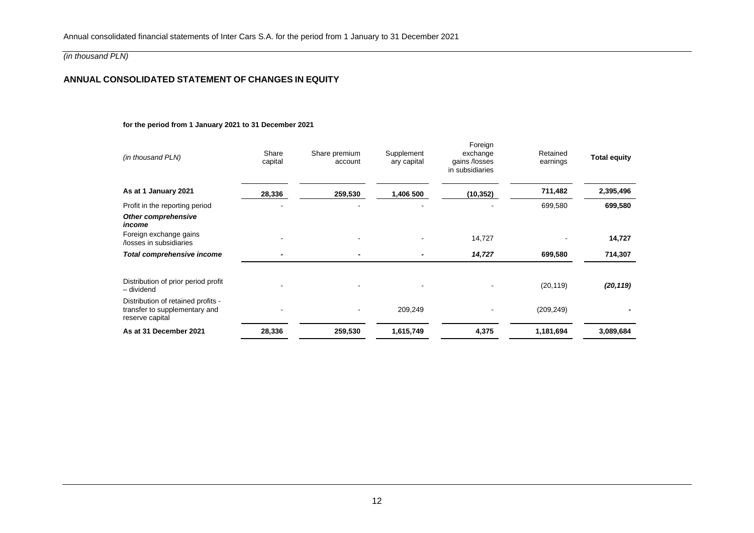# **ANNUAL CONSOLIDATED STATEMENT OF CHANGES IN EQUITY**

#### **for the period from 1 January 2021 to 31 December 2021**

<span id="page-11-0"></span>

| (in thousand PLN)                                                                      | Share<br>capital | Share premium<br>account | Supplement<br>ary capital | Foreign<br>exchange<br>gains /losses<br>in subsidiaries | Retained<br>earnings | <b>Total equity</b> |
|----------------------------------------------------------------------------------------|------------------|--------------------------|---------------------------|---------------------------------------------------------|----------------------|---------------------|
| As at 1 January 2021                                                                   | 28,336           | 259,530                  | 1,406 500                 | (10, 352)                                               | 711,482              | 2,395,496           |
| Profit in the reporting period                                                         |                  | $\overline{\phantom{a}}$ |                           |                                                         | 699,580              | 699,580             |
| <b>Other comprehensive</b><br>income                                                   |                  |                          |                           |                                                         |                      |                     |
| Foreign exchange gains<br>/losses in subsidiaries                                      |                  |                          |                           | 14,727                                                  |                      | 14,727              |
| Total comprehensive income                                                             |                  | $\overline{\phantom{a}}$ |                           | 14,727                                                  | 699,580              | 714,307             |
| Distribution of prior period profit<br>- dividend                                      |                  |                          |                           |                                                         | (20, 119)            | (20, 119)           |
| Distribution of retained profits -<br>transfer to supplementary and<br>reserve capital |                  |                          | 209,249                   |                                                         | (209, 249)           |                     |
| As at 31 December 2021                                                                 | 28,336           | 259,530                  | 1,615,749                 | 4,375                                                   | 1,181,694            | 3,089,684           |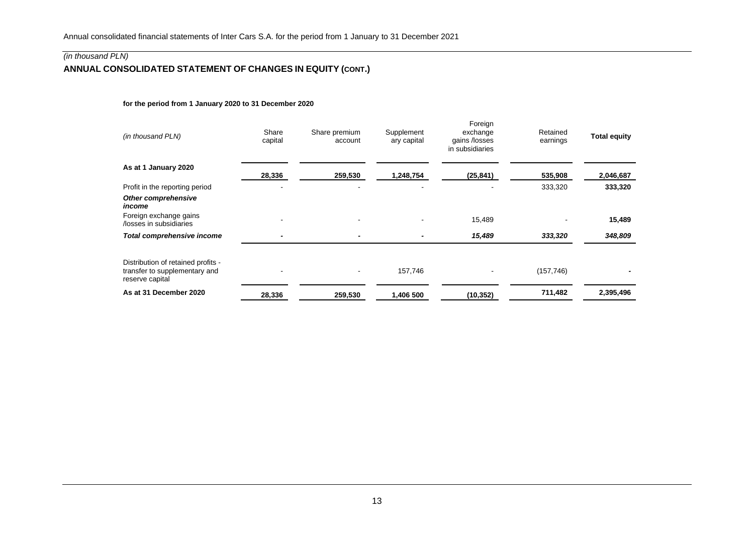# **ANNUAL CONSOLIDATED STATEMENT OF CHANGES IN EQUITY (CONT.)**

#### **for the period from 1 January 2020 to 31 December 2020**

<span id="page-12-0"></span>

| (in thousand PLN)                                                                      | Share<br>capital         | Share premium<br>account | Supplement<br>ary capital | Foreign<br>exchange<br>gains /losses<br>in subsidiaries | Retained<br>earnings | <b>Total equity</b> |
|----------------------------------------------------------------------------------------|--------------------------|--------------------------|---------------------------|---------------------------------------------------------|----------------------|---------------------|
| As at 1 January 2020                                                                   | 28,336                   | 259,530                  | 1,248,754                 | (25, 841)                                               | 535,908              | 2,046,687           |
| Profit in the reporting period                                                         |                          |                          |                           |                                                         | 333,320              | 333,320             |
| Other comprehensive<br>income<br>Foreign exchange gains                                |                          |                          |                           | 15,489                                                  |                      | 15,489              |
| /losses in subsidiaries                                                                |                          |                          |                           |                                                         |                      |                     |
| Total comprehensive income                                                             | $\overline{\phantom{0}}$ |                          |                           | 15,489                                                  | 333,320              | 348,809             |
| Distribution of retained profits -<br>transfer to supplementary and<br>reserve capital |                          |                          | 157,746                   |                                                         | (157, 746)           |                     |
| As at 31 December 2020                                                                 | 28,336                   | 259,530                  | 1,406 500                 | (10, 352)                                               | 711,482              | 2,395,496           |
|                                                                                        |                          |                          |                           |                                                         |                      |                     |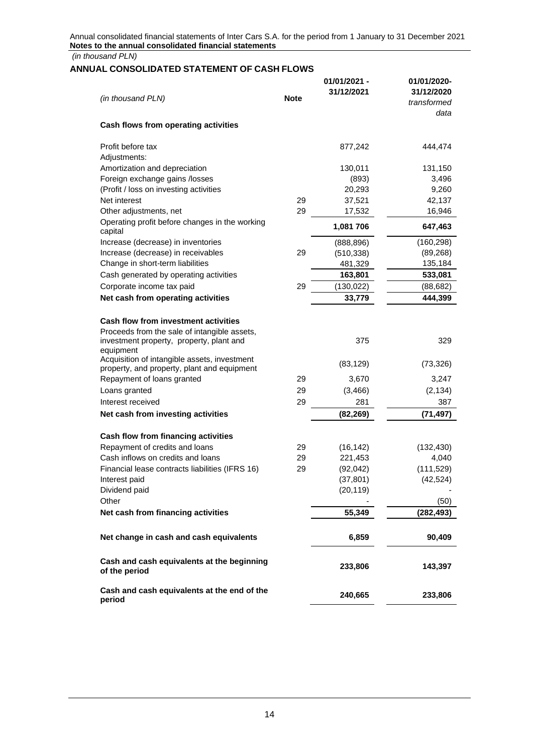*(in thousand PLN)*

# <span id="page-13-0"></span>**ANNUAL CONSOLIDATED STATEMENT OF CASH FLOWS**

|                                                                                                                                         |             | 01/01/2021 - | 01/01/2020- |
|-----------------------------------------------------------------------------------------------------------------------------------------|-------------|--------------|-------------|
| (in thousand PLN)                                                                                                                       | <b>Note</b> | 31/12/2021   | 31/12/2020  |
|                                                                                                                                         |             |              | transformed |
| Cash flows from operating activities                                                                                                    |             |              | data        |
| Profit before tax                                                                                                                       |             | 877,242      | 444,474     |
| Adjustments:                                                                                                                            |             |              |             |
| Amortization and depreciation                                                                                                           |             | 130,011      | 131,150     |
| Foreign exchange gains /losses                                                                                                          |             | (893)        | 3,496       |
| (Profit / loss on investing activities                                                                                                  |             | 20,293       | 9,260       |
| Net interest                                                                                                                            | 29          | 37,521       | 42,137      |
| Other adjustments, net                                                                                                                  | 29          | 17,532       | 16,946      |
| Operating profit before changes in the working<br>capital                                                                               |             | 1,081 706    | 647,463     |
| Increase (decrease) in inventories                                                                                                      |             | (888, 896)   | (160, 298)  |
| Increase (decrease) in receivables                                                                                                      | 29          | (510, 338)   | (89, 268)   |
| Change in short-term liabilities                                                                                                        |             | 481,329      | 135,184     |
| Cash generated by operating activities                                                                                                  |             | 163,801      | 533,081     |
| Corporate income tax paid                                                                                                               | 29          | (130, 022)   | (88, 682)   |
| Net cash from operating activities                                                                                                      |             | 33,779       | 444,399     |
| <b>Cash flow from investment activities</b><br>Proceeds from the sale of intangible assets,<br>investment property, property, plant and |             | 375          | 329         |
| equipment<br>Acquisition of intangible assets, investment                                                                               |             | (83, 129)    | (73, 326)   |
| property, and property, plant and equipment<br>Repayment of loans granted                                                               | 29          | 3,670        | 3,247       |
| Loans granted                                                                                                                           | 29          | (3, 466)     | (2, 134)    |
| Interest received                                                                                                                       | 29          | 281          | 387         |
| Net cash from investing activities                                                                                                      |             | (82, 269)    | (71, 497)   |
|                                                                                                                                         |             |              |             |
| Cash flow from financing activities                                                                                                     |             |              |             |
| Repayment of credits and loans                                                                                                          | 29          | (16, 142)    | (132, 430)  |
| Cash inflows on credits and loans                                                                                                       | 29          | 221,453      | 4,040       |
| Financial lease contracts liabilities (IFRS 16)                                                                                         | 29          | (92, 042)    | (111, 529)  |
| Interest paid                                                                                                                           |             | (37, 801)    | (42, 524)   |
| Dividend paid                                                                                                                           |             | (20, 119)    |             |
| Other                                                                                                                                   |             |              | (50)        |
| Net cash from financing activities                                                                                                      |             | 55,349       | (282, 493)  |
| Net change in cash and cash equivalents                                                                                                 |             | 6,859        | 90,409      |
| Cash and cash equivalents at the beginning<br>of the period                                                                             |             | 233,806      | 143,397     |
| Cash and cash equivalents at the end of the<br>period                                                                                   |             | 240,665      | 233,806     |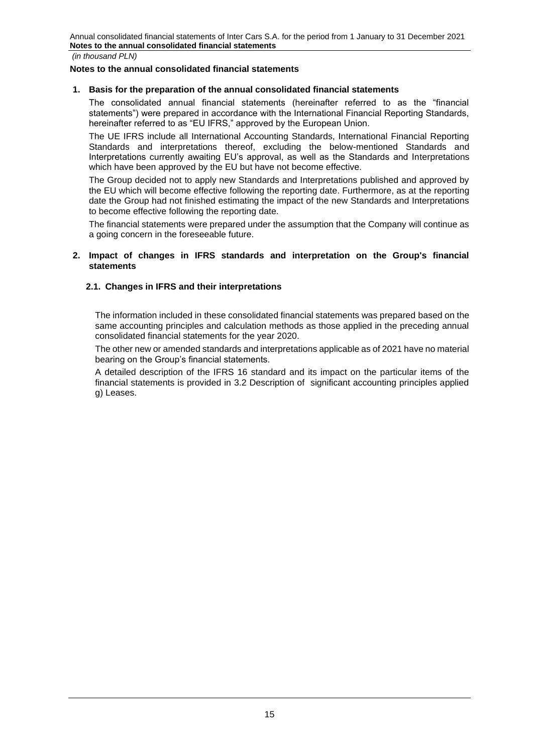#### <span id="page-14-0"></span>**Notes to the annual consolidated financial statements**

## **1. Basis for the preparation of the annual consolidated financial statements**

The consolidated annual financial statements (hereinafter referred to as the "financial statements") were prepared in accordance with the International Financial Reporting Standards, hereinafter referred to as "EU IFRS," approved by the European Union.

The UE IFRS include all International Accounting Standards, International Financial Reporting Standards and interpretations thereof, excluding the below-mentioned Standards and Interpretations currently awaiting EU's approval, as well as the Standards and Interpretations which have been approved by the EU but have not become effective.

The Group decided not to apply new Standards and Interpretations published and approved by the EU which will become effective following the reporting date. Furthermore, as at the reporting date the Group had not finished estimating the impact of the new Standards and Interpretations to become effective following the reporting date.

The financial statements were prepared under the assumption that the Company will continue as a going concern in the foreseeable future.

## <span id="page-14-1"></span>**2. Impact of changes in IFRS standards and interpretation on the Group's financial statements**

# **2.1. Changes in IFRS and their interpretations**

The information included in these consolidated financial statements was prepared based on the same accounting principles and calculation methods as those applied in the preceding annual consolidated financial statements for the year 2020.

The other new or amended standards and interpretations applicable as of 2021 have no material bearing on the Group's financial statements.

A detailed description of the IFRS 16 standard and its impact on the particular items of the financial statements is provided in 3.2 Description of significant accounting principles applied g) Leases.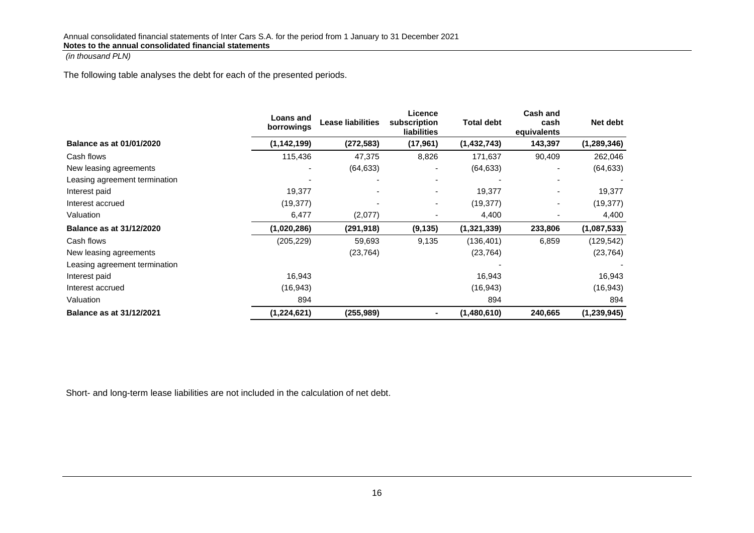The following table analyses the debt for each of the presented periods.

|                                 | Loans and<br>borrowings | <b>Lease liabilities</b> | Licence<br>subscription<br><b>liabilities</b> | <b>Total debt</b> | Cash and<br>cash<br>equivalents | Net debt      |
|---------------------------------|-------------------------|--------------------------|-----------------------------------------------|-------------------|---------------------------------|---------------|
| <b>Balance as at 01/01/2020</b> | (1, 142, 199)           | (272,583)                | (17, 961)                                     | (1,432,743)       | 143,397                         | (1, 289, 346) |
| Cash flows                      | 115,436                 | 47,375                   | 8,826                                         | 171,637           | 90,409                          | 262,046       |
| New leasing agreements          |                         | (64, 633)                | ۰                                             | (64, 633)         |                                 | (64, 633)     |
| Leasing agreement termination   |                         |                          |                                               |                   |                                 |               |
| Interest paid                   | 19,377                  |                          |                                               | 19,377            |                                 | 19,377        |
| Interest accrued                | (19, 377)               |                          | -                                             | (19, 377)         |                                 | (19, 377)     |
| Valuation                       | 6,477                   | (2,077)                  |                                               | 4,400             |                                 | 4,400         |
| <b>Balance as at 31/12/2020</b> | (1,020,286)             | (291,918)                | (9, 135)                                      | (1,321,339)       | 233,806                         | (1,087,533)   |
| Cash flows                      | (205, 229)              | 59,693                   | 9,135                                         | (136, 401)        | 6,859                           | (129, 542)    |
| New leasing agreements          |                         | (23, 764)                |                                               | (23, 764)         |                                 | (23, 764)     |
| Leasing agreement termination   |                         |                          |                                               |                   |                                 |               |
| Interest paid                   | 16,943                  |                          |                                               | 16,943            |                                 | 16,943        |
| Interest accrued                | (16, 943)               |                          |                                               | (16, 943)         |                                 | (16,943)      |
| Valuation                       | 894                     |                          |                                               | 894               |                                 | 894           |
| <b>Balance as at 31/12/2021</b> | (1,224,621)             | (255, 989)               | $\blacksquare$                                | (1,480,610)       | 240,665                         | (1,239,945)   |

Short- and long-term lease liabilities are not included in the calculation of net debt.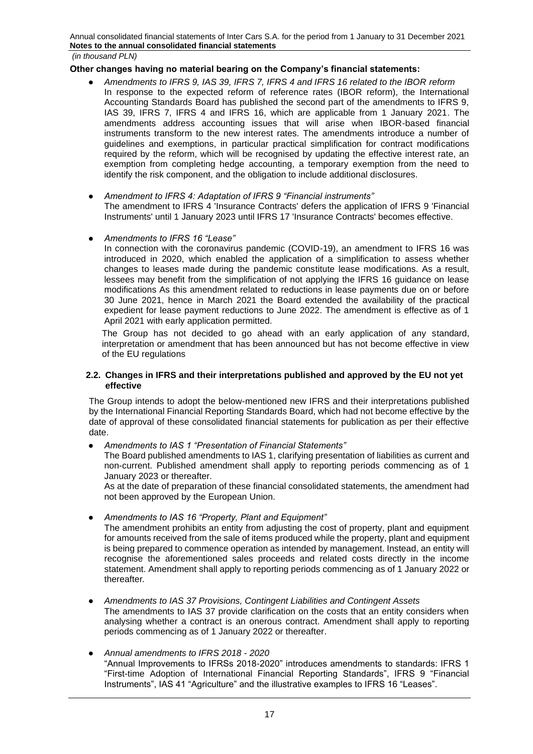*(in thousand PLN)*

## **Other changes having no material bearing on the Company's financial statements:**

- *Amendments to IFRS 9, IAS 39, IFRS 7, IFRS 4 and IFRS 16 related to the IBOR reform* In response to the expected reform of reference rates (IBOR reform), the International Accounting Standards Board has published the second part of the amendments to IFRS 9, IAS 39, IFRS 7, IFRS 4 and IFRS 16, which are applicable from 1 January 2021. The amendments address accounting issues that will arise when IBOR-based financial instruments transform to the new interest rates. The amendments introduce a number of guidelines and exemptions, in particular practical simplification for contract modifications required by the reform, which will be recognised by updating the effective interest rate, an exemption from completing hedge accounting, a temporary exemption from the need to identify the risk component, and the obligation to include additional disclosures.
- *Amendment to IFRS 4: Adaptation of IFRS 9 "Financial instruments"*  The amendment to IFRS 4 'Insurance Contracts' defers the application of IFRS 9 'Financial Instruments' until 1 January 2023 until IFRS 17 'Insurance Contracts' becomes effective.

#### ● *Amendments to IFRS 16 "Lease"*

In connection with the coronavirus pandemic (COVID-19), an amendment to IFRS 16 was introduced in 2020, which enabled the application of a simplification to assess whether changes to leases made during the pandemic constitute lease modifications. As a result, lessees may benefit from the simplification of not applying the IFRS 16 guidance on lease modifications As this amendment related to reductions in lease payments due on or before 30 June 2021, hence in March 2021 the Board extended the availability of the practical expedient for lease payment reductions to June 2022. The amendment is effective as of 1 April 2021 with early application permitted.

The Group has not decided to go ahead with an early application of any standard, interpretation or amendment that has been announced but has not become effective in view of the EU regulations

#### **2.2. Changes in IFRS and their interpretations published and approved by the EU not yet effective**

The Group intends to adopt the below-mentioned new IFRS and their interpretations published by the International Financial Reporting Standards Board, which had not become effective by the date of approval of these consolidated financial statements for publication as per their effective date.

● *Amendments to IAS 1 "Presentation of Financial Statements"* 

The Board published amendments to IAS 1, clarifying presentation of liabilities as current and non-current. Published amendment shall apply to reporting periods commencing as of 1 January 2023 or thereafter.

As at the date of preparation of these financial consolidated statements, the amendment had not been approved by the European Union.

● *Amendments to IAS 16 "Property, Plant and Equipment"* 

The amendment prohibits an entity from adjusting the cost of property, plant and equipment for amounts received from the sale of items produced while the property, plant and equipment is being prepared to commence operation as intended by management. Instead, an entity will recognise the aforementioned sales proceeds and related costs directly in the income statement. Amendment shall apply to reporting periods commencing as of 1 January 2022 or thereafter*.* 

● *Amendments to IAS 37 Provisions, Contingent Liabilities and Contingent Assets* 

The amendments to IAS 37 provide clarification on the costs that an entity considers when analysing whether a contract is an onerous contract. Amendment shall apply to reporting periods commencing as of 1 January 2022 or thereafter.

● *Annual amendments to IFRS 2018 - 2020* "Annual Improvements to IFRSs 2018-2020" introduces amendments to standards: IFRS 1 "First-time Adoption of International Financial Reporting Standards", IFRS 9 "Financial Instruments", IAS 41 "Agriculture" and the illustrative examples to IFRS 16 "Leases".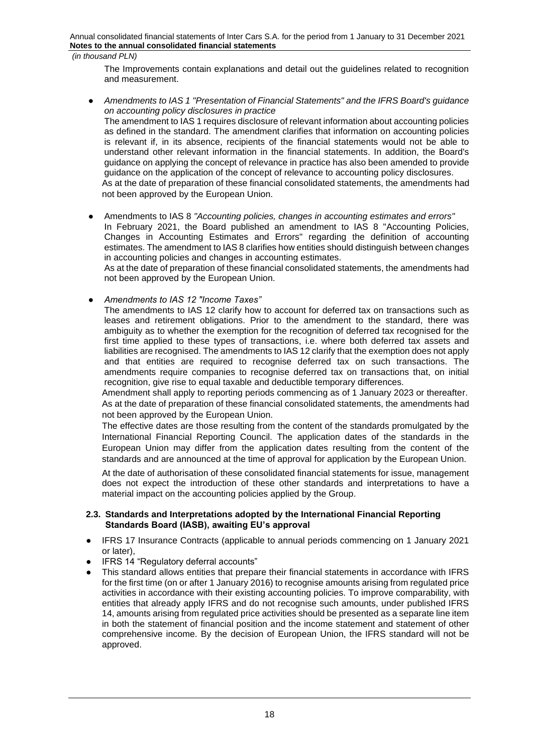The Improvements contain explanations and detail out the guidelines related to recognition and measurement.

● *Amendments to IAS 1 "Presentation of Financial Statements" and the IFRS Board's guidance on accounting policy disclosures in practice* The amendment to IAS 1 requires disclosure of relevant information about accounting policies as defined in the standard. The amendment clarifies that information on accounting policies is relevant if, in its absence, recipients of the financial statements would not be able to understand other relevant information in the financial statements. In addition, the Board's guidance on applying the concept of relevance in practice has also been amended to provide guidance on the application of the concept of relevance to accounting policy disclosures. As at the date of preparation of these financial consolidated statements, the amendments had not been approved by the European Union.

# ● Amendments to IAS 8 *"Accounting policies, changes in accounting estimates and errors"*

In February 2021, the Board published an amendment to IAS 8 "Accounting Policies, Changes in Accounting Estimates and Errors" regarding the definition of accounting estimates. The amendment to IAS 8 clarifies how entities should distinguish between changes in accounting policies and changes in accounting estimates.

As at the date of preparation of these financial consolidated statements, the amendments had not been approved by the European Union.

# ● *Amendments to IAS 12 "Income Taxes"*

The amendments to IAS 12 clarify how to account for deferred tax on transactions such as leases and retirement obligations. Prior to the amendment to the standard, there was ambiguity as to whether the exemption for the recognition of deferred tax recognised for the first time applied to these types of transactions, i.e. where both deferred tax assets and liabilities are recognised. The amendments to IAS 12 clarify that the exemption does not apply and that entities are required to recognise deferred tax on such transactions. The amendments require companies to recognise deferred tax on transactions that, on initial recognition, give rise to equal taxable and deductible temporary differences.

Amendment shall apply to reporting periods commencing as of 1 January 2023 or thereafter. As at the date of preparation of these financial consolidated statements, the amendments had not been approved by the European Union.

The effective dates are those resulting from the content of the standards promulgated by the International Financial Reporting Council. The application dates of the standards in the European Union may differ from the application dates resulting from the content of the standards and are announced at the time of approval for application by the European Union.

At the date of authorisation of these consolidated financial statements for issue, management does not expect the introduction of these other standards and interpretations to have a material impact on the accounting policies applied by the Group.

#### **2.3. Standards and Interpretations adopted by the International Financial Reporting Standards Board (IASB), awaiting EU's approval**

- IFRS 17 Insurance Contracts (applicable to annual periods commencing on 1 January 2021 or later),
- IFRS 14 "Regulatory deferral accounts"
- This standard allows entities that prepare their financial statements in accordance with IFRS for the first time (on or after 1 January 2016) to recognise amounts arising from regulated price activities in accordance with their existing accounting policies. To improve comparability, with entities that already apply IFRS and do not recognise such amounts, under published IFRS 14, amounts arising from regulated price activities should be presented as a separate line item in both the statement of financial position and the income statement and statement of other comprehensive income. By the decision of European Union, the IFRS standard will not be approved.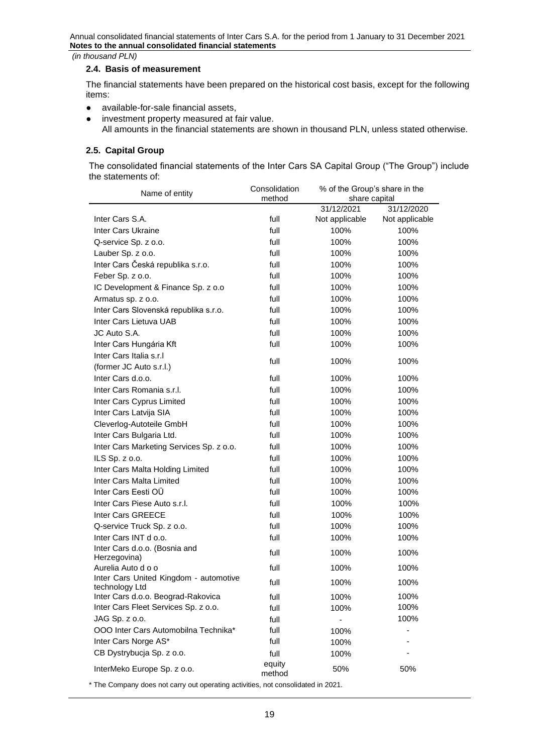#### **2.4. Basis of measurement**

The financial statements have been prepared on the historical cost basis, except for the following items:

- available-for-sale financial assets,
- investment property measured at fair value. All amounts in the financial statements are shown in thousand PLN, unless stated otherwise.

#### **2.5. Capital Group**

The consolidated financial statements of the Inter Cars SA Capital Group ("The Group") include the statements of:

| Name of entity                                           | Consolidation<br>method | % of the Group's share in the<br>share capital |                |  |  |
|----------------------------------------------------------|-------------------------|------------------------------------------------|----------------|--|--|
|                                                          |                         | 31/12/2021                                     | 31/12/2020     |  |  |
| Inter Cars S.A.                                          | full                    | Not applicable                                 | Not applicable |  |  |
| Inter Cars Ukraine                                       | full                    | 100%                                           | 100%           |  |  |
| Q-service Sp. z o.o.                                     | full                    | 100%                                           | 100%           |  |  |
| Lauber Sp. z o.o.                                        | full                    | 100%                                           | 100%           |  |  |
| Inter Cars Česká republika s.r.o.                        | full                    | 100%                                           | 100%           |  |  |
| Feber Sp. z o.o.                                         | full                    | 100%                                           | 100%           |  |  |
| IC Development & Finance Sp. z o.o                       | full                    | 100%                                           | 100%           |  |  |
| Armatus sp. z o.o.                                       | full                    | 100%                                           | 100%           |  |  |
| Inter Cars Slovenská republika s.r.o.                    | full                    | 100%                                           | 100%           |  |  |
| Inter Cars Lietuva UAB                                   | full                    | 100%                                           | 100%           |  |  |
| JC Auto S.A.                                             | full                    | 100%                                           | 100%           |  |  |
| Inter Cars Hungária Kft                                  | full                    | 100%                                           | 100%           |  |  |
| Inter Cars Italia s.r.I                                  |                         |                                                |                |  |  |
| (former JC Auto s.r.l.)                                  | full                    | 100%                                           | 100%           |  |  |
| Inter Cars d.o.o.                                        | full                    | 100%                                           | 100%           |  |  |
| Inter Cars Romania s.r.l.                                | full                    | 100%                                           | 100%           |  |  |
| Inter Cars Cyprus Limited                                | full                    | 100%                                           | 100%           |  |  |
| Inter Cars Latvija SIA                                   | full                    | 100%                                           | 100%           |  |  |
| Cleverlog-Autoteile GmbH                                 | full                    | 100%                                           | 100%           |  |  |
| Inter Cars Bulgaria Ltd.                                 | full                    | 100%                                           | 100%           |  |  |
| Inter Cars Marketing Services Sp. z o.o.                 | full                    | 100%                                           | 100%           |  |  |
| ILS Sp. z o.o.                                           | full                    | 100%                                           | 100%           |  |  |
| Inter Cars Malta Holding Limited                         | full                    | 100%                                           | 100%           |  |  |
| Inter Cars Malta Limited                                 | full                    | 100%                                           | 100%           |  |  |
| Inter Cars Eesti OÜ                                      | full                    | 100%                                           | 100%           |  |  |
| Inter Cars Piese Auto s.r.l.                             | full                    | 100%                                           | 100%           |  |  |
| Inter Cars GREECE                                        | full                    | 100%                                           | 100%           |  |  |
| Q-service Truck Sp. z o.o.                               | full                    | 100%                                           | 100%           |  |  |
| Inter Cars INT d o.o.                                    | full                    | 100%                                           | 100%           |  |  |
| Inter Cars d.o.o. (Bosnia and                            | full                    | 100%                                           | 100%           |  |  |
| Herzegovina)                                             |                         |                                                |                |  |  |
| Aurelia Auto d o o                                       | full                    | 100%                                           | 100%           |  |  |
| Inter Cars United Kingdom - automotive<br>technology Ltd | full                    | 100%                                           | 100%           |  |  |
| Inter Cars d.o.o. Beograd-Rakovica                       | full                    | 100%                                           | 100%           |  |  |
| Inter Cars Fleet Services Sp. z o.o.                     | full                    | 100%                                           | 100%           |  |  |
| JAG Sp. z o.o.                                           | full                    |                                                | 100%           |  |  |
| OOO Inter Cars Automobilna Technika*                     | full                    | 100%                                           |                |  |  |
| Inter Cars Norge AS*                                     | full                    | 100%                                           |                |  |  |
| CB Dystrybucja Sp. z o.o.                                | full                    | 100%                                           |                |  |  |
|                                                          | equity                  |                                                |                |  |  |
| InterMeko Europe Sp. z o.o.                              | method                  | 50%                                            | 50%            |  |  |
|                                                          |                         |                                                |                |  |  |

\* The Company does not carry out operating activities, not consolidated in 2021.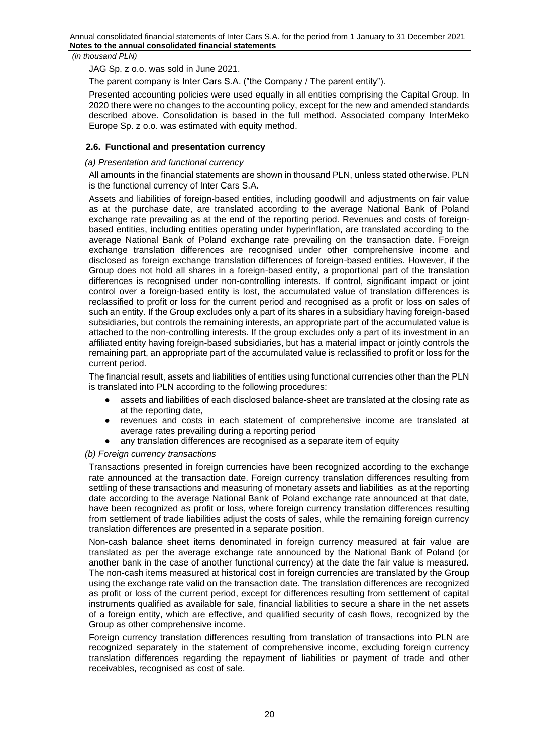JAG Sp. z o.o. was sold in June 2021.

The parent company is Inter Cars S.A. ("the Company / The parent entity").

Presented accounting policies were used equally in all entities comprising the Capital Group. In 2020 there were no changes to the accounting policy, except for the new and amended standards described above. Consolidation is based in the full method. Associated company InterMeko Europe Sp. z o.o. was estimated with equity method.

# **2.6. Functional and presentation currency**

# *(a) Presentation and functional currency*

All amounts in the financial statements are shown in thousand PLN, unless stated otherwise. PLN is the functional currency of Inter Cars S.A.

Assets and liabilities of foreign-based entities, including goodwill and adjustments on fair value as at the purchase date, are translated according to the average National Bank of Poland exchange rate prevailing as at the end of the reporting period. Revenues and costs of foreignbased entities, including entities operating under hyperinflation, are translated according to the average National Bank of Poland exchange rate prevailing on the transaction date. Foreign exchange translation differences are recognised under other comprehensive income and disclosed as foreign exchange translation differences of foreign-based entities. However, if the Group does not hold all shares in a foreign-based entity, a proportional part of the translation differences is recognised under non-controlling interests. If control, significant impact or joint control over a foreign-based entity is lost, the accumulated value of translation differences is reclassified to profit or loss for the current period and recognised as a profit or loss on sales of such an entity. If the Group excludes only a part of its shares in a subsidiary having foreign-based subsidiaries, but controls the remaining interests, an appropriate part of the accumulated value is attached to the non-controlling interests. If the group excludes only a part of its investment in an affiliated entity having foreign-based subsidiaries, but has a material impact or jointly controls the remaining part, an appropriate part of the accumulated value is reclassified to profit or loss for the current period.

The financial result, assets and liabilities of entities using functional currencies other than the PLN is translated into PLN according to the following procedures:

- assets and liabilities of each disclosed balance-sheet are translated at the closing rate as at the reporting date,
- revenues and costs in each statement of comprehensive income are translated at average rates prevailing during a reporting period
- any translation differences are recognised as a separate item of equity

# *(b) Foreign currency transactions*

Transactions presented in foreign currencies have been recognized according to the exchange rate announced at the transaction date. Foreign currency translation differences resulting from settling of these transactions and measuring of monetary assets and liabilities as at the reporting date according to the average National Bank of Poland exchange rate announced at that date, have been recognized as profit or loss, where foreign currency translation differences resulting from settlement of trade liabilities adjust the costs of sales, while the remaining foreign currency translation differences are presented in a separate position.

Non-cash balance sheet items denominated in foreign currency measured at fair value are translated as per the average exchange rate announced by the National Bank of Poland (or another bank in the case of another functional currency) at the date the fair value is measured. The non-cash items measured at historical cost in foreign currencies are translated by the Group using the exchange rate valid on the transaction date. The translation differences are recognized as profit or loss of the current period, except for differences resulting from settlement of capital instruments qualified as available for sale, financial liabilities to secure a share in the net assets of a foreign entity, which are effective, and qualified security of cash flows, recognized by the Group as other comprehensive income.

Foreign currency translation differences resulting from translation of transactions into PLN are recognized separately in the statement of comprehensive income, excluding foreign currency translation differences regarding the repayment of liabilities or payment of trade and other receivables, recognised as cost of sale.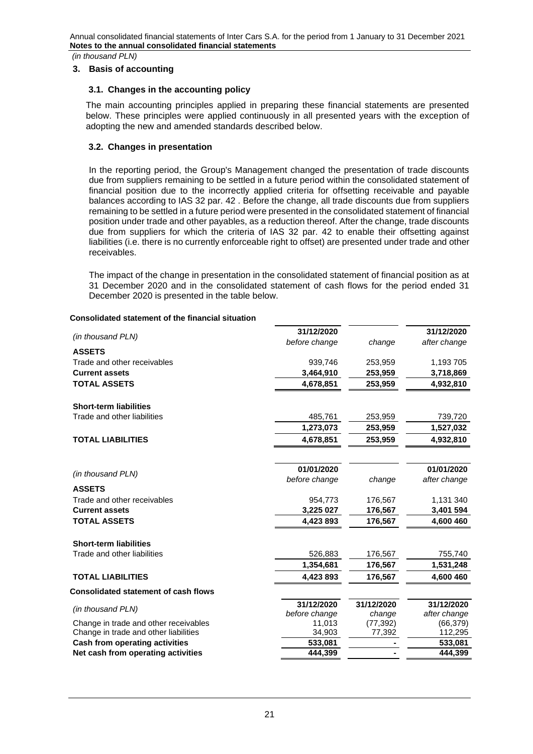*(in thousand PLN)*

## <span id="page-20-0"></span>**3. Basis of accounting**

## **3.1. Changes in the accounting policy**

The main accounting principles applied in preparing these financial statements are presented below. These principles were applied continuously in all presented years with the exception of adopting the new and amended standards described below.

# **3.2. Changes in presentation**

In the reporting period, the Group's Management changed the presentation of trade discounts due from suppliers remaining to be settled in a future period within the consolidated statement of financial position due to the incorrectly applied criteria for offsetting receivable and payable balances according to IAS 32 par. 42 . Before the change, all trade discounts due from suppliers remaining to be settled in a future period were presented in the consolidated statement of financial position under trade and other payables, as a reduction thereof. After the change, trade discounts due from suppliers for which the criteria of IAS 32 par. 42 to enable their offsetting against liabilities (i.e. there is no currently enforceable right to offset) are presented under trade and other receivables.

The impact of the change in presentation in the consolidated statement of financial position as at 31 December 2020 and in the consolidated statement of cash flows for the period ended 31 December 2020 is presented in the table below.

## **Consolidated statement of the financial situation**

| (in thousand PLN)                           | 31/12/2020    |            | 31/12/2020   |
|---------------------------------------------|---------------|------------|--------------|
|                                             | before change | change     | after change |
| <b>ASSETS</b>                               |               |            |              |
| Trade and other receivables                 | 939,746       | 253,959    | 1,193 705    |
| <b>Current assets</b>                       | 3,464,910     | 253,959    | 3,718,869    |
| <b>TOTAL ASSETS</b>                         | 4,678,851     | 253,959    | 4,932,810    |
|                                             |               |            |              |
| <b>Short-term liabilities</b>               |               |            |              |
| Trade and other liabilities                 | 485,761       | 253,959    | 739,720      |
|                                             | 1,273,073     | 253,959    | 1,527,032    |
| <b>TOTAL LIABILITIES</b>                    | 4,678,851     | 253,959    | 4,932,810    |
|                                             |               |            |              |
|                                             | 01/01/2020    |            | 01/01/2020   |
| (in thousand PLN)                           | before change | change     | after change |
| <b>ASSETS</b>                               |               |            |              |
| Trade and other receivables                 | 954,773       | 176,567    | 1,131 340    |
| <b>Current assets</b>                       | 3,225 027     | 176,567    | 3,401 594    |
| <b>TOTAL ASSETS</b>                         | 4,423 893     | 176,567    | 4,600 460    |
| <b>Short-term liabilities</b>               |               |            |              |
| Trade and other liabilities                 | 526,883       | 176,567    | 755,740      |
|                                             | 1,354,681     | 176,567    | 1,531,248    |
| <b>TOTAL LIABILITIES</b>                    | 4,423 893     | 176,567    | 4,600 460    |
|                                             |               |            |              |
| <b>Consolidated statement of cash flows</b> |               |            |              |
| (in thousand PLN)                           | 31/12/2020    | 31/12/2020 | 31/12/2020   |
|                                             | before change | change     | after change |
| Change in trade and other receivables       | 11,013        | (77, 392)  | (66, 379)    |
| Change in trade and other liabilities       | 34,903        | 77,392     | 112,295      |
| <b>Cash from operating activities</b>       | 533,081       |            | 533,081      |
| Net cash from operating activities          | 444,399       |            | 444,399      |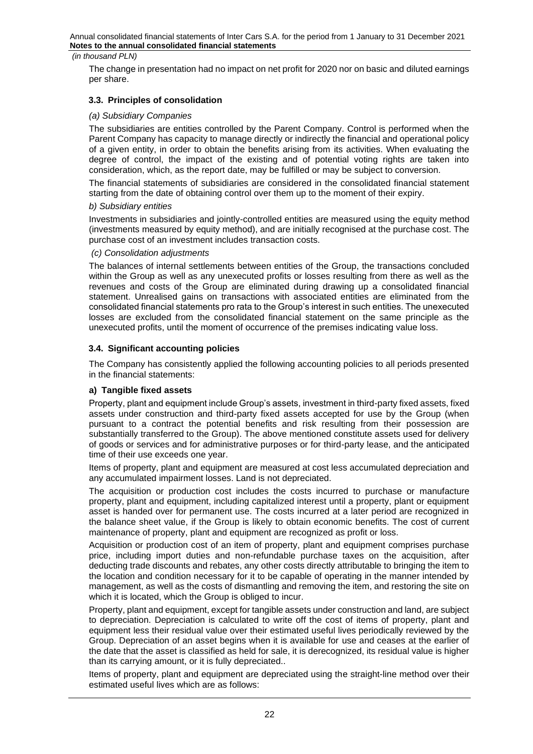The change in presentation had no impact on net profit for 2020 nor on basic and diluted earnings per share.

# **3.3. Principles of consolidation**

## *(a) Subsidiary Companies*

The subsidiaries are entities controlled by the Parent Company. Control is performed when the Parent Company has capacity to manage directly or indirectly the financial and operational policy of a given entity, in order to obtain the benefits arising from its activities. When evaluating the degree of control, the impact of the existing and of potential voting rights are taken into consideration, which, as the report date, may be fulfilled or may be subject to conversion.

The financial statements of subsidiaries are considered in the consolidated financial statement starting from the date of obtaining control over them up to the moment of their expiry.

#### *b) Subsidiary entities*

Investments in subsidiaries and jointly-controlled entities are measured using the equity method (investments measured by equity method), and are initially recognised at the purchase cost. The purchase cost of an investment includes transaction costs.

#### *(c) Consolidation adjustments*

The balances of internal settlements between entities of the Group, the transactions concluded within the Group as well as any unexecuted profits or losses resulting from there as well as the revenues and costs of the Group are eliminated during drawing up a consolidated financial statement. Unrealised gains on transactions with associated entities are eliminated from the consolidated financial statements pro rata to the Group's interest in such entities. The unexecuted losses are excluded from the consolidated financial statement on the same principle as the unexecuted profits, until the moment of occurrence of the premises indicating value loss.

## **3.4. Significant accounting policies**

The Company has consistently applied the following accounting policies to all periods presented in the financial statements:

# **a) Tangible fixed assets**

Property, plant and equipment include Group's assets, investment in third-party fixed assets, fixed assets under construction and third-party fixed assets accepted for use by the Group (when pursuant to a contract the potential benefits and risk resulting from their possession are substantially transferred to the Group). The above mentioned constitute assets used for delivery of goods or services and for administrative purposes or for third-party lease, and the anticipated time of their use exceeds one year.

Items of property, plant and equipment are measured at cost less accumulated depreciation and any accumulated impairment losses. Land is not depreciated.

The acquisition or production cost includes the costs incurred to purchase or manufacture property, plant and equipment, including capitalized interest until a property, plant or equipment asset is handed over for permanent use. The costs incurred at a later period are recognized in the balance sheet value, if the Group is likely to obtain economic benefits. The cost of current maintenance of property, plant and equipment are recognized as profit or loss.

Acquisition or production cost of an item of property, plant and equipment comprises purchase price, including import duties and non-refundable purchase taxes on the acquisition, after deducting trade discounts and rebates, any other costs directly attributable to bringing the item to the location and condition necessary for it to be capable of operating in the manner intended by management, as well as the costs of dismantling and removing the item, and restoring the site on which it is located, which the Group is obliged to incur.

Property, plant and equipment, except for tangible assets under construction and land, are subject to depreciation. Depreciation is calculated to write off the cost of items of property, plant and equipment less their residual value over their estimated useful lives periodically reviewed by the Group. Depreciation of an asset begins when it is available for use and ceases at the earlier of the date that the asset is classified as held for sale, it is derecognized, its residual value is higher than its carrying amount, or it is fully depreciated..

Items of property, plant and equipment are depreciated using the straight-line method over their estimated useful lives which are as follows: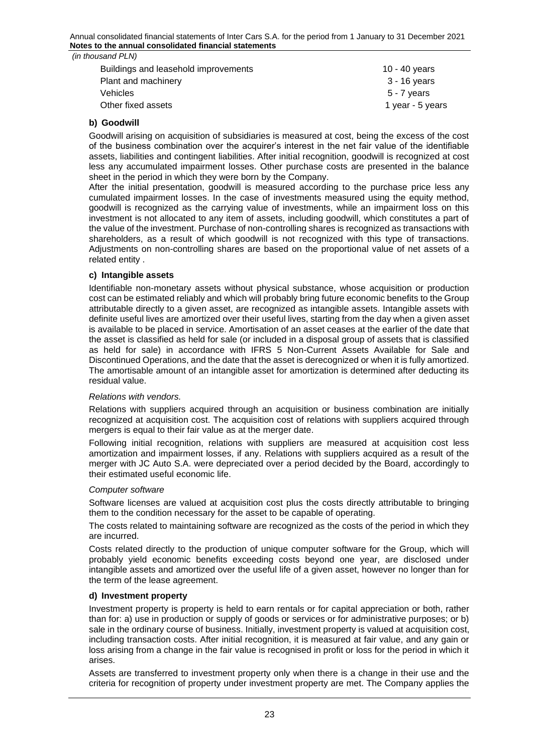| (in thousand PLN)                    |                  |
|--------------------------------------|------------------|
| Buildings and leasehold improvements | 10 - 40 years    |
| Plant and machinery                  | 3 - 16 years     |
| <b>Vehicles</b>                      | $5 - 7$ years    |
| Other fixed assets                   | 1 year - 5 years |

# **b) Goodwill**

Goodwill arising on acquisition of subsidiaries is measured at cost, being the excess of the cost of the business combination over the acquirer's interest in the net fair value of the identifiable assets, liabilities and contingent liabilities. After initial recognition, goodwill is recognized at cost less any accumulated impairment losses. Other purchase costs are presented in the balance sheet in the period in which they were born by the Company.

After the initial presentation, goodwill is measured according to the purchase price less any cumulated impairment losses. In the case of investments measured using the equity method, goodwill is recognized as the carrying value of investments, while an impairment loss on this investment is not allocated to any item of assets, including goodwill, which constitutes a part of the value of the investment. Purchase of non-controlling shares is recognized as transactions with shareholders, as a result of which goodwill is not recognized with this type of transactions. Adjustments on non-controlling shares are based on the proportional value of net assets of a related entity .

# **c) Intangible assets**

Identifiable non-monetary assets without physical substance, whose acquisition or production cost can be estimated reliably and which will probably bring future economic benefits to the Group attributable directly to a given asset, are recognized as intangible assets. Intangible assets with definite useful lives are amortized over their useful lives, starting from the day when a given asset is available to be placed in service. Amortisation of an asset ceases at the earlier of the date that the asset is classified as held for sale (or included in a disposal group of assets that is classified as held for sale) in accordance with IFRS 5 Non-Current Assets Available for Sale and Discontinued Operations, and the date that the asset is derecognized or when it is fully amortized. The amortisable amount of an intangible asset for amortization is determined after deducting its residual value.

#### *Relations with vendors.*

Relations with suppliers acquired through an acquisition or business combination are initially recognized at acquisition cost. The acquisition cost of relations with suppliers acquired through mergers is equal to their fair value as at the merger date.

Following initial recognition, relations with suppliers are measured at acquisition cost less amortization and impairment losses, if any. Relations with suppliers acquired as a result of the merger with JC Auto S.A. were depreciated over a period decided by the Board, accordingly to their estimated useful economic life.

#### *Computer software*

Software licenses are valued at acquisition cost plus the costs directly attributable to bringing them to the condition necessary for the asset to be capable of operating.

The costs related to maintaining software are recognized as the costs of the period in which they are incurred.

Costs related directly to the production of unique computer software for the Group, which will probably yield economic benefits exceeding costs beyond one year, are disclosed under intangible assets and amortized over the useful life of a given asset, however no longer than for the term of the lease agreement.

### **d) Investment property**

Investment property is property is held to earn rentals or for capital appreciation or both, rather than for: a) use in production or supply of goods or services or for administrative purposes; or b) sale in the ordinary course of business. Initially, investment property is valued at acquisition cost, including transaction costs. After initial recognition, it is measured at fair value, and any gain or loss arising from a change in the fair value is recognised in profit or loss for the period in which it arises.

Assets are transferred to investment property only when there is a change in their use and the criteria for recognition of property under investment property are met. The Company applies the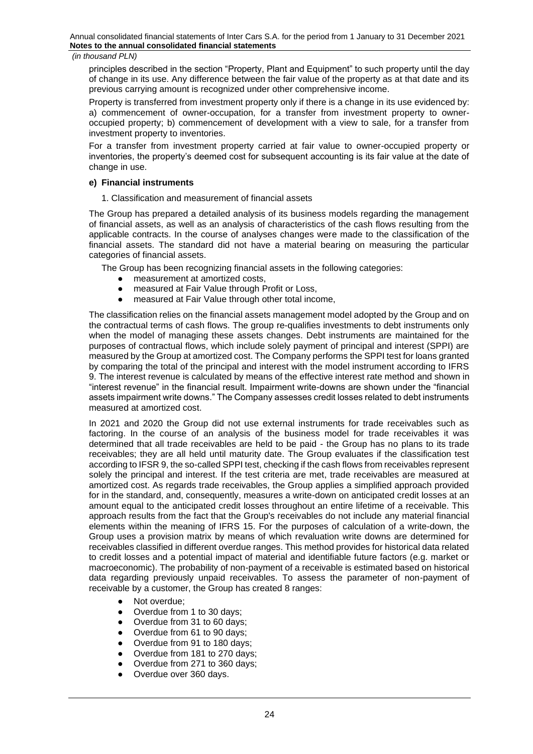principles described in the section "Property, Plant and Equipment" to such property until the day of change in its use. Any difference between the fair value of the property as at that date and its previous carrying amount is recognized under other comprehensive income.

Property is transferred from investment property only if there is a change in its use evidenced by: a) commencement of owner-occupation, for a transfer from investment property to owneroccupied property; b) commencement of development with a view to sale, for a transfer from investment property to inventories.

For a transfer from investment property carried at fair value to owner-occupied property or inventories, the property's deemed cost for subsequent accounting is its fair value at the date of change in use.

# **e) Financial instruments**

1. Classification and measurement of financial assets

The Group has prepared a detailed analysis of its business models regarding the management of financial assets, as well as an analysis of characteristics of the cash flows resulting from the applicable contracts. In the course of analyses changes were made to the classification of the financial assets. The standard did not have a material bearing on measuring the particular categories of financial assets.

The Group has been recognizing financial assets in the following categories:

- measurement at amortized costs,
- measured at Fair Value through Profit or Loss,
- measured at Fair Value through other total income,

The classification relies on the financial assets management model adopted by the Group and on the contractual terms of cash flows. The group re-qualifies investments to debt instruments only when the model of managing these assets changes. Debt instruments are maintained for the purposes of contractual flows, which include solely payment of principal and interest (SPPI) are measured by the Group at amortized cost. The Company performs the SPPI test for loans granted by comparing the total of the principal and interest with the model instrument according to IFRS 9. The interest revenue is calculated by means of the effective interest rate method and shown in "interest revenue" in the financial result. Impairment write-downs are shown under the "financial assets impairment write downs." The Company assesses credit losses related to debt instruments measured at amortized cost.

In 2021 and 2020 the Group did not use external instruments for trade receivables such as factoring. In the course of an analysis of the business model for trade receivables it was determined that all trade receivables are held to be paid - the Group has no plans to its trade receivables; they are all held until maturity date. The Group evaluates if the classification test according to IFSR 9, the so-called SPPI test, checking if the cash flows from receivables represent solely the principal and interest. If the test criteria are met, trade receivables are measured at amortized cost. As regards trade receivables, the Group applies a simplified approach provided for in the standard, and, consequently, measures a write-down on anticipated credit losses at an amount equal to the anticipated credit losses throughout an entire lifetime of a receivable. This approach results from the fact that the Group's receivables do not include any material financial elements within the meaning of IFRS 15. For the purposes of calculation of a write-down, the Group uses a provision matrix by means of which revaluation write downs are determined for receivables classified in different overdue ranges. This method provides for historical data related to credit losses and a potential impact of material and identifiable future factors (e.g. market or macroeconomic). The probability of non-payment of a receivable is estimated based on historical data regarding previously unpaid receivables. To assess the parameter of non-payment of receivable by a customer, the Group has created 8 ranges:

- Not overdue;
- Overdue from 1 to 30 days;
- Overdue from 31 to 60 days;
- Overdue from 61 to 90 days;
- Overdue from 91 to 180 days:
- Overdue from 181 to 270 days:
- Overdue from 271 to 360 days:
- Overdue over 360 days.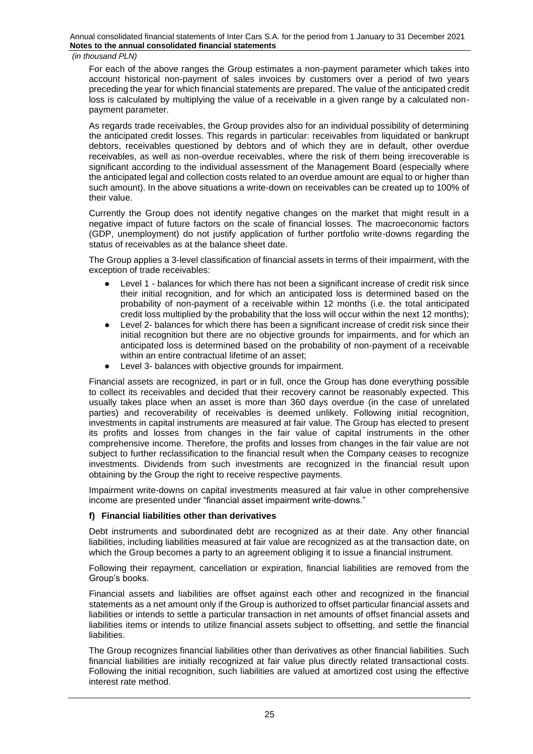*(in thousand PLN)*

For each of the above ranges the Group estimates a non-payment parameter which takes into account historical non-payment of sales invoices by customers over a period of two years preceding the year for which financial statements are prepared. The value of the anticipated credit loss is calculated by multiplying the value of a receivable in a given range by a calculated nonpayment parameter.

As regards trade receivables, the Group provides also for an individual possibility of determining the anticipated credit losses. This regards in particular: receivables from liquidated or bankrupt debtors, receivables questioned by debtors and of which they are in default, other overdue receivables, as well as non-overdue receivables, where the risk of them being irrecoverable is significant according to the individual assessment of the Management Board (especially where the anticipated legal and collection costs related to an overdue amount are equal to or higher than such amount). In the above situations a write-down on receivables can be created up to 100% of their value.

Currently the Group does not identify negative changes on the market that might result in a negative impact of future factors on the scale of financial losses. The macroeconomic factors (GDP, unemployment) do not justify application of further portfolio write-downs regarding the status of receivables as at the balance sheet date.

The Group applies a 3-level classification of financial assets in terms of their impairment, with the exception of trade receivables:

- Level 1 balances for which there has not been a significant increase of credit risk since their initial recognition, and for which an anticipated loss is determined based on the probability of non-payment of a receivable within 12 months (i.e. the total anticipated credit loss multiplied by the probability that the loss will occur within the next 12 months);
- Level 2- balances for which there has been a significant increase of credit risk since their initial recognition but there are no objective grounds for impairments, and for which an anticipated loss is determined based on the probability of non-payment of a receivable within an entire contractual lifetime of an asset;
- Level 3- balances with objective grounds for impairment.

Financial assets are recognized, in part or in full, once the Group has done everything possible to collect its receivables and decided that their recovery cannot be reasonably expected. This usually takes place when an asset is more than 360 days overdue (in the case of unrelated parties) and recoverability of receivables is deemed unlikely. Following initial recognition, investments in capital instruments are measured at fair value. The Group has elected to present its profits and losses from changes in the fair value of capital instruments in the other comprehensive income. Therefore, the profits and losses from changes in the fair value are not subject to further reclassification to the financial result when the Company ceases to recognize investments. Dividends from such investments are recognized in the financial result upon obtaining by the Group the right to receive respective payments.

Impairment write-downs on capital investments measured at fair value in other comprehensive income are presented under "financial asset impairment write-downs."

# **f) Financial liabilities other than derivatives**

Debt instruments and subordinated debt are recognized as at their date. Any other financial liabilities, including liabilities measured at fair value are recognized as at the transaction date, on which the Group becomes a party to an agreement obliging it to issue a financial instrument.

Following their repayment, cancellation or expiration, financial liabilities are removed from the Group's books.

Financial assets and liabilities are offset against each other and recognized in the financial statements as a net amount only if the Group is authorized to offset particular financial assets and liabilities or intends to settle a particular transaction in net amounts of offset financial assets and liabilities items or intends to utilize financial assets subject to offsetting, and settle the financial liabilities.

The Group recognizes financial liabilities other than derivatives as other financial liabilities. Such financial liabilities are initially recognized at fair value plus directly related transactional costs. Following the initial recognition, such liabilities are valued at amortized cost using the effective interest rate method.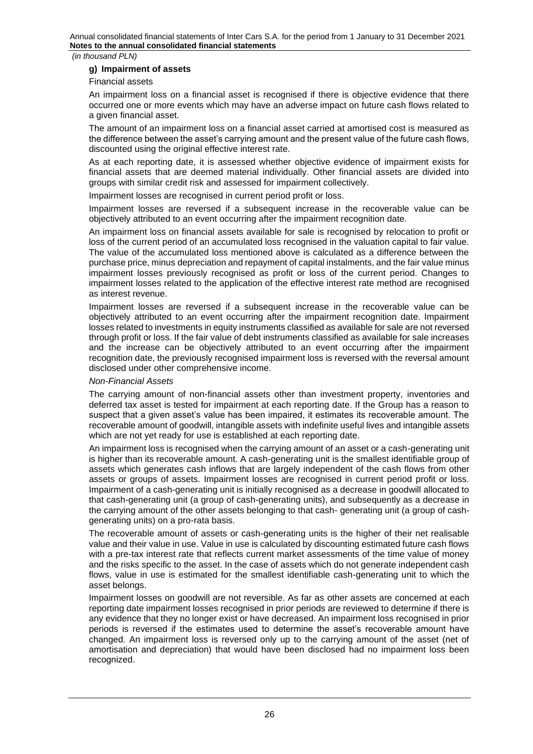## **g) Impairment of assets**

Financial assets

An impairment loss on a financial asset is recognised if there is objective evidence that there occurred one or more events which may have an adverse impact on future cash flows related to a given financial asset.

The amount of an impairment loss on a financial asset carried at amortised cost is measured as the difference between the asset's carrying amount and the present value of the future cash flows, discounted using the original effective interest rate.

As at each reporting date, it is assessed whether objective evidence of impairment exists for financial assets that are deemed material individually. Other financial assets are divided into groups with similar credit risk and assessed for impairment collectively.

Impairment losses are recognised in current period profit or loss.

Impairment losses are reversed if a subsequent increase in the recoverable value can be objectively attributed to an event occurring after the impairment recognition date.

An impairment loss on financial assets available for sale is recognised by relocation to profit or loss of the current period of an accumulated loss recognised in the valuation capital to fair value. The value of the accumulated loss mentioned above is calculated as a difference between the purchase price, minus depreciation and repayment of capital instalments, and the fair value minus impairment losses previously recognised as profit or loss of the current period. Changes to impairment losses related to the application of the effective interest rate method are recognised as interest revenue.

Impairment losses are reversed if a subsequent increase in the recoverable value can be objectively attributed to an event occurring after the impairment recognition date. Impairment losses related to investments in equity instruments classified as available for sale are not reversed through profit or loss. If the fair value of debt instruments classified as available for sale increases and the increase can be objectively attributed to an event occurring after the impairment recognition date, the previously recognised impairment loss is reversed with the reversal amount disclosed under other comprehensive income.

# *Non-Financial Assets*

The carrying amount of non-financial assets other than investment property, inventories and deferred tax asset is tested for impairment at each reporting date. If the Group has a reason to suspect that a given asset's value has been impaired, it estimates its recoverable amount. The recoverable amount of goodwill, intangible assets with indefinite useful lives and intangible assets which are not yet ready for use is established at each reporting date.

An impairment loss is recognised when the carrying amount of an asset or a cash-generating unit is higher than its recoverable amount. A cash-generating unit is the smallest identifiable group of assets which generates cash inflows that are largely independent of the cash flows from other assets or groups of assets. Impairment losses are recognised in current period profit or loss. Impairment of a cash-generating unit is initially recognised as a decrease in goodwill allocated to that cash-generating unit (a group of cash-generating units), and subsequently as a decrease in the carrying amount of the other assets belonging to that cash- generating unit (a group of cashgenerating units) on a pro-rata basis.

The recoverable amount of assets or cash-generating units is the higher of their net realisable value and their value in use. Value in use is calculated by discounting estimated future cash flows with a pre-tax interest rate that reflects current market assessments of the time value of money and the risks specific to the asset. In the case of assets which do not generate independent cash flows, value in use is estimated for the smallest identifiable cash-generating unit to which the asset belongs.

Impairment losses on goodwill are not reversible. As far as other assets are concerned at each reporting date impairment losses recognised in prior periods are reviewed to determine if there is any evidence that they no longer exist or have decreased. An impairment loss recognised in prior periods is reversed if the estimates used to determine the asset's recoverable amount have changed. An impairment loss is reversed only up to the carrying amount of the asset (net of amortisation and depreciation) that would have been disclosed had no impairment loss been recognized.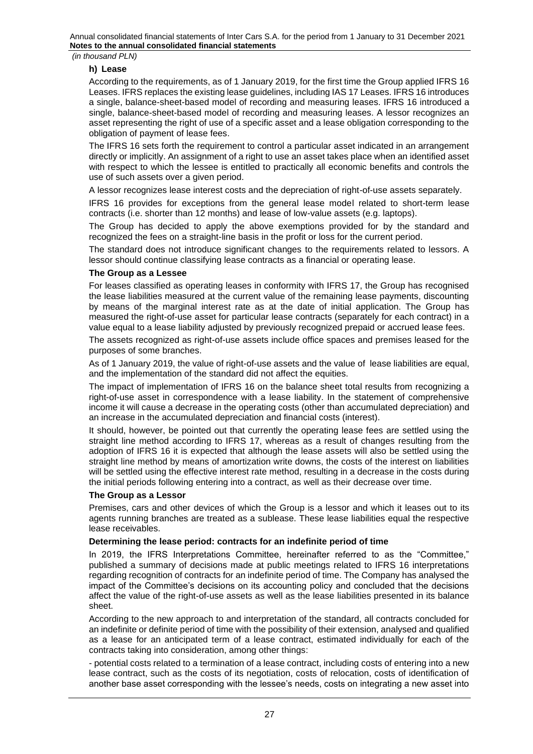# **h) Lease**

According to the requirements, as of 1 January 2019, for the first time the Group applied IFRS 16 Leases. IFRS replaces the existing lease guidelines, including IAS 17 Leases. IFRS 16 introduces a single, balance-sheet-based model of recording and measuring leases. IFRS 16 introduced a single, balance-sheet-based model of recording and measuring leases. A lessor recognizes an asset representing the right of use of a specific asset and a lease obligation corresponding to the obligation of payment of lease fees.

The IFRS 16 sets forth the requirement to control a particular asset indicated in an arrangement directly or implicitly. An assignment of a right to use an asset takes place when an identified asset with respect to which the lessee is entitled to practically all economic benefits and controls the use of such assets over a given period.

A lessor recognizes lease interest costs and the depreciation of right-of-use assets separately.

IFRS 16 provides for exceptions from the general lease model related to short-term lease contracts (i.e. shorter than 12 months) and lease of low-value assets (e.g. laptops).

The Group has decided to apply the above exemptions provided for by the standard and recognized the fees on a straight-line basis in the profit or loss for the current period.

The standard does not introduce significant changes to the requirements related to lessors. A lessor should continue classifying lease contracts as a financial or operating lease.

#### **The Group as a Lessee**

For leases classified as operating leases in conformity with IFRS 17, the Group has recognised the lease liabilities measured at the current value of the remaining lease payments, discounting by means of the marginal interest rate as at the date of initial application. The Group has measured the right-of-use asset for particular lease contracts (separately for each contract) in a value equal to a lease liability adjusted by previously recognized prepaid or accrued lease fees.

The assets recognized as right-of-use assets include office spaces and premises leased for the purposes of some branches.

As of 1 January 2019, the value of right-of-use assets and the value of lease liabilities are equal, and the implementation of the standard did not affect the equities.

The impact of implementation of IFRS 16 on the balance sheet total results from recognizing a right-of-use asset in correspondence with a lease liability. In the statement of comprehensive income it will cause a decrease in the operating costs (other than accumulated depreciation) and an increase in the accumulated depreciation and financial costs (interest).

It should, however, be pointed out that currently the operating lease fees are settled using the straight line method according to IFRS 17, whereas as a result of changes resulting from the adoption of IFRS 16 it is expected that although the lease assets will also be settled using the straight line method by means of amortization write downs, the costs of the interest on liabilities will be settled using the effective interest rate method, resulting in a decrease in the costs during the initial periods following entering into a contract, as well as their decrease over time.

# **The Group as a Lessor**

Premises, cars and other devices of which the Group is a lessor and which it leases out to its agents running branches are treated as a sublease. These lease liabilities equal the respective lease receivables.

# **Determining the lease period: contracts for an indefinite period of time**

In 2019, the IFRS Interpretations Committee, hereinafter referred to as the "Committee," published a summary of decisions made at public meetings related to IFRS 16 interpretations regarding recognition of contracts for an indefinite period of time. The Company has analysed the impact of the Committee's decisions on its accounting policy and concluded that the decisions affect the value of the right-of-use assets as well as the lease liabilities presented in its balance sheet.

According to the new approach to and interpretation of the standard, all contracts concluded for an indefinite or definite period of time with the possibility of their extension, analysed and qualified as a lease for an anticipated term of a lease contract, estimated individually for each of the contracts taking into consideration, among other things:

- potential costs related to a termination of a lease contract, including costs of entering into a new lease contract, such as the costs of its negotiation, costs of relocation, costs of identification of another base asset corresponding with the lessee's needs, costs on integrating a new asset into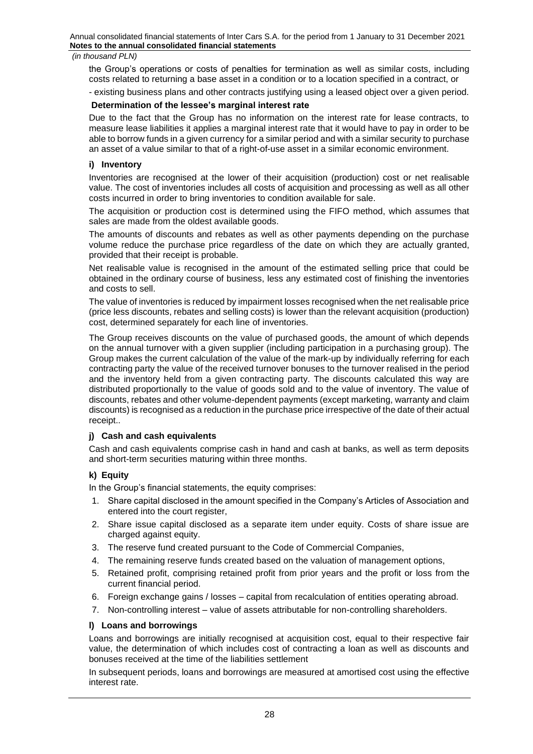the Group's operations or costs of penalties for termination as well as similar costs, including costs related to returning a base asset in a condition or to a location specified in a contract, or

- existing business plans and other contracts justifying using a leased object over a given period.

# **Determination of the lessee's marginal interest rate**

Due to the fact that the Group has no information on the interest rate for lease contracts, to measure lease liabilities it applies a marginal interest rate that it would have to pay in order to be able to borrow funds in a given currency for a similar period and with a similar security to purchase an asset of a value similar to that of a right-of-use asset in a similar economic environment.

# **i) Inventory**

Inventories are recognised at the lower of their acquisition (production) cost or net realisable value. The cost of inventories includes all costs of acquisition and processing as well as all other costs incurred in order to bring inventories to condition available for sale.

The acquisition or production cost is determined using the FIFO method, which assumes that sales are made from the oldest available goods.

The amounts of discounts and rebates as well as other payments depending on the purchase volume reduce the purchase price regardless of the date on which they are actually granted, provided that their receipt is probable.

Net realisable value is recognised in the amount of the estimated selling price that could be obtained in the ordinary course of business, less any estimated cost of finishing the inventories and costs to sell.

The value of inventories is reduced by impairment losses recognised when the net realisable price (price less discounts, rebates and selling costs) is lower than the relevant acquisition (production) cost, determined separately for each line of inventories.

The Group receives discounts on the value of purchased goods, the amount of which depends on the annual turnover with a given supplier (including participation in a purchasing group). The Group makes the current calculation of the value of the mark-up by individually referring for each contracting party the value of the received turnover bonuses to the turnover realised in the period and the inventory held from a given contracting party. The discounts calculated this way are distributed proportionally to the value of goods sold and to the value of inventory. The value of discounts, rebates and other volume-dependent payments (except marketing, warranty and claim discounts) is recognised as a reduction in the purchase price irrespective of the date of their actual receipt..

# **j) Cash and cash equivalents**

Cash and cash equivalents comprise cash in hand and cash at banks, as well as term deposits and short-term securities maturing within three months.

# **k) Equity**

In the Group's financial statements, the equity comprises:

- 1. Share capital disclosed in the amount specified in the Company's Articles of Association and entered into the court register,
- 2. Share issue capital disclosed as a separate item under equity. Costs of share issue are charged against equity.
- 3. The reserve fund created pursuant to the Code of Commercial Companies,
- 4. The remaining reserve funds created based on the valuation of management options,
- 5. Retained profit, comprising retained profit from prior years and the profit or loss from the current financial period.
- 6. Foreign exchange gains / losses capital from recalculation of entities operating abroad.
- 7. Non-controlling interest value of assets attributable for non-controlling shareholders.

# **l) Loans and borrowings**

Loans and borrowings are initially recognised at acquisition cost, equal to their respective fair value, the determination of which includes cost of contracting a loan as well as discounts and bonuses received at the time of the liabilities settlement

In subsequent periods, loans and borrowings are measured at amortised cost using the effective interest rate.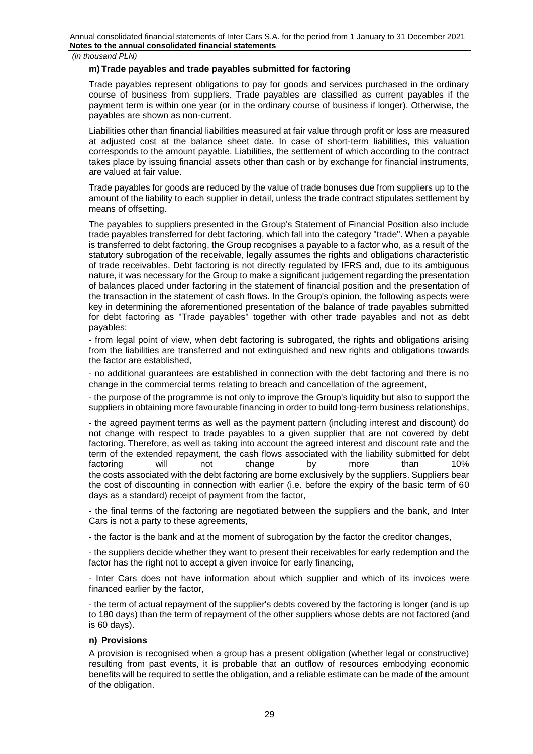## **m) Trade payables and trade payables submitted for factoring**

Trade payables represent obligations to pay for goods and services purchased in the ordinary course of business from suppliers. Trade payables are classified as current payables if the payment term is within one year (or in the ordinary course of business if longer). Otherwise, the payables are shown as non-current.

Liabilities other than financial liabilities measured at fair value through profit or loss are measured at adjusted cost at the balance sheet date. In case of short-term liabilities, this valuation corresponds to the amount payable. Liabilities, the settlement of which according to the contract takes place by issuing financial assets other than cash or by exchange for financial instruments, are valued at fair value.

Trade payables for goods are reduced by the value of trade bonuses due from suppliers up to the amount of the liability to each supplier in detail, unless the trade contract stipulates settlement by means of offsetting.

The payables to suppliers presented in the Group's Statement of Financial Position also include trade payables transferred for debt factoring, which fall into the category "trade". When a payable is transferred to debt factoring, the Group recognises a payable to a factor who, as a result of the statutory subrogation of the receivable, legally assumes the rights and obligations characteristic of trade receivables. Debt factoring is not directly regulated by IFRS and, due to its ambiguous nature, it was necessary for the Group to make a significant judgement regarding the presentation of balances placed under factoring in the statement of financial position and the presentation of the transaction in the statement of cash flows. In the Group's opinion, the following aspects were key in determining the aforementioned presentation of the balance of trade payables submitted for debt factoring as "Trade payables" together with other trade payables and not as debt payables:

- from legal point of view, when debt factoring is subrogated, the rights and obligations arising from the liabilities are transferred and not extinguished and new rights and obligations towards the factor are established,

- no additional guarantees are established in connection with the debt factoring and there is no change in the commercial terms relating to breach and cancellation of the agreement,

- the purpose of the programme is not only to improve the Group's liquidity but also to support the suppliers in obtaining more favourable financing in order to build long-term business relationships,

- the agreed payment terms as well as the payment pattern (including interest and discount) do not change with respect to trade payables to a given supplier that are not covered by debt factoring. Therefore, as well as taking into account the agreed interest and discount rate and the term of the extended repayment, the cash flows associated with the liability submitted for debt<br>factoring will not change by more than 10% factoring will not change by more than 10% the costs associated with the debt factoring are borne exclusively by the suppliers. Suppliers bear the cost of discounting in connection with earlier (i.e. before the expiry of the basic term of 60 days as a standard) receipt of payment from the factor,

- the final terms of the factoring are negotiated between the suppliers and the bank, and Inter Cars is not a party to these agreements,

- the factor is the bank and at the moment of subrogation by the factor the creditor changes,

- the suppliers decide whether they want to present their receivables for early redemption and the factor has the right not to accept a given invoice for early financing,

- Inter Cars does not have information about which supplier and which of its invoices were financed earlier by the factor,

- the term of actual repayment of the supplier's debts covered by the factoring is longer (and is up to 180 days) than the term of repayment of the other suppliers whose debts are not factored (and is 60 days).

# **n) Provisions**

A provision is recognised when a group has a present obligation (whether legal or constructive) resulting from past events, it is probable that an outflow of resources embodying economic benefits will be required to settle the obligation, and a reliable estimate can be made of the amount of the obligation.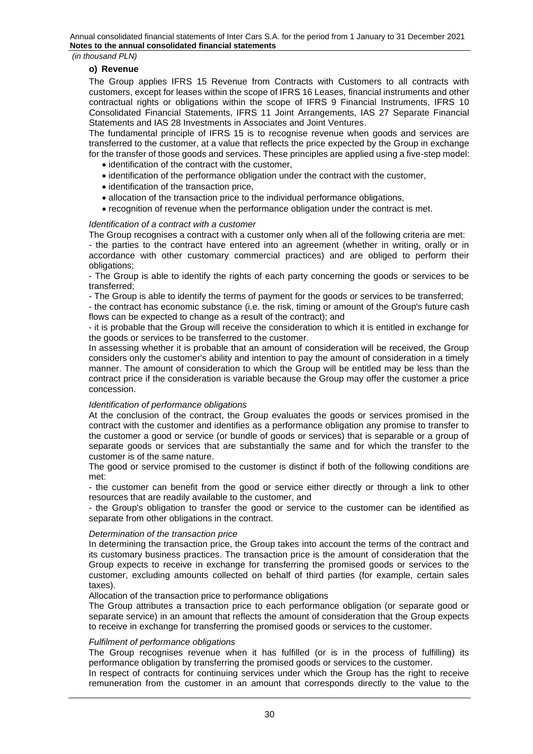*(in thousand PLN)*

#### **o) Revenue**

The Group applies IFRS 15 Revenue from Contracts with Customers to all contracts with customers, except for leases within the scope of IFRS 16 Leases, financial instruments and other contractual rights or obligations within the scope of IFRS 9 Financial Instruments, IFRS 10 Consolidated Financial Statements, IFRS 11 Joint Arrangements, IAS 27 Separate Financial Statements and IAS 28 Investments in Associates and Joint Ventures.

The fundamental principle of IFRS 15 is to recognise revenue when goods and services are transferred to the customer, at a value that reflects the price expected by the Group in exchange for the transfer of those goods and services. These principles are applied using a five-step model:

- identification of the contract with the customer,
- identification of the performance obligation under the contract with the customer,
- identification of the transaction price,
- allocation of the transaction price to the individual performance obligations,
- recognition of revenue when the performance obligation under the contract is met.

#### *Identification of a contract with a customer*

The Group recognises a contract with a customer only when all of the following criteria are met:

- the parties to the contract have entered into an agreement (whether in writing, orally or in accordance with other customary commercial practices) and are obliged to perform their obligations;

- The Group is able to identify the rights of each party concerning the goods or services to be transferred;

- The Group is able to identify the terms of payment for the goods or services to be transferred;

- the contract has economic substance (i.e. the risk, timing or amount of the Group's future cash flows can be expected to change as a result of the contract); and

- it is probable that the Group will receive the consideration to which it is entitled in exchange for the goods or services to be transferred to the customer.

In assessing whether it is probable that an amount of consideration will be received, the Group considers only the customer's ability and intention to pay the amount of consideration in a timely manner. The amount of consideration to which the Group will be entitled may be less than the contract price if the consideration is variable because the Group may offer the customer a price concession.

#### *Identification of performance obligations*

At the conclusion of the contract, the Group evaluates the goods or services promised in the contract with the customer and identifies as a performance obligation any promise to transfer to the customer a good or service (or bundle of goods or services) that is separable or a group of separate goods or services that are substantially the same and for which the transfer to the customer is of the same nature.

The good or service promised to the customer is distinct if both of the following conditions are met:

- the customer can benefit from the good or service either directly or through a link to other resources that are readily available to the customer, and

- the Group's obligation to transfer the good or service to the customer can be identified as separate from other obligations in the contract.

# *Determination of the transaction price*

In determining the transaction price, the Group takes into account the terms of the contract and its customary business practices. The transaction price is the amount of consideration that the Group expects to receive in exchange for transferring the promised goods or services to the customer, excluding amounts collected on behalf of third parties (for example, certain sales taxes).

Allocation of the transaction price to performance obligations

The Group attributes a transaction price to each performance obligation (or separate good or separate service) in an amount that reflects the amount of consideration that the Group expects to receive in exchange for transferring the promised goods or services to the customer.

#### *Fulfilment of performance obligations*

The Group recognises revenue when it has fulfilled (or is in the process of fulfilling) its performance obligation by transferring the promised goods or services to the customer.

In respect of contracts for continuing services under which the Group has the right to receive remuneration from the customer in an amount that corresponds directly to the value to the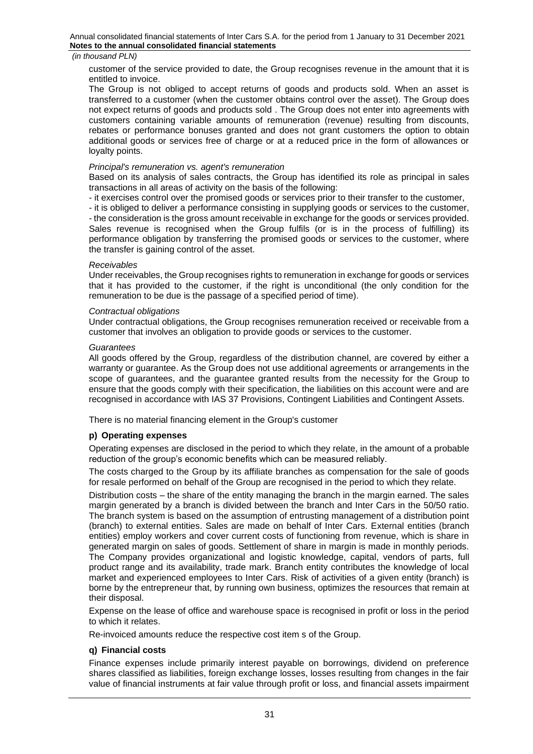customer of the service provided to date, the Group recognises revenue in the amount that it is entitled to invoice.

The Group is not obliged to accept returns of goods and products sold. When an asset is transferred to a customer (when the customer obtains control over the asset). The Group does not expect returns of goods and products sold . The Group does not enter into agreements with customers containing variable amounts of remuneration (revenue) resulting from discounts, rebates or performance bonuses granted and does not grant customers the option to obtain additional goods or services free of charge or at a reduced price in the form of allowances or loyalty points.

## *Principal's remuneration vs. agent's remuneration*

Based on its analysis of sales contracts, the Group has identified its role as principal in sales transactions in all areas of activity on the basis of the following:

- it exercises control over the promised goods or services prior to their transfer to the customer,

- it is obliged to deliver a performance consisting in supplying goods or services to the customer,

- the consideration is the gross amount receivable in exchange for the goods or services provided. Sales revenue is recognised when the Group fulfils (or is in the process of fulfilling) its performance obligation by transferring the promised goods or services to the customer, where the transfer is gaining control of the asset.

#### *Receivables*

Under receivables, the Group recognises rights to remuneration in exchange for goods or services that it has provided to the customer, if the right is unconditional (the only condition for the remuneration to be due is the passage of a specified period of time).

#### *Contractual obligations*

Under contractual obligations, the Group recognises remuneration received or receivable from a customer that involves an obligation to provide goods or services to the customer.

#### *Guarantees*

All goods offered by the Group, regardless of the distribution channel, are covered by either a warranty or guarantee. As the Group does not use additional agreements or arrangements in the scope of guarantees, and the guarantee granted results from the necessity for the Group to ensure that the goods comply with their specification, the liabilities on this account were and are recognised in accordance with IAS 37 Provisions, Contingent Liabilities and Contingent Assets.

There is no material financing element in the Group's customer

# **p) Operating expenses**

Operating expenses are disclosed in the period to which they relate, in the amount of a probable reduction of the group's economic benefits which can be measured reliably.

The costs charged to the Group by its affiliate branches as compensation for the sale of goods for resale performed on behalf of the Group are recognised in the period to which they relate.

Distribution costs – the share of the entity managing the branch in the margin earned. The sales margin generated by a branch is divided between the branch and Inter Cars in the 50/50 ratio. The branch system is based on the assumption of entrusting management of a distribution point (branch) to external entities. Sales are made on behalf of Inter Cars. External entities (branch entities) employ workers and cover current costs of functioning from revenue, which is share in generated margin on sales of goods. Settlement of share in margin is made in monthly periods. The Company provides organizational and logistic knowledge, capital, vendors of parts, full product range and its availability, trade mark. Branch entity contributes the knowledge of local market and experienced employees to Inter Cars. Risk of activities of a given entity (branch) is borne by the entrepreneur that, by running own business, optimizes the resources that remain at their disposal.

Expense on the lease of office and warehouse space is recognised in profit or loss in the period to which it relates.

Re-invoiced amounts reduce the respective cost item s of the Group.

# **q) Financial costs**

Finance expenses include primarily interest payable on borrowings, dividend on preference shares classified as liabilities, foreign exchange losses, losses resulting from changes in the fair value of financial instruments at fair value through profit or loss, and financial assets impairment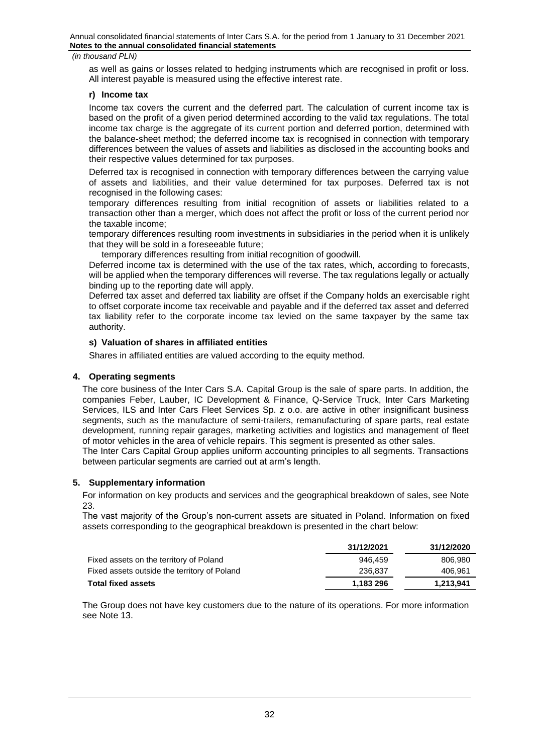#### *(in thousand PLN)*

as well as gains or losses related to hedging instruments which are recognised in profit or loss. All interest payable is measured using the effective interest rate.

# **r) Income tax**

Income tax covers the current and the deferred part. The calculation of current income tax is based on the profit of a given period determined according to the valid tax regulations. The total income tax charge is the aggregate of its current portion and deferred portion, determined with the balance-sheet method; the deferred income tax is recognised in connection with temporary differences between the values of assets and liabilities as disclosed in the accounting books and their respective values determined for tax purposes.

Deferred tax is recognised in connection with temporary differences between the carrying value of assets and liabilities, and their value determined for tax purposes. Deferred tax is not recognised in the following cases:

temporary differences resulting from initial recognition of assets or liabilities related to a transaction other than a merger, which does not affect the profit or loss of the current period nor the taxable income;

temporary differences resulting room investments in subsidiaries in the period when it is unlikely that they will be sold in a foreseeable future;

temporary differences resulting from initial recognition of goodwill.

Deferred income tax is determined with the use of the tax rates, which, according to forecasts, will be applied when the temporary differences will reverse. The tax regulations legally or actually binding up to the reporting date will apply.

Deferred tax asset and deferred tax liability are offset if the Company holds an exercisable right to offset corporate income tax receivable and payable and if the deferred tax asset and deferred tax liability refer to the corporate income tax levied on the same taxpayer by the same tax authority.

#### **s) Valuation of shares in affiliated entities**

Shares in affiliated entities are valued according to the equity method.

#### <span id="page-31-0"></span>**4. Operating segments**

The core business of the Inter Cars S.A. Capital Group is the sale of spare parts. In addition, the companies Feber, Lauber, IC Development & Finance, Q-Service Truck, Inter Cars Marketing Services, ILS and Inter Cars Fleet Services Sp. z o.o. are active in other insignificant business segments, such as the manufacture of semi-trailers, remanufacturing of spare parts, real estate development, running repair garages, marketing activities and logistics and management of fleet of motor vehicles in the area of vehicle repairs. This segment is presented as other sales.

The Inter Cars Capital Group applies uniform accounting principles to all segments. Transactions between particular segments are carried out at arm's length.

#### <span id="page-31-1"></span>**5. Supplementary information**

For information on key products and services and the geographical breakdown of sales, see Note 23.

The vast majority of the Group's non-current assets are situated in Poland. Information on fixed assets corresponding to the geographical breakdown is presented in the chart below:

|                                              | 31/12/2021 | 31/12/2020 |
|----------------------------------------------|------------|------------|
| Fixed assets on the territory of Poland      | 946.459    | 806.980    |
| Fixed assets outside the territory of Poland | 236,837    | 406.961    |
| <b>Total fixed assets</b>                    | 1.183 296  | 1.213.941  |

The Group does not have key customers due to the nature of its operations. For more information see Note 13.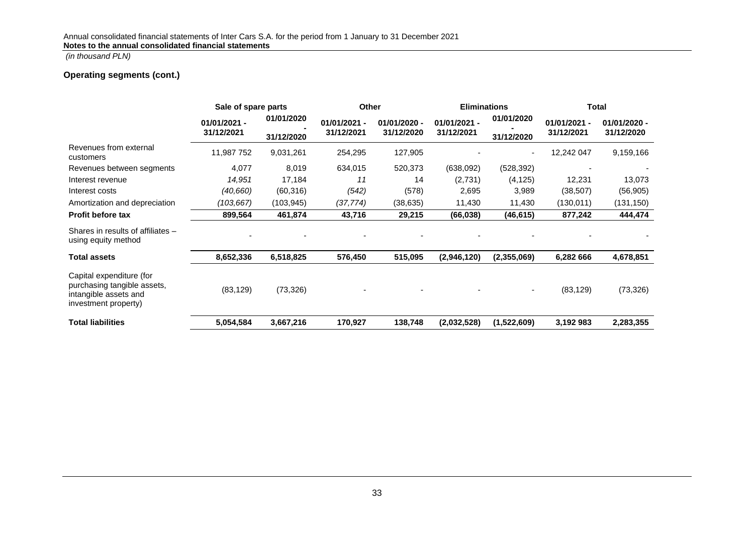# **Operating segments (cont.)**

|                                                                                                          | Sale of spare parts |            | <b>Other</b> |              | <b>Eliminations</b> |             | Total          |                |
|----------------------------------------------------------------------------------------------------------|---------------------|------------|--------------|--------------|---------------------|-------------|----------------|----------------|
|                                                                                                          | $01/01/2021 -$      | 01/01/2020 | 01/01/2021 - | 01/01/2020 - | $01/01/2021 -$      | 01/01/2020  | $01/01/2021 -$ | $01/01/2020 -$ |
|                                                                                                          | 31/12/2021          | 31/12/2020 | 31/12/2021   | 31/12/2020   | 31/12/2021          | 31/12/2020  | 31/12/2021     | 31/12/2020     |
| Revenues from external<br>customers                                                                      | 11,987 752          | 9,031,261  | 254,295      | 127,905      |                     |             | 12,242 047     | 9,159,166      |
| Revenues between segments                                                                                | 4,077               | 8,019      | 634,015      | 520,373      | (638,092)           | (528, 392)  |                |                |
| Interest revenue                                                                                         | 14,951              | 17,184     | 11           | 14           | (2,731)             | (4, 125)    | 12,231         | 13,073         |
| Interest costs                                                                                           | (40,660)            | (60, 316)  | (542)        | (578)        | 2,695               | 3,989       | (38, 507)      | (56, 905)      |
| Amortization and depreciation                                                                            | (103, 667)          | (103, 945) | (37, 774)    | (38, 635)    | 11,430              | 11,430      | (130, 011)     | (131, 150)     |
| <b>Profit before tax</b>                                                                                 | 899,564             | 461,874    | 43,716       | 29,215       | (66, 038)           | (46, 615)   | 877,242        | 444,474        |
| Shares in results of affiliates -<br>using equity method                                                 |                     |            |              |              |                     |             |                |                |
| <b>Total assets</b>                                                                                      | 8,652,336           | 6,518,825  | 576,450      | 515,095      | (2,946,120)         | (2,355,069) | 6,282 666      | 4,678,851      |
| Capital expenditure (for<br>purchasing tangible assets,<br>intangible assets and<br>investment property) | (83, 129)           | (73, 326)  |              |              |                     |             | (83, 129)      | (73, 326)      |
| <b>Total liabilities</b>                                                                                 | 5,054,584           | 3,667,216  | 170,927      | 138,748      | (2,032,528)         | (1,522,609) | 3,192 983      | 2,283,355      |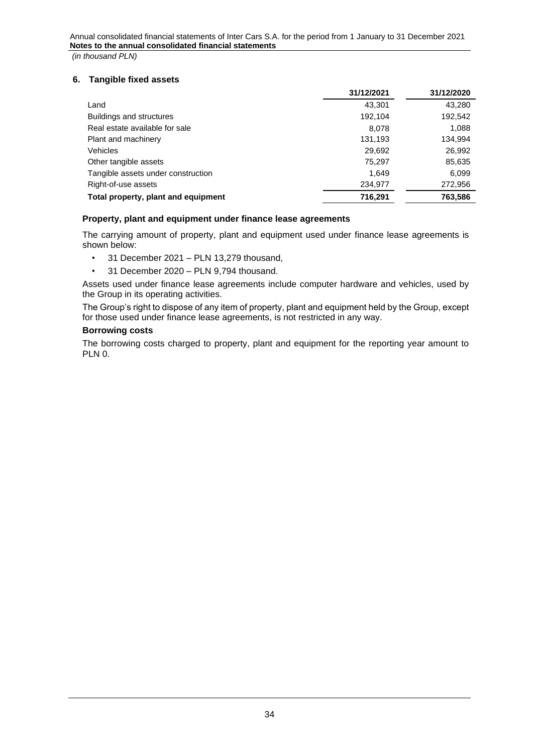# <span id="page-33-0"></span>**6. Tangible fixed assets**

|                                     | 31/12/2021 | 31/12/2020 |
|-------------------------------------|------------|------------|
| Land                                | 43.301     | 43.280     |
| Buildings and structures            | 192,104    | 192,542    |
| Real estate available for sale      | 8.078      | 1,088      |
| Plant and machinery                 | 131,193    | 134,994    |
| <b>Vehicles</b>                     | 29,692     | 26,992     |
| Other tangible assets               | 75,297     | 85,635     |
| Tangible assets under construction  | 1.649      | 6,099      |
| Right-of-use assets                 | 234,977    | 272,956    |
| Total property, plant and equipment | 716.291    | 763.586    |

# **Property, plant and equipment under finance lease agreements**

The carrying amount of property, plant and equipment used under finance lease agreements is shown below:

- 31 December 2021 PLN 13,279 thousand,
- 31 December 2020 PLN 9,794 thousand.

Assets used under finance lease agreements include computer hardware and vehicles, used by the Group in its operating activities.

The Group's right to dispose of any item of property, plant and equipment held by the Group, except for those used under finance lease agreements, is not restricted in any way.

# **Borrowing costs**

The borrowing costs charged to property, plant and equipment for the reporting year amount to PLN 0.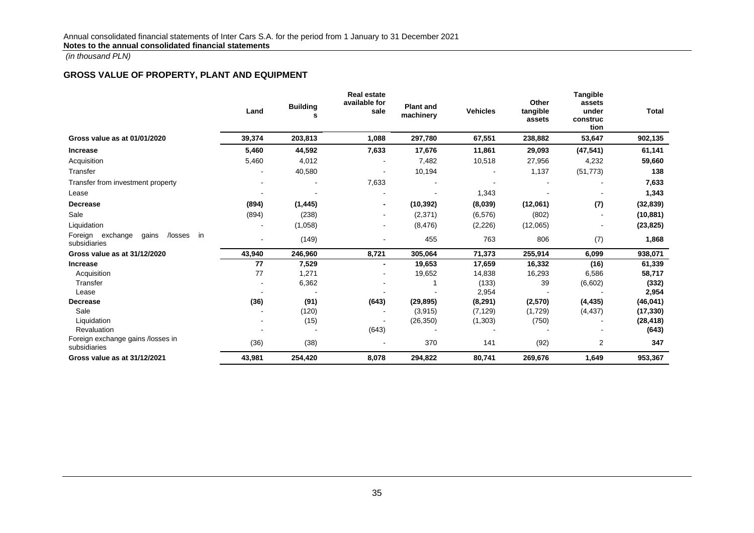# **GROSS VALUE OF PROPERTY, PLANT AND EQUIPMENT**

|                                                               | Land   | <b>Building</b> | <b>Real estate</b><br>available for<br>sale | <b>Plant and</b><br>machinery | <b>Vehicles</b> | Other<br>tangible<br>assets | <b>Tangible</b><br>assets<br>under<br>construc<br>tion | <b>Total</b> |
|---------------------------------------------------------------|--------|-----------------|---------------------------------------------|-------------------------------|-----------------|-----------------------------|--------------------------------------------------------|--------------|
| Gross value as at 01/01/2020                                  | 39,374 | 203,813         | 1,088                                       | 297,780                       | 67,551          | 238,882                     | 53,647                                                 | 902,135      |
| <b>Increase</b>                                               | 5,460  | 44,592          | 7,633                                       | 17,676                        | 11,861          | 29,093                      | (47, 541)                                              | 61,141       |
| Acquisition                                                   | 5,460  | 4,012           |                                             | 7,482                         | 10,518          | 27,956                      | 4,232                                                  | 59,660       |
| Transfer                                                      |        | 40,580          |                                             | 10,194                        |                 | 1,137                       | (51, 773)                                              | 138          |
| Transfer from investment property                             |        |                 | 7,633                                       |                               |                 |                             |                                                        | 7,633        |
| Lease                                                         |        |                 |                                             |                               | 1,343           |                             |                                                        | 1,343        |
| <b>Decrease</b>                                               | (894)  | (1, 445)        | $\blacksquare$                              | (10, 392)                     | (8,039)         | (12,061)                    | (7)                                                    | (32, 839)    |
| Sale                                                          | (894)  | (238)           |                                             | (2,371)                       | (6, 576)        | (802)                       |                                                        | (10, 881)    |
| Liquidation                                                   |        | (1,058)         | ۰                                           | (8, 476)                      | (2, 226)        | (12,065)                    |                                                        | (23, 825)    |
| Foreign<br>exchange<br>gains<br>/losses<br>in<br>subsidiaries |        | (149)           |                                             | 455                           | 763             | 806                         | (7)                                                    | 1,868        |
| Gross value as at 31/12/2020                                  | 43,940 | 246,960         | 8,721                                       | 305,064                       | 71,373          | 255,914                     | 6,099                                                  | 938,071      |
| <b>Increase</b>                                               | 77     | 7,529           | $\blacksquare$                              | 19,653                        | 17,659          | 16,332                      | (16)                                                   | 61,339       |
| Acquisition                                                   | 77     | 1,271           |                                             | 19,652                        | 14,838          | 16,293                      | 6,586                                                  | 58,717       |
| Transfer                                                      |        | 6,362           |                                             |                               | (133)           | 39                          | (6,602)                                                | (332)        |
| Lease                                                         |        |                 |                                             |                               | 2,954           |                             |                                                        | 2,954        |
| Decrease                                                      | (36)   | (91)            | (643)                                       | (29, 895)                     | (8, 291)        | (2,570)                     | (4, 435)                                               | (46, 041)    |
| Sale                                                          |        | (120)           |                                             | (3,915)                       | (7, 129)        | (1,729)                     | (4, 437)                                               | (17, 330)    |
| Liquidation                                                   |        | (15)            |                                             | (26, 350)                     | (1, 303)        | (750)                       |                                                        | (28, 418)    |
| Revaluation                                                   |        |                 | (643)                                       |                               |                 |                             |                                                        | (643)        |
| Foreign exchange gains /losses in<br>subsidiaries             | (36)   | (38)            |                                             | 370                           | 141             | (92)                        | 2                                                      | 347          |
| Gross value as at 31/12/2021                                  | 43,981 | 254,420         | 8,078                                       | 294,822                       | 80,741          | 269,676                     | 1,649                                                  | 953,367      |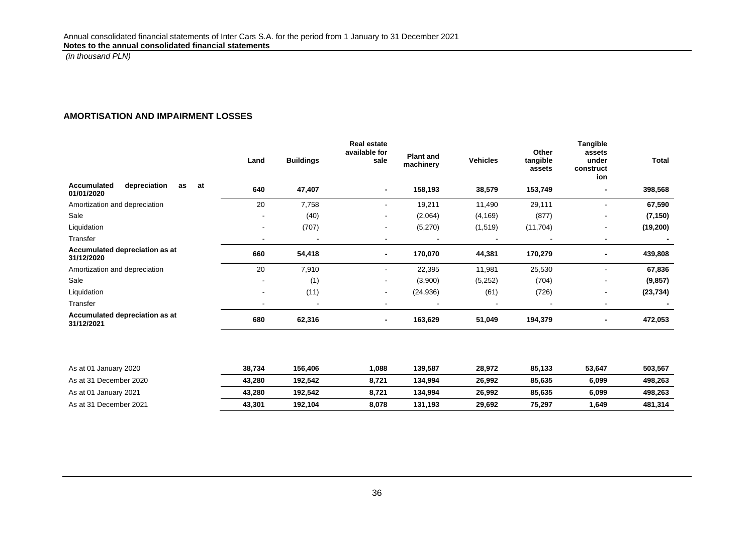# **AMORTISATION AND IMPAIRMENT LOSSES**

|                                                       | Land           | <b>Buildings</b> | <b>Real estate</b><br>available for<br>sale | <b>Plant and</b><br>machinery | <b>Vehicles</b> | Other<br>tangible<br>assets | <b>Tangible</b><br>assets<br>under<br>construct<br>ion | <b>Total</b> |
|-------------------------------------------------------|----------------|------------------|---------------------------------------------|-------------------------------|-----------------|-----------------------------|--------------------------------------------------------|--------------|
| Accumulated<br>depreciation<br>as<br>at<br>01/01/2020 | 640            | 47,407           | $\blacksquare$                              | 158,193                       | 38,579          | 153,749                     |                                                        | 398,568      |
| Amortization and depreciation                         | 20             | 7,758            | $\blacksquare$                              | 19,211                        | 11,490          | 29,111                      | $\sim$                                                 | 67,590       |
| Sale                                                  |                | (40)             | $\blacksquare$                              | (2,064)                       | (4, 169)        | (877)                       |                                                        | (7, 150)     |
| Liquidation                                           | $\sim$         | (707)            | $\blacksquare$                              | (5,270)                       | (1, 519)        | (11, 704)                   | $\blacksquare$                                         | (19, 200)    |
| Transfer                                              |                |                  | $\overline{\phantom{a}}$                    |                               |                 |                             |                                                        |              |
| Accumulated depreciation as at<br>31/12/2020          | 660            | 54,418           |                                             | 170,070                       | 44,381          | 170,279                     |                                                        | 439,808      |
| Amortization and depreciation                         | 20             | 7,910            | $\blacksquare$                              | 22,395                        | 11,981          | 25,530                      | $\blacksquare$                                         | 67,836       |
| Sale                                                  |                | (1)              | $\blacksquare$                              | (3,900)                       | (5,252)         | (704)                       | $\overline{\phantom{a}}$                               | (9, 857)     |
| Liquidation                                           | $\blacksquare$ | (11)             | $\sim$                                      | (24, 936)                     | (61)            | (726)                       | $\blacksquare$                                         | (23, 734)    |
| Transfer                                              |                |                  |                                             |                               |                 |                             | $\overline{\phantom{a}}$                               |              |
| Accumulated depreciation as at<br>31/12/2021          | 680            | 62,316           | $\blacksquare$                              | 163,629                       | 51,049          | 194,379                     |                                                        | 472,053      |
|                                                       |                |                  |                                             |                               |                 |                             |                                                        |              |
| As at 01 January 2020                                 | 38,734         | 156,406          | 1,088                                       | 139,587                       | 28,972          | 85,133                      | 53,647                                                 | 503,567      |
| As at 31 December 2020                                | 43,280         | 192,542          | 8,721                                       | 134,994                       | 26,992          | 85,635                      | 6,099                                                  | 498,263      |
| As at 01 January 2021                                 | 43,280         | 192,542          | 8,721                                       | 134,994                       | 26,992          | 85,635                      | 6,099                                                  | 498,263      |
| As at 31 December 2021                                | 43,301         | 192,104          | 8,078                                       | 131,193                       | 29.692          | 75.297                      | 1,649                                                  | 481,314      |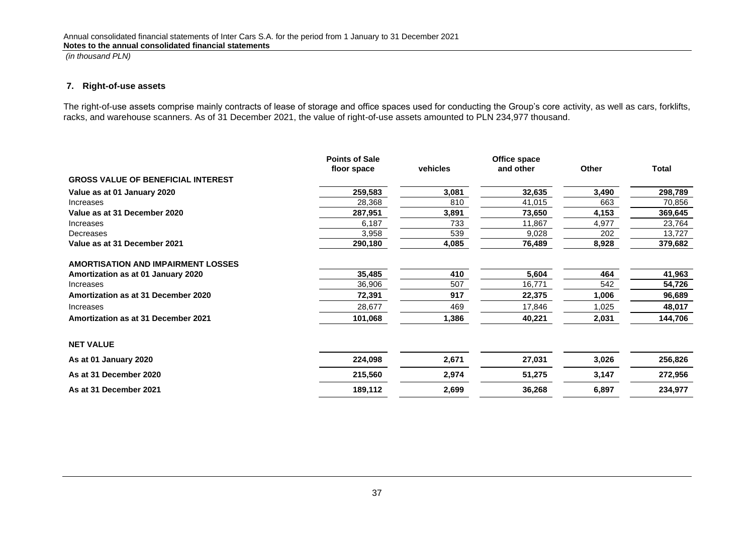#### **7. Right-of-use assets**

The right-of-use assets comprise mainly contracts of lease of storage and office spaces used for conducting the Group's core activity, as well as cars, forklifts, racks, and warehouse scanners. As of 31 December 2021, the value of right-of-use assets amounted to PLN 234,977 thousand.

<span id="page-36-0"></span>

|                                            | <b>Points of Sale</b> |          | Office space |              |              |
|--------------------------------------------|-----------------------|----------|--------------|--------------|--------------|
|                                            | floor space           | vehicles | and other    | <b>Other</b> | <b>Total</b> |
| <b>GROSS VALUE OF BENEFICIAL INTEREST</b>  |                       |          |              |              |              |
| Value as at 01 January 2020                | 259,583               | 3,081    | 32,635       | 3,490        | 298,789      |
| Increases                                  | 28,368                | 810      | 41,015       | 663          | 70,856       |
| Value as at 31 December 2020               | 287,951               | 3,891    | 73,650       | 4,153        | 369,645      |
| Increases                                  | 6,187                 | 733      | 11,867       | 4,977        | 23,764       |
| Decreases                                  | 3,958                 | 539      | 9,028        | 202          | 13,727       |
| Value as at 31 December 2021               | 290,180               | 4,085    | 76,489       | 8,928        | 379,682      |
| <b>AMORTISATION AND IMPAIRMENT LOSSES</b>  |                       |          |              |              |              |
| Amortization as at 01 January 2020         | 35,485                | 410      | 5,604        | 464          | 41,963       |
| Increases                                  | 36,906                | 507      | 16,771       | 542          | 54,726       |
| Amortization as at 31 December 2020        | 72,391                | 917      | 22,375       | 1,006        | 96,689       |
| Increases                                  | 28,677                | 469      | 17,846       | 1,025        | 48,017       |
| <b>Amortization as at 31 December 2021</b> | 101,068               | 1,386    | 40,221       | 2,031        | 144,706      |
| <b>NET VALUE</b>                           |                       |          |              |              |              |
| As at 01 January 2020                      | 224,098               | 2,671    | 27,031       | 3,026        | 256,826      |
| As at 31 December 2020                     | 215,560               | 2,974    | 51,275       | 3,147        | 272,956      |
| As at 31 December 2021                     | 189,112               | 2,699    | 36,268       | 6,897        | 234,977      |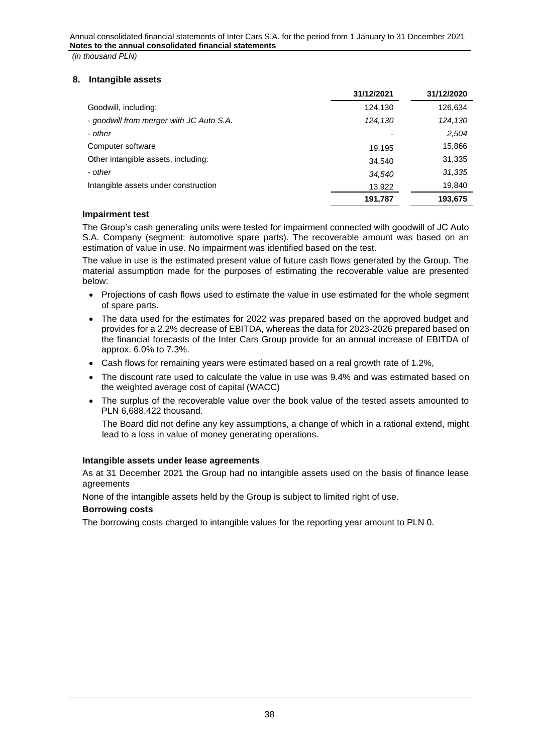# <span id="page-37-0"></span>**8. Intangible assets**

|                                          | 31/12/2021 | 31/12/2020 |
|------------------------------------------|------------|------------|
| Goodwill, including:                     | 124,130    | 126,634    |
| - goodwill from merger with JC Auto S.A. | 124,130    | 124,130    |
| - other                                  |            | 2,504      |
| Computer software                        | 19.195     | 15,866     |
| Other intangible assets, including:      | 34.540     | 31,335     |
| - other                                  | 34,540     | 31,335     |
| Intangible assets under construction     | 13,922     | 19,840     |
|                                          | 191,787    | 193.675    |

# **Impairment test**

The Group's cash generating units were tested for impairment connected with goodwill of JC Auto S.A. Company (segment: automotive spare parts). The recoverable amount was based on an estimation of value in use. No impairment was identified based on the test.

The value in use is the estimated present value of future cash flows generated by the Group. The material assumption made for the purposes of estimating the recoverable value are presented below:

- Projections of cash flows used to estimate the value in use estimated for the whole segment of spare parts.
- The data used for the estimates for 2022 was prepared based on the approved budget and provides for a 2.2% decrease of EBITDA, whereas the data for 2023-2026 prepared based on the financial forecasts of the Inter Cars Group provide for an annual increase of EBITDA of approx. 6.0% to 7.3%.
- Cash flows for remaining years were estimated based on a real growth rate of 1.2%,
- The discount rate used to calculate the value in use was 9.4% and was estimated based on the weighted average cost of capital (WACC)
- The surplus of the recoverable value over the book value of the tested assets amounted to PLN 6,688,422 thousand.

The Board did not define any key assumptions, a change of which in a rational extend, might lead to a loss in value of money generating operations.

# **Intangible assets under lease agreements**

As at 31 December 2021 the Group had no intangible assets used on the basis of finance lease agreements

None of the intangible assets held by the Group is subject to limited right of use.

# **Borrowing costs**

The borrowing costs charged to intangible values for the reporting year amount to PLN 0.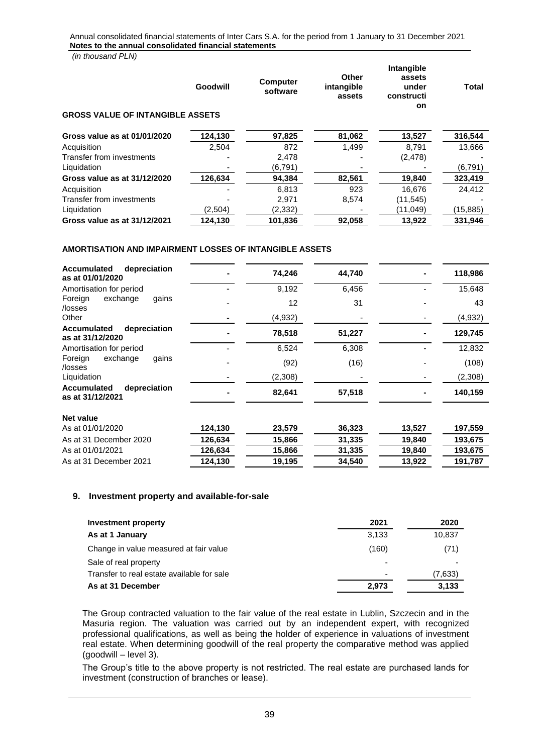*(in thousand PLN)*

|                                         | Goodwill | <b>Computer</b><br>software | Other<br>intangible<br>assets | <b>Intangible</b><br>assets<br>under<br>constructi<br><b>on</b> | <b>Total</b> |
|-----------------------------------------|----------|-----------------------------|-------------------------------|-----------------------------------------------------------------|--------------|
| <b>GROSS VALUE OF INTANGIBLE ASSETS</b> |          |                             |                               |                                                                 |              |
| Gross value as at 01/01/2020            | 124,130  | 97,825                      | 81,062                        | 13,527                                                          | 316,544      |
| Acquisition                             | 2.504    | 872                         | 1.499                         | 8.791                                                           | 13,666       |
| Transfer from investments               |          | 2,478                       |                               | (2, 478)                                                        |              |
| Liquidation                             |          | (6, 791)                    |                               |                                                                 | (6, 791)     |
| Gross value as at 31/12/2020            | 126,634  | 94.384                      | 82,561                        | 19,840                                                          | 323,419      |
| Acquisition                             |          | 6.813                       | 923                           | 16.676                                                          | 24.412       |
| Transfer from investments               |          | 2,971                       | 8,574                         | (11, 545)                                                       |              |
| Liquidation                             | (2,504)  | (2, 332)                    |                               | (11,049)                                                        | (15, 885)    |
| Gross value as at 31/12/2021            | 124,130  | 101,836                     | 92,058                        | 13,922                                                          | 331,946      |

#### **AMORTISATION AND IMPAIRMENT LOSSES OF INTANGIBLE ASSETS**

| <b>Accumulated</b><br>depreciation<br>as at 01/01/2020 |         | 74,246  | 44,740 |        | 118,986 |
|--------------------------------------------------------|---------|---------|--------|--------|---------|
| Amortisation for period                                |         | 9,192   | 6,456  |        | 15,648  |
| Foreign<br>exchange<br>gains<br>/losses                |         | 12      | 31     |        | 43      |
| Other                                                  |         | (4,932) |        |        | (4,932) |
| depreciation<br><b>Accumulated</b><br>as at 31/12/2020 |         | 78,518  | 51,227 |        | 129,745 |
| Amortisation for period                                |         | 6,524   | 6,308  |        | 12,832  |
| exchange<br>Foreign<br>gains<br>/losses                |         | (92)    | (16)   |        | (108)   |
| Liquidation                                            |         | (2,308) |        |        | (2,308) |
| <b>Accumulated</b><br>depreciation<br>as at 31/12/2021 |         | 82,641  | 57,518 |        | 140,159 |
| Net value                                              |         |         |        |        |         |
| As at 01/01/2020                                       | 124,130 | 23,579  | 36,323 | 13,527 | 197,559 |
| As at 31 December 2020                                 | 126,634 | 15,866  | 31,335 | 19,840 | 193,675 |
| As at 01/01/2021                                       | 126,634 | 15,866  | 31,335 | 19,840 | 193,675 |
| As at 31 December 2021                                 | 124,130 | 19,195  | 34,540 | 13,922 | 191,787 |

#### <span id="page-38-0"></span>**9. Investment property and available-for-sale**

| <b>Investment property</b>                 | 2021                     | 2020    |
|--------------------------------------------|--------------------------|---------|
| As at 1 January                            | 3.133                    | 10,837  |
| Change in value measured at fair value     | (160)                    | (71)    |
| Sale of real property                      | $\overline{\phantom{0}}$ |         |
| Transfer to real estate available for sale | $\overline{\phantom{0}}$ | (7,633) |
| As at 31 December                          | 2.973                    | 3,133   |

The Group contracted valuation to the fair value of the real estate in Lublin, Szczecin and in the Masuria region. The valuation was carried out by an independent expert, with recognized professional qualifications, as well as being the holder of experience in valuations of investment real estate. When determining goodwill of the real property the comparative method was applied (goodwill – level 3).

The Group's title to the above property is not restricted. The real estate are purchased lands for investment (construction of branches or lease).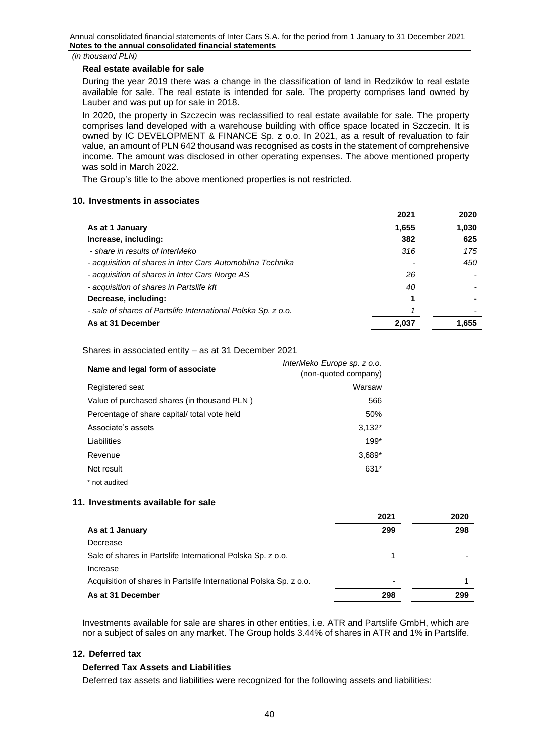## **Real estate available for sale**

During the year 2019 there was a change in the classification of land in Redzików to real estate available for sale. The real estate is intended for sale. The property comprises land owned by Lauber and was put up for sale in 2018.

In 2020, the property in Szczecin was reclassified to real estate available for sale. The property comprises land developed with a warehouse building with office space located in Szczecin. It is owned by IC DEVELOPMENT & FINANCE Sp. z o.o. In 2021, as a result of revaluation to fair value, an amount of PLN 642 thousand was recognised as costs in the statement of comprehensive income. The amount was disclosed in other operating expenses. The above mentioned property was sold in March 2022.

The Group's title to the above mentioned properties is not restricted.

# <span id="page-39-0"></span>**10. Investments in associates**

|                                                               | 2021  | 2020  |
|---------------------------------------------------------------|-------|-------|
| As at 1 January                                               | 1,655 | 1,030 |
| Increase, including:                                          | 382   | 625   |
| - share in results of InterMeko                               | 316   | 175   |
| - acquisition of shares in Inter Cars Automobilna Technika    |       | 450   |
| - acquisition of shares in Inter Cars Norge AS                | 26    |       |
| - acquisition of shares in Partslife kft                      | 40    |       |
| Decrease, including:                                          |       |       |
| - sale of shares of Partslife International Polska Sp. z o.o. |       |       |
| As at 31 December                                             | 2.037 | 1,655 |

Shares in associated entity – as at 31 December 2021

| Name and legal form of associate            | InterMeko Europe sp. z o.o.<br>(non-quoted company) |
|---------------------------------------------|-----------------------------------------------------|
| Registered seat                             | Warsaw                                              |
| Value of purchased shares (in thousand PLN) | 566                                                 |
| Percentage of share capital/total vote held | 50%                                                 |
| Associate's assets                          | $3,132*$                                            |
| Liabilities                                 | $199*$                                              |
| Revenue                                     | $3,689*$                                            |
| Net result                                  | 631*                                                |
| * not audited                               |                                                     |

# <span id="page-39-1"></span>**11. Investments available for sale**

|                                                                    | 2021                     | 2020 |
|--------------------------------------------------------------------|--------------------------|------|
| As at 1 January                                                    | 299                      | 298  |
| Decrease                                                           |                          |      |
| Sale of shares in Partslife International Polska Sp. z o.o.        |                          |      |
| Increase                                                           |                          |      |
| Acquisition of shares in Partslife International Polska Sp. z o.o. | $\overline{\phantom{0}}$ |      |
| As at 31 December                                                  | 298                      | 299  |

Investments available for sale are shares in other entities, i.e. ATR and Partslife GmbH, which are nor a subject of sales on any market. The Group holds 3.44% of shares in ATR and 1% in Partslife.

# <span id="page-39-2"></span>**12. Deferred tax**

# **Deferred Tax Assets and Liabilities**

Deferred tax assets and liabilities were recognized for the following assets and liabilities: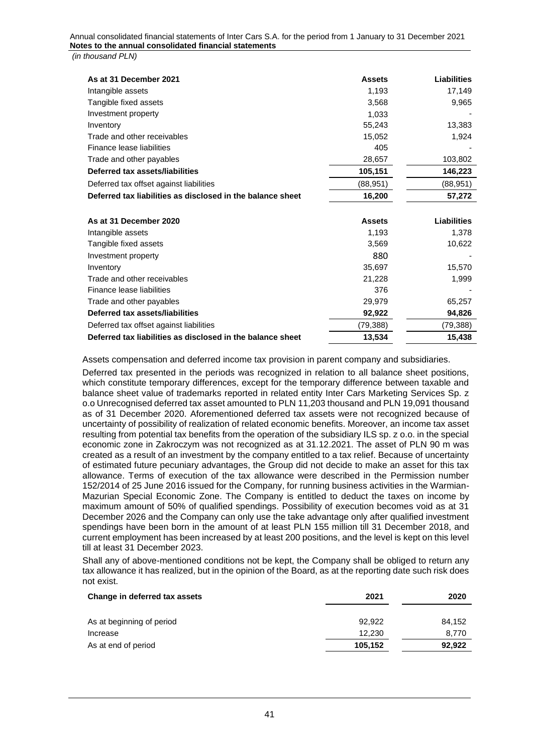*(in thousand PLN)*

| As at 31 December 2021                                     | <b>Assets</b> | <b>Liabilities</b> |
|------------------------------------------------------------|---------------|--------------------|
| Intangible assets                                          | 1,193         | 17,149             |
| Tangible fixed assets                                      | 3,568         | 9,965              |
| Investment property                                        | 1,033         |                    |
| Inventory                                                  | 55,243        | 13,383             |
| Trade and other receivables                                | 15,052        | 1,924              |
| Finance lease liabilities                                  | 405           |                    |
| Trade and other payables                                   | 28,657        | 103,802            |
| Deferred tax assets/liabilities                            | 105,151       | 146,223            |
| Deferred tax offset against liabilities                    | (88, 951)     | (88, 951)          |
| Deferred tax liabilities as disclosed in the balance sheet | 16,200        | 57,272             |
|                                                            |               |                    |
| As at 31 December 2020                                     | <b>Assets</b> | <b>Liabilities</b> |
| Intangible assets                                          | 1,193         | 1,378              |
| Tangible fixed assets                                      | 3,569         | 10,622             |
| Investment property                                        | 880           |                    |
| Inventory                                                  | 35,697        | 15,570             |
| Trade and other receivables                                | 21,228        | 1,999              |
| Finance lease liabilities                                  | 376           |                    |
| Trade and other payables                                   | 29,979        | 65,257             |
| Deferred tax assets/liabilities                            | 92,922        | 94,826             |
| Deferred tax offset against liabilities                    | (79, 388)     | (79,388)           |
| Deferred tax liabilities as disclosed in the balance sheet | 13,534        | 15,438             |

Assets compensation and deferred income tax provision in parent company and subsidiaries.

Deferred tax presented in the periods was recognized in relation to all balance sheet positions, which constitute temporary differences, except for the temporary difference between taxable and balance sheet value of trademarks reported in related entity Inter Cars Marketing Services Sp. z o.o Unrecognised deferred tax asset amounted to PLN 11,203 thousand and PLN 19,091 thousand as of 31 December 2020. Aforementioned deferred tax assets were not recognized because of uncertainty of possibility of realization of related economic benefits. Moreover, an income tax asset resulting from potential tax benefits from the operation of the subsidiary ILS sp. z o.o. in the special economic zone in Zakroczym was not recognized as at 31.12.2021. The asset of PLN 90 m was created as a result of an investment by the company entitled to a tax relief. Because of uncertainty of estimated future pecuniary advantages, the Group did not decide to make an asset for this tax allowance. Terms of execution of the tax allowance were described in the Permission number 152/2014 of 25 June 2016 issued for the Company, for running business activities in the Warmian-Mazurian Special Economic Zone. The Company is entitled to deduct the taxes on income by maximum amount of 50% of qualified spendings. Possibility of execution becomes void as at 31 December 2026 and the Company can only use the take advantage only after qualified investment spendings have been born in the amount of at least PLN 155 million till 31 December 2018, and current employment has been increased by at least 200 positions, and the level is kept on this level till at least 31 December 2023.

Shall any of above-mentioned conditions not be kept, the Company shall be obliged to return any tax allowance it has realized, but in the opinion of the Board, as at the reporting date such risk does not exist.

| Change in deferred tax assets | 2021    | 2020   |
|-------------------------------|---------|--------|
| As at beginning of period     | 92.922  | 84.152 |
| Increase                      | 12,230  | 8,770  |
| As at end of period           | 105,152 | 92,922 |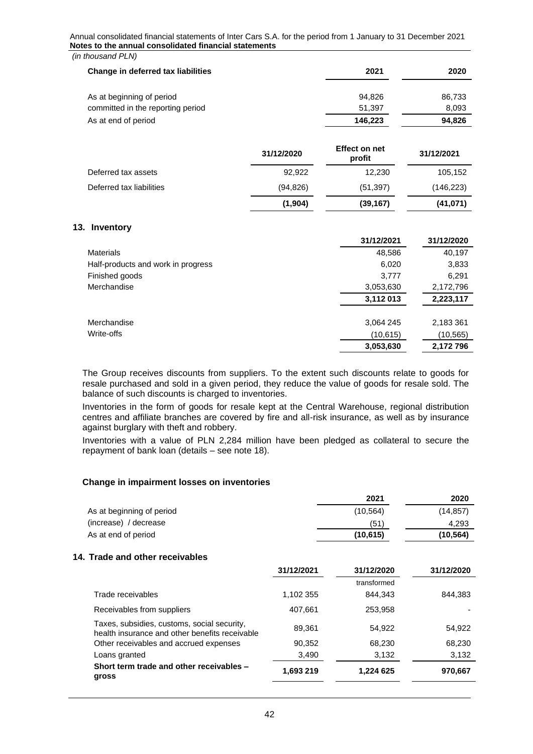| (in thousand PLN)                  |         |        |
|------------------------------------|---------|--------|
| Change in deferred tax liabilities | 2021    | 2020   |
| As at beginning of period          | 94.826  | 86,733 |
| committed in the reporting period  | 51,397  | 8,093  |
| As at end of period                | 146,223 | 94,826 |

|                          | 31/12/2020 | <b>Effect on net</b><br>profit | 31/12/2021 |
|--------------------------|------------|--------------------------------|------------|
| Deferred tax assets      | 92.922     | 12.230                         | 105,152    |
| Deferred tax liabilities | (94, 826)  | (51, 397)                      | (146, 223) |
|                          | (1,904)    | (39, 167)                      | (41,071)   |

#### <span id="page-41-0"></span>**13. Inventory**

|                                    | 31/12/2021 | 31/12/2020 |
|------------------------------------|------------|------------|
| <b>Materials</b>                   | 48,586     | 40,197     |
| Half-products and work in progress | 6,020      | 3,833      |
| Finished goods                     | 3,777      | 6,291      |
| Merchandise                        | 3,053,630  | 2,172,796  |
|                                    | 3,112 013  | 2,223,117  |
| Merchandise                        | 3,064 245  | 2,183 361  |
| Write-offs                         | (10, 615)  | (10,565)   |
|                                    | 3.053.630  | 2,172 796  |

The Group receives discounts from suppliers. To the extent such discounts relate to goods for resale purchased and sold in a given period, they reduce the value of goods for resale sold. The balance of such discounts is charged to inventories.

Inventories in the form of goods for resale kept at the Central Warehouse, regional distribution centres and affiliate branches are covered by fire and all-risk insurance, as well as by insurance against burglary with theft and robbery.

Inventories with a value of PLN 2,284 million have been pledged as collateral to secure the repayment of bank loan (details – see note 18).

#### **Change in impairment losses on inventories**

| 2021      | 2020      |
|-----------|-----------|
| (10, 564) | (14, 857) |
| (51)      | 4.293     |
| (10, 615) | (10, 564) |
|           |           |

#### <span id="page-41-1"></span>**14. Trade and other receivables**

|                                                                                               | 31/12/2021 | 31/12/2020  | 31/12/2020 |
|-----------------------------------------------------------------------------------------------|------------|-------------|------------|
|                                                                                               |            | transformed |            |
| Trade receivables                                                                             | 1,102 355  | 844.343     | 844,383    |
| Receivables from suppliers                                                                    | 407,661    | 253,958     |            |
| Taxes, subsidies, customs, social security,<br>health insurance and other benefits receivable | 89,361     | 54,922      | 54,922     |
| Other receivables and accrued expenses                                                        | 90,352     | 68,230      | 68,230     |
| Loans granted                                                                                 | 3,490      | 3.132       | 3,132      |
| Short term trade and other receivables -<br>gross                                             | 1,693 219  | 1,224 625   | 970,667    |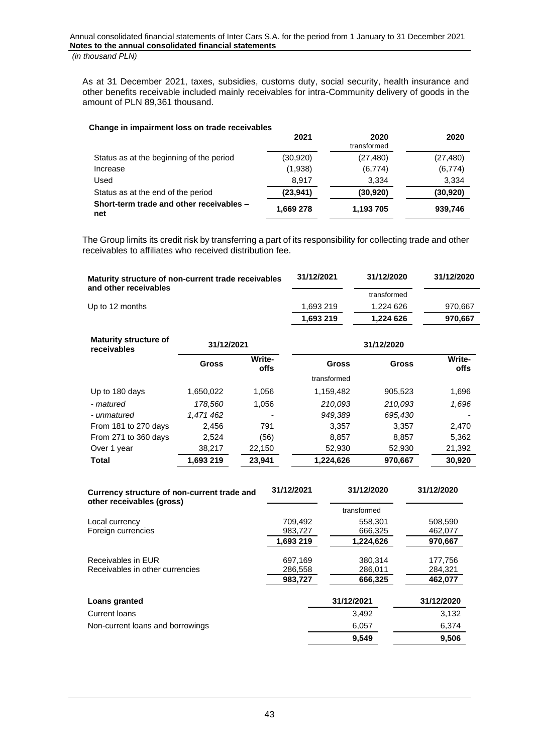As at 31 December 2021, taxes, subsidies, customs duty, social security, health insurance and other benefits receivable included mainly receivables for intra-Community delivery of goods in the amount of PLN 89,361 thousand.

| Change in impairment loss on trade receivables  |           |                     |           |
|-------------------------------------------------|-----------|---------------------|-----------|
|                                                 | 2021      | 2020<br>transformed | 2020      |
| Status as at the beginning of the period        | (30, 920) | (27, 480)           | (27, 480) |
| Increase                                        | (1,938)   | (6,774)             | (6, 774)  |
| Used                                            | 8,917     | 3,334               | 3,334     |
| Status as at the end of the period              | (23, 941) | (30,920)            | (30, 920) |
| Short-term trade and other receivables -<br>net | 1,669 278 | 1,193 705           | 939,746   |

The Group limits its credit risk by transferring a part of its responsibility for collecting trade and other receivables to affiliates who received distribution fee.

| Maturity structure of non-current trade receivables<br>and other receivables |              |                       | 31/12/2021   | 31/12/2020   | 31/12/2020     |
|------------------------------------------------------------------------------|--------------|-----------------------|--------------|--------------|----------------|
|                                                                              |              |                       |              | transformed  |                |
| Up to 12 months                                                              |              |                       | 1,693 219    | 1,224 626    | 970,667        |
|                                                                              |              |                       | 1,693 219    | 1,224 626    | 970,667        |
| <b>Maturity structure of</b><br>receivables                                  | 31/12/2021   |                       |              | 31/12/2020   |                |
|                                                                              | <b>Gross</b> | Write-<br><b>offs</b> | <b>Gross</b> | <b>Gross</b> | Write-<br>offs |
|                                                                              |              |                       | transformed  |              |                |
| Up to 180 days                                                               | 1,650,022    | 1,056                 | 1,159,482    | 905,523      | 1,696          |
| - matured                                                                    | 178,560      | 1,056                 | 210,093      | 210,093      | 1,696          |
| - unmatured                                                                  | 1,471 462    |                       | 949,389      | 695,430      |                |
| From 181 to 270 days                                                         | 2,456        | 791                   | 3,357        | 3,357        | 2,470          |
| From 271 to 360 days                                                         | 2,524        | (56)                  | 8,857        | 8,857        | 5,362          |
| Over 1 year                                                                  | 38,217       | 22,150                | 52,930       | 52,930       | 21,392         |
| Total                                                                        | 1,693 219    | 23,941                | 1,224,626    | 970,667      | 30,920         |

| Currency structure of non-current trade and<br>other receivables (gross) | 31/12/2021 | 31/12/2020  | 31/12/2020 |
|--------------------------------------------------------------------------|------------|-------------|------------|
|                                                                          |            | transformed |            |
| Local currency                                                           | 709,492    | 558,301     | 508,590    |
| Foreign currencies                                                       | 983,727    | 666,325     | 462,077    |
|                                                                          | 1,693 219  | 1,224,626   | 970,667    |
| Receivables in EUR                                                       | 697,169    | 380,314     | 177,756    |
| Receivables in other currencies                                          | 286,558    | 286,011     | 284,321    |
|                                                                          | 983,727    | 666,325     | 462,077    |
| Loans granted                                                            |            | 31/12/2021  | 31/12/2020 |
| Current loans                                                            |            | 3,492       | 3,132      |
| Non-current loans and borrowings                                         |            | 6,057       | 6,374      |
|                                                                          |            | 9,549       | 9,506      |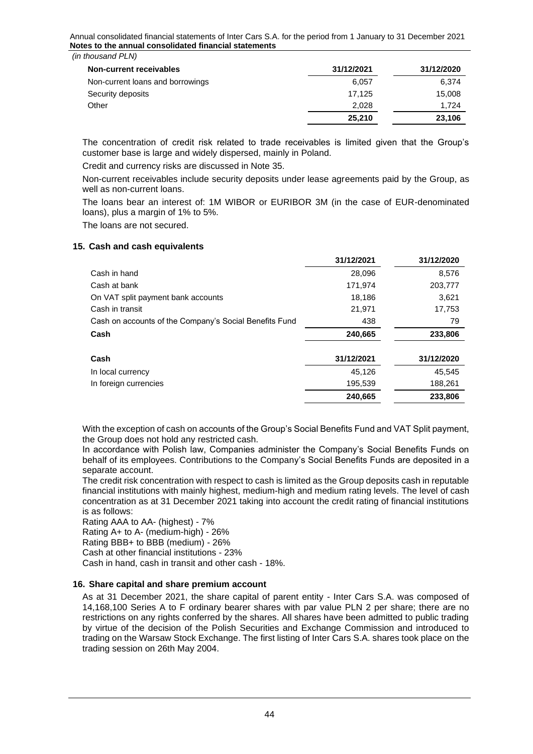| 31/12/2021 | 31/12/2020 |
|------------|------------|
| 6.057      | 6,374      |
| 17.125     | 15,008     |
| 2.028      | 1.724      |
| 25.210     | 23,106     |
|            |            |

The concentration of credit risk related to trade receivables is limited given that the Group's customer base is large and widely dispersed, mainly in Poland.

Credit and currency risks are discussed in Note 35.

Non-current receivables include security deposits under lease agreements paid by the Group, as well as non-current loans.

The loans bear an interest of: 1M WIBOR or EURIBOR 3M (in the case of EUR-denominated loans), plus a margin of 1% to 5%.

The loans are not secured.

#### <span id="page-43-0"></span>**15. Cash and cash equivalents**

|                                                        | 31/12/2021 | 31/12/2020 |
|--------------------------------------------------------|------------|------------|
| Cash in hand                                           | 28,096     | 8,576      |
| Cash at bank                                           | 171,974    | 203,777    |
| On VAT split payment bank accounts                     | 18,186     | 3,621      |
| Cash in transit                                        | 21,971     | 17,753     |
| Cash on accounts of the Company's Social Benefits Fund | 438        | 79         |
| Cash                                                   | 240,665    | 233,806    |
| Cash                                                   | 31/12/2021 | 31/12/2020 |
| In local currency                                      | 45,126     | 45,545     |
| In foreign currencies                                  | 195,539    | 188,261    |
|                                                        | 240.665    | 233,806    |

With the exception of cash on accounts of the Group's Social Benefits Fund and VAT Split payment, the Group does not hold any restricted cash.

In accordance with Polish law, Companies administer the Company's Social Benefits Funds on behalf of its employees. Contributions to the Company's Social Benefits Funds are deposited in a separate account.

The credit risk concentration with respect to cash is limited as the Group deposits cash in reputable financial institutions with mainly highest, medium-high and medium rating levels. The level of cash concentration as at 31 December 2021 taking into account the credit rating of financial institutions is as follows:

Rating AAA to AA- (highest) - 7%

Rating A+ to A- (medium-high) - 26%

Rating BBB+ to BBB (medium) - 26%

Cash at other financial institutions - 23%

Cash in hand, cash in transit and other cash - 18%.

# <span id="page-43-1"></span>**16. Share capital and share premium account**

As at 31 December 2021, the share capital of parent entity - Inter Cars S.A. was composed of 14,168,100 Series A to F ordinary bearer shares with par value PLN 2 per share; there are no restrictions on any rights conferred by the shares. All shares have been admitted to public trading by virtue of the decision of the Polish Securities and Exchange Commission and introduced to trading on the Warsaw Stock Exchange. The first listing of Inter Cars S.A. shares took place on the trading session on 26th May 2004.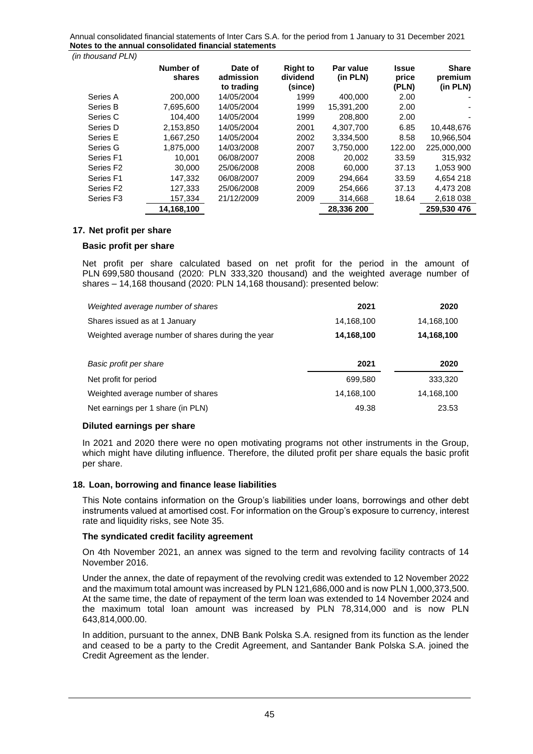*(in thousand PLN)*

|                       | Number of<br>shares | Date of<br>admission<br>to trading | <b>Right to</b><br>dividend<br>(since) | Par value<br>(in PLN) | Issue<br>price<br>(PLN) | <b>Share</b><br>premium<br>(in PLN) |
|-----------------------|---------------------|------------------------------------|----------------------------------------|-----------------------|-------------------------|-------------------------------------|
| Series A              | 200.000             | 14/05/2004                         | 1999                                   | 400.000               | 2.00                    |                                     |
| Series B              | 7,695,600           | 14/05/2004                         | 1999                                   | 15.391.200            | 2.00                    |                                     |
| Series C              | 104.400             | 14/05/2004                         | 1999                                   | 208.800               | 2.00                    |                                     |
| Series D              | 2.153.850           | 14/05/2004                         | 2001                                   | 4.307.700             | 6.85                    | 10.448.676                          |
| Series E              | 1,667,250           | 14/05/2004                         | 2002                                   | 3,334,500             | 8.58                    | 10,966,504                          |
| Series G              | 1.875.000           | 14/03/2008                         | 2007                                   | 3.750.000             | 122.00                  | 225.000.000                         |
| Series F1             | 10.001              | 06/08/2007                         | 2008                                   | 20,002                | 33.59                   | 315,932                             |
| Series F <sub>2</sub> | 30,000              | 25/06/2008                         | 2008                                   | 60.000                | 37.13                   | 1.053 900                           |
| Series F1             | 147.332             | 06/08/2007                         | 2009                                   | 294.664               | 33.59                   | 4,654 218                           |
| Series F <sub>2</sub> | 127.333             | 25/06/2008                         | 2009                                   | 254.666               | 37.13                   | 4.473 208                           |
| Series F <sub>3</sub> | 157,334             | 21/12/2009                         | 2009                                   | 314,668               | 18.64                   | 2,618 038                           |
|                       | 14,168,100          |                                    |                                        | 28.336 200            |                         | 259.530 476                         |

#### <span id="page-44-0"></span>**17. Net profit per share**

#### **Basic profit per share**

Net profit per share calculated based on net profit for the period in the amount of PLN 699,580 thousand (2020: PLN 333,320 thousand) and the weighted average number of shares – 14,168 thousand (2020: PLN 14,168 thousand): presented below:

| Weighted average number of shares                 | 2021       | 2020       |
|---------------------------------------------------|------------|------------|
| Shares issued as at 1 January                     | 14,168,100 | 14,168,100 |
| Weighted average number of shares during the year | 14,168,100 | 14,168,100 |
|                                                   |            |            |
| Basic profit per share                            | 2021       | 2020       |
| Net profit for period                             | 699,580    | 333,320    |
| Weighted average number of shares                 | 14,168,100 | 14,168,100 |

## **Diluted earnings per share**

In 2021 and 2020 there were no open motivating programs not other instruments in the Group, which might have diluting influence. Therefore, the diluted profit per share equals the basic profit per share.

# <span id="page-44-1"></span>**18. Loan, borrowing and finance lease liabilities**

This Note contains information on the Group's liabilities under loans, borrowings and other debt instruments valued at amortised cost. For information on the Group's exposure to currency, interest rate and liquidity risks, see Note 35.

#### **The syndicated credit facility agreement**

On 4th November 2021, an annex was signed to the term and revolving facility contracts of 14 November 2016.

Under the annex, the date of repayment of the revolving credit was extended to 12 November 2022 and the maximum total amount was increased by PLN 121,686,000 and is now PLN 1,000,373,500. At the same time, the date of repayment of the term loan was extended to 14 November 2024 and the maximum total loan amount was increased by PLN 78,314,000 and is now PLN 643,814,000.00.

In addition, pursuant to the annex, DNB Bank Polska S.A. resigned from its function as the lender and ceased to be a party to the Credit Agreement, and Santander Bank Polska S.A. joined the Credit Agreement as the lender.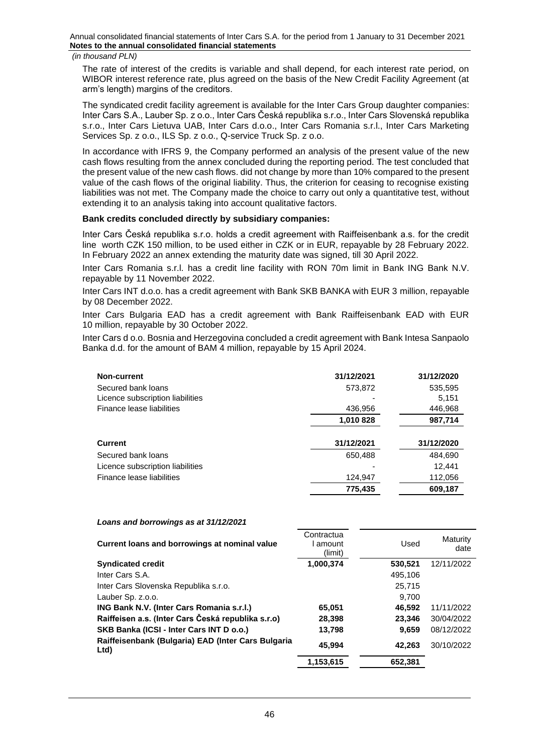#### *(in thousand PLN)*

The rate of interest of the credits is variable and shall depend, for each interest rate period, on WIBOR interest reference rate, plus agreed on the basis of the New Credit Facility Agreement (at arm's length) margins of the creditors.

The syndicated credit facility agreement is available for the Inter Cars Group daughter companies: Inter Cars S.A., Lauber Sp. z o.o., Inter Cars Česká republika s.r.o., Inter Cars Slovenská republika s.r.o., Inter Cars Lietuva UAB, Inter Cars d.o.o., Inter Cars Romania s.r.l., Inter Cars Marketing Services Sp. z o.o., ILS Sp. z o.o., Q-service Truck Sp. z o.o.

In accordance with IFRS 9, the Company performed an analysis of the present value of the new cash flows resulting from the annex concluded during the reporting period. The test concluded that the present value of the new cash flows. did not change by more than 10% compared to the present value of the cash flows of the original liability. Thus, the criterion for ceasing to recognise existing liabilities was not met. The Company made the choice to carry out only a quantitative test, without extending it to an analysis taking into account qualitative factors.

#### **Bank credits concluded directly by subsidiary companies:**

Inter Cars Česká republika s.r.o. holds a credit agreement with Raiffeisenbank a.s. for the credit line worth CZK 150 million, to be used either in CZK or in EUR, repayable by 28 February 2022. In February 2022 an annex extending the maturity date was signed, till 30 April 2022.

Inter Cars Romania s.r.l. has a credit line facility with RON 70m limit in Bank ING Bank N.V. repayable by 11 November 2022.

Inter Cars INT d.o.o. has a credit agreement with Bank SKB BANKA with EUR 3 million, repayable by 08 December 2022.

Inter Cars Bulgaria EAD has a credit agreement with Bank Raiffeisenbank EAD with EUR 10 million, repayable by 30 October 2022.

Inter Cars d o.o. Bosnia and Herzegovina concluded a credit agreement with Bank Intesa Sanpaolo Banka d.d. for the amount of BAM 4 million, repayable by 15 April 2024.

| Non-current                      | 31/12/2021 | 31/12/2020 |
|----------------------------------|------------|------------|
| Secured bank loans               | 573,872    | 535,595    |
| Licence subscription liabilities |            | 5,151      |
| Finance lease liabilities        | 436,956    | 446,968    |
|                                  | 1,010 828  | 987,714    |
|                                  |            |            |
| <b>Current</b>                   | 31/12/2021 | 31/12/2020 |
| Secured bank loans               | 650,488    | 484,690    |
| Licence subscription liabilities |            | 12.441     |
| Finance lease liabilities        | 124,947    | 112,056    |
|                                  | 775,435    | 609,187    |

#### *Loans and borrowings as at 31/12/2021*

| Current loans and borrowings at nominal value              | Contractua<br>amount<br>(limit) | Used    | Maturity<br>date |
|------------------------------------------------------------|---------------------------------|---------|------------------|
| <b>Syndicated credit</b>                                   | 1,000,374                       | 530,521 | 12/11/2022       |
| Inter Cars S.A.                                            |                                 | 495,106 |                  |
| Inter Cars Slovenska Republika s.r.o.                      |                                 | 25.715  |                  |
| Lauber Sp. z.o.o.                                          |                                 | 9.700   |                  |
| ING Bank N.V. (Inter Cars Romania s.r.l.)                  | 65,051                          | 46,592  | 11/11/2022       |
| Raiffeisen a.s. (Inter Cars Česká republika s.r.o)         | 28,398                          | 23.346  | 30/04/2022       |
| SKB Banka (ICSI - Inter Cars INT D o.o.)                   | 13,798                          | 9.659   | 08/12/2022       |
| Raiffeisenbank (Bulgaria) EAD (Inter Cars Bulgaria<br>Ltd) | 45,994                          | 42.263  | 30/10/2022       |
|                                                            | 1,153,615                       | 652,381 |                  |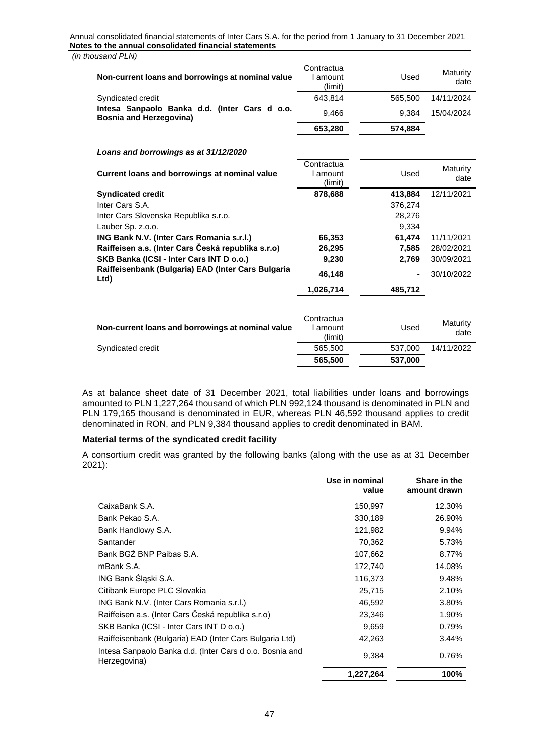| Jusanu FLIV)                                                                    |                                   |         |                  |
|---------------------------------------------------------------------------------|-----------------------------------|---------|------------------|
| Non-current loans and borrowings at nominal value                               | Contractua<br>I amount<br>(limit) | Used    | Maturity<br>date |
| Syndicated credit                                                               | 643,814                           | 565,500 | 14/11/2024       |
| Intesa Sanpaolo Banka d.d. (Inter Cars d o.o.<br><b>Bosnia and Herzegovina)</b> | 9,466                             | 9,384   | 15/04/2024       |
|                                                                                 | 653,280                           | 574,884 |                  |
| Loans and borrowings as at 31/12/2020                                           |                                   |         |                  |
| Current loans and borrowings at nominal value                                   | Contractua<br>I amount<br>(limit) | Used    | Maturity<br>date |
| <b>Syndicated credit</b>                                                        | 878,688                           | 413,884 | 12/11/2021       |
| Inter Cars S.A.                                                                 |                                   | 376,274 |                  |
| Inter Cars Slovenska Republika s.r.o.                                           |                                   | 28,276  |                  |
| Lauber Sp. z.o.o.                                                               |                                   | 9,334   |                  |
| ING Bank N.V. (Inter Cars Romania s.r.l.)                                       | 66,353                            | 61,474  | 11/11/2021       |
| Raiffeisen a.s. (Inter Cars Česká republika s.r.o)                              | 26,295                            | 7,585   | 28/02/2021       |
| SKB Banka (ICSI - Inter Cars INT D o.o.)                                        | 9,230                             | 2,769   | 30/09/2021       |
| Raiffeisenbank (Bulgaria) EAD (Inter Cars Bulgaria<br>Ltd)                      | 46,148                            |         | 30/10/2022       |
|                                                                                 | 1,026,714                         | 485,712 |                  |
|                                                                                 |                                   |         |                  |
| Non-current loans and borrowings at nominal value                               | Contractua<br>I amount<br>(limit) | Used    | Maturity<br>date |
| Syndicated credit                                                               | 565,500                           | 537,000 | 14/11/2022       |
|                                                                                 | 565,500                           | 537,000 |                  |
|                                                                                 |                                   |         |                  |

As at balance sheet date of 31 December 2021, total liabilities under loans and borrowings amounted to PLN 1,227,264 thousand of which PLN 992,124 thousand is denominated in PLN and PLN 179,165 thousand is denominated in EUR, whereas PLN 46,592 thousand applies to credit denominated in RON, and PLN 9,384 thousand applies to credit denominated in BAM.

# **Material terms of the syndicated credit facility**

A consortium credit was granted by the following banks (along with the use as at 31 December 2021):

|                                                                          | Use in nominal<br>value | Share in the<br>amount drawn |
|--------------------------------------------------------------------------|-------------------------|------------------------------|
| CaixaBank S.A.                                                           | 150,997                 | 12.30%                       |
| Bank Pekao S.A.                                                          | 330,189                 | 26.90%                       |
| Bank Handlowy S.A.                                                       | 121,982                 | 9.94%                        |
| Santander                                                                | 70,362                  | 5.73%                        |
| Bank BGZ BNP Paibas S.A.                                                 | 107,662                 | 8.77%                        |
| mBank S.A.                                                               | 172,740                 | 14.08%                       |
| ING Bank Śląski S.A.                                                     | 116,373                 | 9.48%                        |
| Citibank Europe PLC Slovakia                                             | 25,715                  | 2.10%                        |
| ING Bank N.V. (Inter Cars Romania s.r.l.)                                | 46,592                  | 3.80%                        |
| Raiffeisen a.s. (Inter Cars Česká republika s.r.o)                       | 23,346                  | 1.90%                        |
| SKB Banka (ICSI - Inter Cars INT D o.o.)                                 | 9,659                   | 0.79%                        |
| Raiffeisenbank (Bulgaria) EAD (Inter Cars Bulgaria Ltd)                  | 42,263                  | 3.44%                        |
| Intesa Sanpaolo Banka d.d. (Inter Cars d o.o. Bosnia and<br>Herzegovina) | 9,384                   | 0.76%                        |
|                                                                          | 1,227,264               | 100%                         |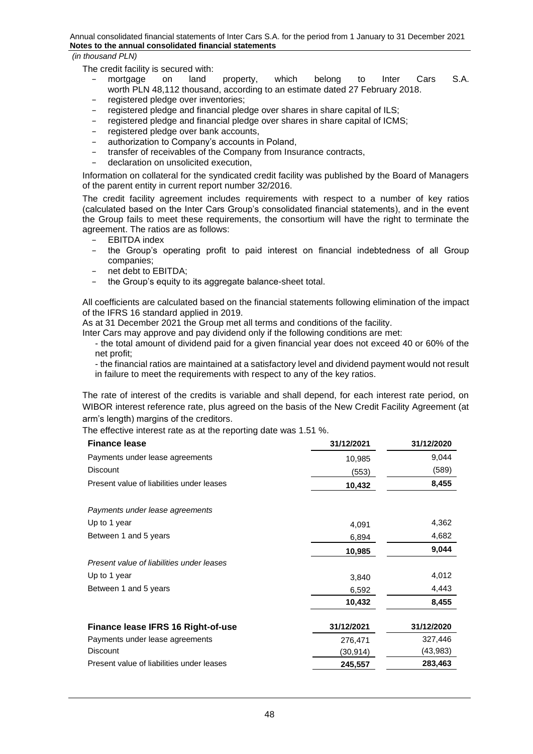The credit facility is secured with:

- − mortgage on land property, which belong to Inter Cars S.A. worth PLN 48,112 thousand, according to an estimate dated 27 February 2018.
- − registered pledge over inventories;
- − registered pledge and financial pledge over shares in share capital of ILS;
- − registered pledge and financial pledge over shares in share capital of ICMS;
- − registered pledge over bank accounts,
- − authorization to Company's accounts in Poland,
- − transfer of receivables of the Company from Insurance contracts,
- − declaration on unsolicited execution,

Information on collateral for the syndicated credit facility was published by the Board of Managers of the parent entity in current report number 32/2016.

The credit facility agreement includes requirements with respect to a number of key ratios (calculated based on the Inter Cars Group's consolidated financial statements), and in the event the Group fails to meet these requirements, the consortium will have the right to terminate the agreement. The ratios are as follows:

- − EBITDA index
- − the Group's operating profit to paid interest on financial indebtedness of all Group companies;
- net debt to EBITDA:
- the Group's equity to its aggregate balance-sheet total.

All coefficients are calculated based on the financial statements following elimination of the impact of the IFRS 16 standard applied in 2019.

As at 31 December 2021 the Group met all terms and conditions of the facility.

Inter Cars may approve and pay dividend only if the following conditions are met:

- the total amount of dividend paid for a given financial year does not exceed 40 or 60% of the net profit;

- the financial ratios are maintained at a satisfactory level and dividend payment would not result in failure to meet the requirements with respect to any of the key ratios.

The rate of interest of the credits is variable and shall depend, for each interest rate period, on WIBOR interest reference rate, plus agreed on the basis of the New Credit Facility Agreement (at arm's length) margins of the creditors.

The effective interest rate as at the reporting date was 1.51 %.

| <b>Finance lease</b>                      | 31/12/2021 | 31/12/2020 |
|-------------------------------------------|------------|------------|
| Payments under lease agreements           | 10,985     | 9,044      |
| <b>Discount</b>                           | (553)      | (589)      |
| Present value of liabilities under leases | 10,432     | 8,455      |
| Payments under lease agreements           |            |            |
| Up to 1 year                              | 4,091      | 4,362      |
| Between 1 and 5 years                     | 6,894      | 4,682      |
|                                           | 10,985     | 9,044      |
| Present value of liabilities under leases |            |            |
| Up to 1 year                              | 3,840      | 4,012      |
| Between 1 and 5 years                     | 6,592      | 4,443      |
|                                           | 10,432     | 8,455      |
| Finance lease IFRS 16 Right-of-use        | 31/12/2021 | 31/12/2020 |
| Payments under lease agreements           | 276,471    | 327,446    |
| <b>Discount</b>                           | (30,914)   | (43,983)   |
| Present value of liabilities under leases | 245,557    | 283,463    |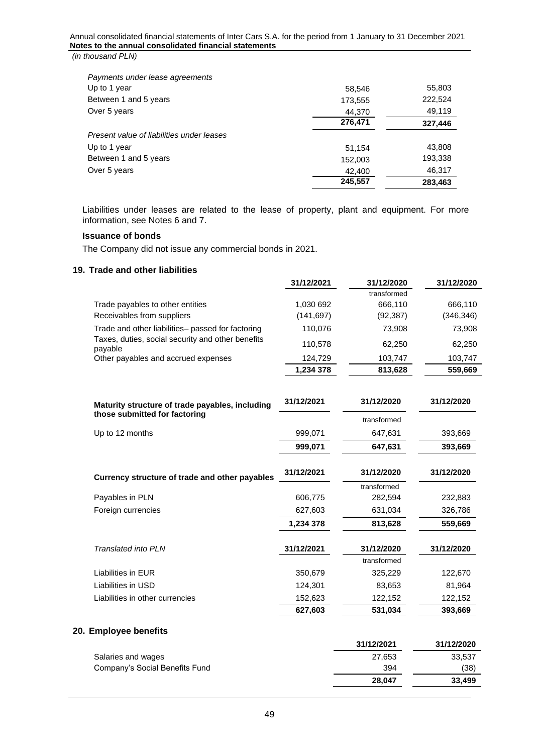| Payments under lease agreements           |         |         |
|-------------------------------------------|---------|---------|
| Up to 1 year                              | 58,546  | 55,803  |
| Between 1 and 5 years                     | 173,555 | 222,524 |
| Over 5 years                              | 44,370  | 49,119  |
|                                           | 276,471 | 327,446 |
| Present value of liabilities under leases |         |         |
| Up to 1 year                              | 51.154  | 43,808  |
| Between 1 and 5 years                     | 152,003 | 193,338 |
| Over 5 years                              | 42,400  | 46,317  |
|                                           | 245,557 | 283.463 |

Liabilities under leases are related to the lease of property, plant and equipment. For more information, see Notes 6 and 7.

# **Issuance of bonds**

The Company did not issue any commercial bonds in 2021.

# <span id="page-48-0"></span>**19. Trade and other liabilities**

|                                                              | 31/12/2021 | 31/12/2020  | 31/12/2020 |
|--------------------------------------------------------------|------------|-------------|------------|
|                                                              |            | transformed |            |
| Trade payables to other entities                             | 1,030 692  | 666.110     | 666.110    |
| Receivables from suppliers                                   | (141,697)  | (92, 387)   | (346, 346) |
| Trade and other liabilities- passed for factoring            | 110.076    | 73.908      | 73,908     |
| Taxes, duties, social security and other benefits<br>payable | 110.578    | 62.250      | 62,250     |
| Other payables and accrued expenses                          | 124.729    | 103,747     | 103.747    |
|                                                              | 1.234 378  | 813.628     | 559.669    |

| Maturity structure of trade payables, including | 31/12/2021 | 31/12/2020  | 31/12/2020 |
|-------------------------------------------------|------------|-------------|------------|
| those submitted for factoring                   |            | transformed |            |
| Up to 12 months                                 | 999,071    | 647,631     | 393,669    |
|                                                 | 999,071    | 647,631     | 393,669    |
| Currency structure of trade and other payables  | 31/12/2021 | 31/12/2020  | 31/12/2020 |
|                                                 |            | transformed |            |
| Payables in PLN                                 | 606,775    | 282,594     | 232,883    |
| Foreign currencies                              | 627,603    | 631,034     | 326,786    |
|                                                 | 1,234 378  | 813,628     | 559,669    |
| Translated into PLN                             | 31/12/2021 | 31/12/2020  | 31/12/2020 |
|                                                 |            | transformed |            |
| Liabilities in EUR                              | 350,679    | 325,229     | 122,670    |
| Liabilities in USD                              | 124,301    | 83,653      | 81,964     |
| Liabilities in other currencies                 | 152,623    | 122,152     | 122,152    |
|                                                 | 627,603    | 531,034     | 393,669    |

# <span id="page-48-1"></span>**20. Employee benefits**

|                                | 31/12/2021 | 31/12/2020 |
|--------------------------------|------------|------------|
| Salaries and wages             | 27,653     | 33,537     |
| Company's Social Benefits Fund | 394        | (38)       |
|                                | 28.047     | 33.499     |
|                                |            |            |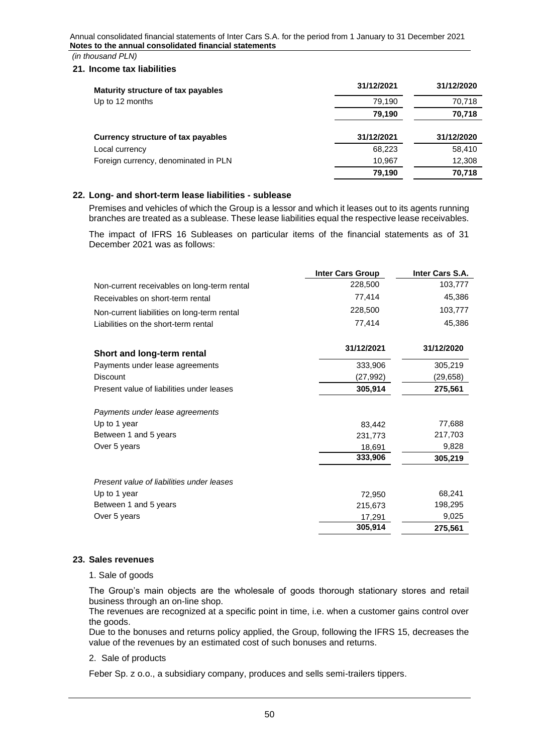*(in thousand PLN)*

#### <span id="page-49-0"></span>**21. Income tax liabilities**

| Maturity structure of tax payables   | 31/12/2021 | 31/12/2020 |
|--------------------------------------|------------|------------|
| Up to 12 months                      | 79,190     | 70,718     |
|                                      | 79,190     | 70,718     |
| Currency structure of tax payables   | 31/12/2021 | 31/12/2020 |
| Local currency                       | 68,223     | 58,410     |
| Foreign currency, denominated in PLN | 10,967     | 12,308     |
|                                      | 79,190     | 70,718     |

# <span id="page-49-1"></span>**22. Long- and short-term lease liabilities - sublease**

Premises and vehicles of which the Group is a lessor and which it leases out to its agents running branches are treated as a sublease. These lease liabilities equal the respective lease receivables.

The impact of IFRS 16 Subleases on particular items of the financial statements as of 31 December 2021 was as follows:

|                                             | <b>Inter Cars Group</b> | Inter Cars S.A. |
|---------------------------------------------|-------------------------|-----------------|
| Non-current receivables on long-term rental | 228,500                 | 103,777         |
| Receivables on short-term rental            | 77,414                  | 45,386          |
| Non-current liabilities on long-term rental | 228,500                 | 103,777         |
| Liabilities on the short-term rental        | 77,414                  | 45,386          |
| Short and long-term rental                  | 31/12/2021              | 31/12/2020      |
| Payments under lease agreements             | 333,906                 | 305,219         |
| <b>Discount</b>                             | (27, 992)               | (29, 658)       |
| Present value of liabilities under leases   | 305,914                 | 275,561         |
| Payments under lease agreements             |                         |                 |
| Up to 1 year                                | 83,442                  | 77,688          |
| Between 1 and 5 years                       | 231,773                 | 217,703         |
| Over 5 years                                | 18,691                  | 9,828           |
|                                             | 333,906                 | 305,219         |
| Present value of liabilities under leases   |                         |                 |
| Up to 1 year                                | 72,950                  | 68,241          |
| Between 1 and 5 years                       | 215,673                 | 198,295         |
| Over 5 years                                | 17,291                  | 9,025           |
|                                             | 305,914                 | 275,561         |

#### <span id="page-49-2"></span>**23. Sales revenues**

1. Sale of goods

The Group's main objects are the wholesale of goods thorough stationary stores and retail business through an on-line shop.

The revenues are recognized at a specific point in time, i.e. when a customer gains control over the goods.

Due to the bonuses and returns policy applied, the Group, following the IFRS 15, decreases the value of the revenues by an estimated cost of such bonuses and returns.

#### 2. Sale of products

Feber Sp. z o.o., a subsidiary company, produces and sells semi-trailers tippers.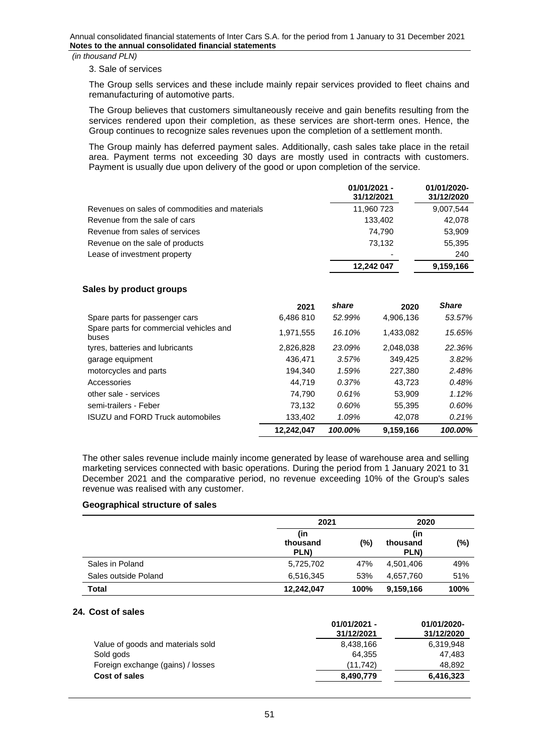*(in thousand PLN)*

#### 3. Sale of services

The Group sells services and these include mainly repair services provided to fleet chains and remanufacturing of automotive parts.

The Group believes that customers simultaneously receive and gain benefits resulting from the services rendered upon their completion, as these services are short-term ones. Hence, the Group continues to recognize sales revenues upon the completion of a settlement month.

The Group mainly has deferred payment sales. Additionally, cash sales take place in the retail area. Payment terms not exceeding 30 days are mostly used in contracts with customers. Payment is usually due upon delivery of the good or upon completion of the service.

|                                                | 01/01/2021 -<br>31/12/2021 | 01/01/2020-<br>31/12/2020 |
|------------------------------------------------|----------------------------|---------------------------|
| Revenues on sales of commodities and materials | 11,960 723                 | 9,007,544                 |
| Revenue from the sale of cars                  | 133.402                    | 42.078                    |
| Revenue from sales of services                 | 74.790                     | 53,909                    |
| Revenue on the sale of products                | 73.132                     | 55,395                    |
| Lease of investment property                   |                            | 240                       |
|                                                | 12.242 047                 | 9,159,166                 |

#### **Sales by product groups**

|                                                  | 2021       | share   | 2020      | <b>Share</b> |
|--------------------------------------------------|------------|---------|-----------|--------------|
| Spare parts for passenger cars                   | 6,486 810  | 52.99%  | 4,906,136 | 53.57%       |
| Spare parts for commercial vehicles and<br>buses | 1,971,555  | 16.10%  | 1,433,082 | 15.65%       |
| tyres, batteries and lubricants                  | 2,826,828  | 23.09%  | 2.048.038 | 22.36%       |
| garage equipment                                 | 436.471    | 3.57%   | 349.425   | 3.82%        |
| motorcycles and parts                            | 194.340    | 1.59%   | 227,380   | 2.48%        |
| Accessories                                      | 44.719     | 0.37%   | 43.723    | 0.48%        |
| other sale - services                            | 74.790     | 0.61%   | 53.909    | 1.12%        |
| semi-trailers - Feber                            | 73,132     | 0.60%   | 55,395    | 0.60%        |
| <b>ISUZU and FORD Truck automobiles</b>          | 133.402    | 1.09%   | 42.078    | 0.21%        |
|                                                  | 12.242.047 | 100.00% | 9,159,166 | 100.00%      |

The other sales revenue include mainly income generated by lease of warehouse area and selling marketing services connected with basic operations. During the period from 1 January 2021 to 31 December 2021 and the comparative period, no revenue exceeding 10% of the Group's sales revenue was realised with any customer.

#### **Geographical structure of sales**

|                      | 2021                    |      | 2020                    |        |
|----------------------|-------------------------|------|-------------------------|--------|
|                      | (in<br>thousand<br>PLN) | (%)  | (in<br>thousand<br>PLN) | $(\%)$ |
| Sales in Poland      | 5,725,702               | 47%  | 4,501,406               | 49%    |
| Sales outside Poland | 6,516,345               | 53%  | 4,657,760               | 51%    |
| Total                | 12,242,047              | 100% | 9,159,166               | 100%   |

## <span id="page-50-0"></span>**24. Cost of sales**

|                                   | 01/01/2021 -<br>31/12/2021 | 01/01/2020-<br>31/12/2020 |
|-----------------------------------|----------------------------|---------------------------|
| Value of goods and materials sold | 8,438,166                  | 6,319,948                 |
| Sold gods                         | 64.355                     | 47.483                    |
| Foreign exchange (gains) / losses | (11, 742)                  | 48.892                    |
| Cost of sales                     | 8,490,779                  | 6,416,323                 |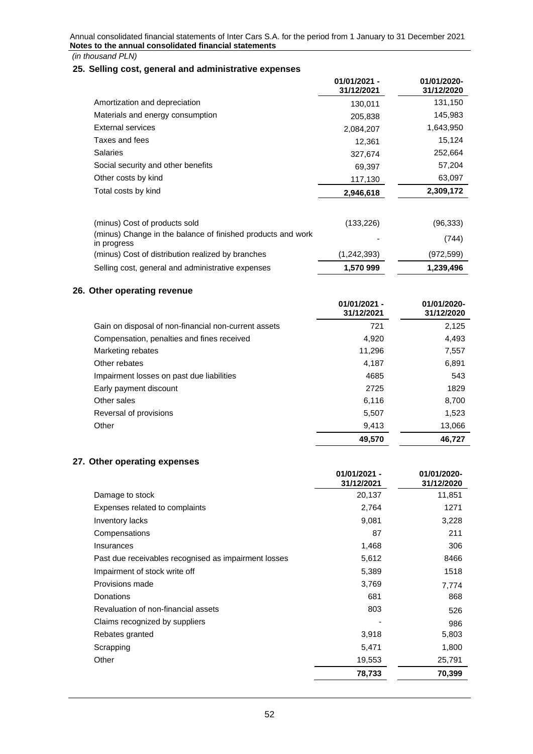<span id="page-51-1"></span>**26. Other operating revenue**

# <span id="page-51-0"></span>**25. Selling cost, general and administrative expenses**

|                                                                                                                                                                  | $01/01/2021 -$<br>31/12/2021 | 01/01/2020-<br>31/12/2020        |
|------------------------------------------------------------------------------------------------------------------------------------------------------------------|------------------------------|----------------------------------|
| Amortization and depreciation                                                                                                                                    | 130,011                      | 131,150                          |
| Materials and energy consumption                                                                                                                                 | 205,838                      | 145,983                          |
| External services                                                                                                                                                | 2,084,207                    | 1,643,950                        |
| Taxes and fees                                                                                                                                                   | 12,361                       | 15,124                           |
| <b>Salaries</b>                                                                                                                                                  | 327.674                      | 252,664                          |
| Social security and other benefits                                                                                                                               | 69,397                       | 57,204                           |
| Other costs by kind                                                                                                                                              | 117,130                      | 63,097                           |
| Total costs by kind                                                                                                                                              | 2,946,618                    | 2,309,172                        |
| (minus) Cost of products sold<br>(minus) Change in the balance of finished products and work<br>in progress<br>(minus) Cost of distribution realized by branches | (133, 226)<br>(1, 242, 393)  | (96, 333)<br>(744)<br>(972, 599) |
| Selling cost, general and administrative expenses                                                                                                                | 1,570 999                    | 1,239,496                        |
| Other operating revenue                                                                                                                                          | $01/01/2021 -$<br>31/12/2021 | 01/01/2020-<br>31/12/2020        |
| Gain on disposal of non-financial non-current assets                                                                                                             | 721                          | 2,125                            |
| Compensation, penalties and fines received                                                                                                                       | 4,920                        | 4,493                            |
| Marketing rebates                                                                                                                                                | 11,296                       | 7,557                            |
| Other rebates                                                                                                                                                    | 4,187                        | 6,891                            |

|                                           | 49.570       | 46.727        |
|-------------------------------------------|--------------|---------------|
| Other                                     | 9.413        | 13.066        |
| Reversal of provisions                    | 5.507        | 1.523         |
| Other sales                               | 6.116        | 8,700         |
| Early payment discount                    | 2725         | 1829          |
| Impairment losses on past due liabilities | 4685         | 543           |
| <b>UTIOL IGNATO</b>                       | <b>T.IVI</b> | <b>U,UJ</b> 1 |

# <span id="page-51-2"></span>**27. Other operating expenses**

|                                                      | $01/01/2021 -$<br>31/12/2021 | 01/01/2020-<br>31/12/2020 |
|------------------------------------------------------|------------------------------|---------------------------|
| Damage to stock                                      | 20,137                       | 11,851                    |
| Expenses related to complaints                       | 2,764                        | 1271                      |
| Inventory lacks                                      | 9,081                        | 3,228                     |
| Compensations                                        | 87                           | 211                       |
| Insurances                                           | 1,468                        | 306                       |
| Past due receivables recognised as impairment losses | 5,612                        | 8466                      |
| Impairment of stock write off                        | 5,389                        | 1518                      |
| Provisions made                                      | 3,769                        | 7,774                     |
| Donations                                            | 681                          | 868                       |
| Revaluation of non-financial assets                  | 803                          | 526                       |
| Claims recognized by suppliers                       |                              | 986                       |
| Rebates granted                                      | 3,918                        | 5,803                     |
| Scrapping                                            | 5,471                        | 1,800                     |
| Other                                                | 19,553                       | 25,791                    |
|                                                      | 78,733                       | 70,399                    |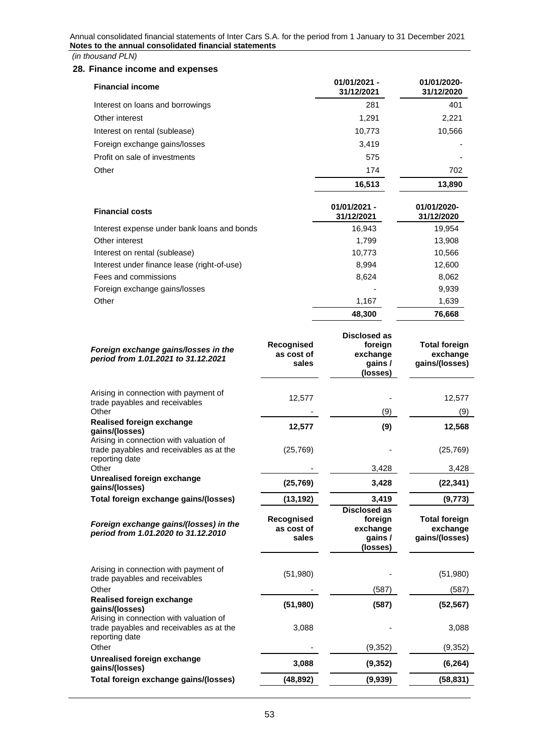*(in thousand PLN)*

## <span id="page-52-0"></span>**28. Finance income and expenses**

| <b>Financial income</b>                     | $01/01/2021 -$<br>31/12/2021 | 01/01/2020-<br>31/12/2020 |
|---------------------------------------------|------------------------------|---------------------------|
| Interest on loans and borrowings            | 281                          | 401                       |
| Other interest                              | 1.291                        | 2,221                     |
| Interest on rental (sublease)               | 10,773                       | 10,566                    |
| Foreign exchange gains/losses               | 3,419                        |                           |
| Profit on sale of investments               | 575                          |                           |
| Other                                       | 174                          | 702                       |
|                                             | 16,513                       | 13,890                    |
| <b>Financial costs</b>                      | $01/01/2021 -$<br>31/12/2021 | 01/01/2020-<br>31/12/2020 |
| Interest expense under bank loans and bonds | 16,943                       | 19,954                    |
| Other interest                              | 1.799                        | 13,908                    |

|                                             | 48,300                   | 76.668 |
|---------------------------------------------|--------------------------|--------|
| Other                                       | 1.167                    | 1,639  |
| Foreign exchange gains/losses               | $\overline{\phantom{0}}$ | 9,939  |
| Fees and commissions                        | 8.624                    | 8,062  |
| Interest under finance lease (right-of-use) | 8.994                    | 12,600 |
| Interest on rental (sublease)               | 10.773                   | 10,566 |

| Recognised<br>as cost of<br>sales | <b>Disclosed as</b><br>foreign<br>exchange<br>gains /<br>(losses) | <b>Total foreign</b><br>exchange<br>gains/(losses) |
|-----------------------------------|-------------------------------------------------------------------|----------------------------------------------------|
| 12,577                            |                                                                   | 12,577<br>(9)                                      |
| 12,577                            | (9)                                                               | 12,568                                             |
| (25, 769)                         |                                                                   | (25, 769)<br>3,428                                 |
| (25, 769)                         | 3,428                                                             | (22, 341)                                          |
| (13, 192)                         | 3,419                                                             | (9, 773)                                           |
| Recognised<br>as cost of<br>sales | foreign<br>exchange<br>gains/<br>(losses)                         | <b>Total foreign</b><br>exchange<br>gains/(losses) |
| (51,980)                          |                                                                   | (51,980)                                           |
|                                   | (587)                                                             | (587)                                              |
| (51, 980)                         | (587)                                                             | (52, 567)                                          |
| 3,088                             |                                                                   | 3,088                                              |
|                                   | (9, 352)                                                          | (9, 352)                                           |
| 3,088                             | (9, 352)                                                          | (6, 264)                                           |
|                                   | (9,939)                                                           | (58, 831)                                          |
|                                   | (48, 892)                                                         | (9)<br>3,428<br><b>Disclosed as</b>                |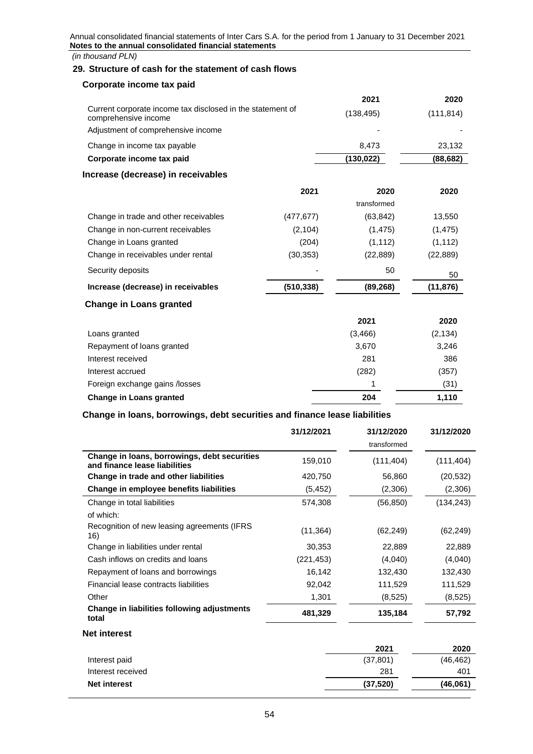*(in thousand PLN)*

# <span id="page-53-0"></span>**29. Structure of cash for the statement of cash flows**

# **Corporate income tax paid**

|                                                                                    | 2021                     | 2020       |
|------------------------------------------------------------------------------------|--------------------------|------------|
| Current corporate income tax disclosed in the statement of<br>comprehensive income | (138, 495)               | (111, 814) |
| Adjustment of comprehensive income                                                 | $\overline{\phantom{0}}$ |            |
| Change in income tax payable                                                       | 8.473                    | 23.132     |
| Corporate income tax paid                                                          | (130, 022)               | (88, 682)  |
| Increase (decrease) in receivables                                                 |                          |            |

|                                       | 2021       | 2020        | 2020      |
|---------------------------------------|------------|-------------|-----------|
|                                       |            | transformed |           |
| Change in trade and other receivables | (477, 677) | (63, 842)   | 13,550    |
| Change in non-current receivables     | (2, 104)   | (1, 475)    | (1, 475)  |
| Change in Loans granted               | (204)      | (1, 112)    | (1, 112)  |
| Change in receivables under rental    | (30, 353)  | (22, 889)   | (22, 889) |
| Security deposits                     |            | 50          | 50        |
| Increase (decrease) in receivables    | (510,338)  | (89,268)    | (11,876)  |

# **Change in Loans granted**

|                                | 2021     | 2020     |
|--------------------------------|----------|----------|
| Loans granted                  | (3, 466) | (2, 134) |
| Repayment of loans granted     | 3,670    | 3,246    |
| Interest received              | 281      | 386      |
| Interest accrued               | (282)    | (357)    |
| Foreign exchange gains /losses |          | (31)     |
| <b>Change in Loans granted</b> | 204      | 1,110    |

# **Change in loans, borrowings, debt securities and finance lease liabilities**

|                                                                               | 31/12/2021 | 31/12/2020  | 31/12/2020 |
|-------------------------------------------------------------------------------|------------|-------------|------------|
|                                                                               |            | transformed |            |
| Change in loans, borrowings, debt securities<br>and finance lease liabilities | 159,010    | (111, 404)  | (111, 404) |
| Change in trade and other liabilities                                         | 420,750    | 56,860      | (20, 532)  |
| Change in employee benefits liabilities                                       | (5,452)    | (2,306)     | (2,306)    |
| Change in total liabilities                                                   | 574,308    | (56,850)    | (134, 243) |
| of which:                                                                     |            |             |            |
| Recognition of new leasing agreements (IFRS)<br>16)                           | (11, 364)  | (62, 249)   | (62,249)   |
| Change in liabilities under rental                                            | 30,353     | 22,889      | 22,889     |
| Cash inflows on credits and loans                                             | (221, 453) | (4,040)     | (4,040)    |
| Repayment of loans and borrowings                                             | 16,142     | 132,430     | 132,430    |
| Financial lease contracts liabilities                                         | 92,042     | 111,529     | 111,529    |
| Other                                                                         | 1,301      | (8,525)     | (8,525)    |
| Change in liabilities following adjustments<br>total                          | 481,329    | 135,184     | 57,792     |

# **Net interest**

|                     | 2021      | 2020      |
|---------------------|-----------|-----------|
| Interest paid       | (37, 801) | (46, 462) |
| Interest received   | 281       | 401       |
| <b>Net interest</b> | (37,520)  | (46,061)  |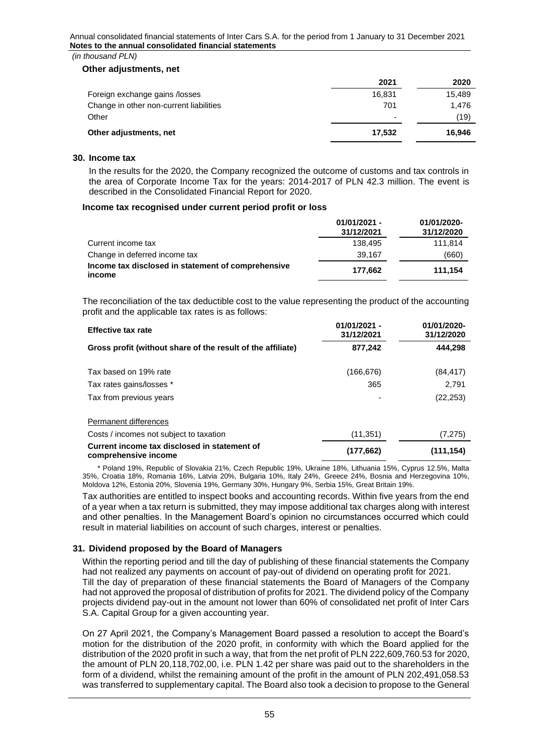#### *(in thousand PLN)*

#### **Other adjustments, net**

|                                         | 2021   | 2020   |
|-----------------------------------------|--------|--------|
| Foreign exchange gains /losses          | 16.831 | 15,489 |
| Change in other non-current liabilities | 701    | 1.476  |
| Other                                   | -      | (19)   |
| Other adjustments, net                  | 17.532 | 16.946 |

#### <span id="page-54-0"></span>**30. Income tax**

In the results for the 2020, the Company recognized the outcome of customs and tax controls in the area of Corporate Income Tax for the years: 2014-2017 of PLN 42.3 million. The event is described in the Consolidated Financial Report for 2020.

#### **Income tax recognised under current period profit or loss**

|                                                              | $01/01/2021 -$<br>31/12/2021 | 01/01/2020-<br>31/12/2020 |
|--------------------------------------------------------------|------------------------------|---------------------------|
| Current income tax                                           | 138.495                      | 111.814                   |
| Change in deferred income tax                                | 39.167                       | (660)                     |
| Income tax disclosed in statement of comprehensive<br>income | 177.662                      | 111.154                   |

The reconciliation of the tax deductible cost to the value representing the product of the accounting profit and the applicable tax rates is as follows:

| <b>Effective tax rate</b>                                            | $01/01/2021 -$<br>31/12/2021 | 01/01/2020-<br>31/12/2020 |
|----------------------------------------------------------------------|------------------------------|---------------------------|
| Gross profit (without share of the result of the affiliate)          | 877,242                      | 444.298                   |
| Tax based on 19% rate                                                | (166, 676)                   | (84, 417)                 |
| Tax rates gains/losses *                                             | 365                          | 2.791                     |
| Tax from previous years                                              |                              | (22, 253)                 |
| Permanent differences                                                |                              |                           |
| Costs / incomes not subject to taxation                              | (11, 351)                    | (7, 275)                  |
| Current income tax disclosed in statement of<br>comprehensive income | (177, 662)                   | (111, 154)                |

 \* Poland 19%, Republic of Slovakia 21%, Czech Republic 19%, Ukraine 18%, Lithuania 15%, Cyprus 12.5%, Malta 35%, Croatia 18%, Romania 16%, Latvia 20%, Bulgaria 10%, Italy 24%, Greece 24%, Bosnia and Herzegovina 10%, Moldova 12%, Estonia 20%, Slovenia 19%, Germany 30%, Hungary 9%, Serbia 15%, Great Britain 19%.

Tax authorities are entitled to inspect books and accounting records. Within five years from the end of a year when a tax return is submitted, they may impose additional tax charges along with interest and other penalties. In the Management Board's opinion no circumstances occurred which could result in material liabilities on account of such charges, interest or penalties.

# <span id="page-54-1"></span>**31. Dividend proposed by the Board of Managers**

Within the reporting period and till the day of publishing of these financial statements the Company had not realized any payments on account of pay-out of dividend on operating profit for 2021. Till the day of preparation of these financial statements the Board of Managers of the Company had not approved the proposal of distribution of profits for 2021. The dividend policy of the Company projects dividend pay-out in the amount not lower than 60% of consolidated net profit of Inter Cars S.A. Capital Group for a given accounting year.

On 27 April 2021, the Company's Management Board passed a resolution to accept the Board's motion for the distribution of the 2020 profit, in conformity with which the Board applied for the distribution of the 2020 profit in such a way, that from the net profit of PLN 222,609,760.53 for 2020, the amount of PLN 20,118,702,00, i.e. PLN 1.42 per share was paid out to the shareholders in the form of a dividend, whilst the remaining amount of the profit in the amount of PLN 202,491,058.53 was transferred to supplementary capital. The Board also took a decision to propose to the General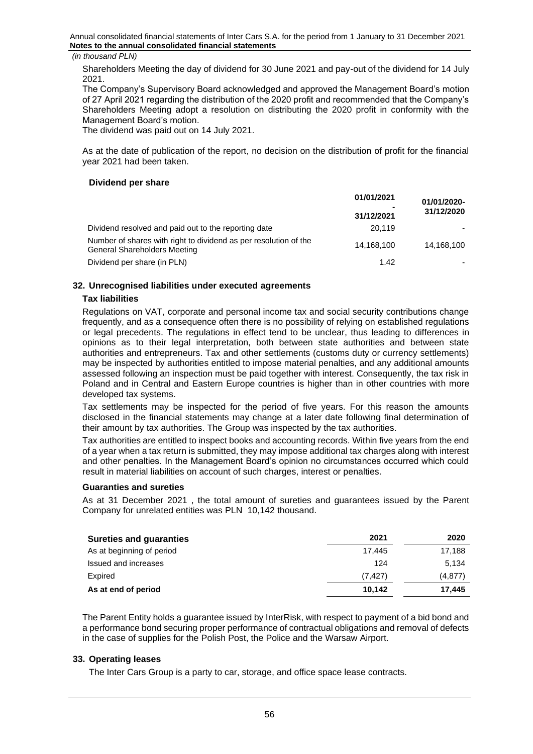Shareholders Meeting the day of dividend for 30 June 2021 and pay-out of the dividend for 14 July 2021.

The Company's Supervisory Board acknowledged and approved the Management Board's motion of 27 April 2021 regarding the distribution of the 2020 profit and recommended that the Company's Shareholders Meeting adopt a resolution on distributing the 2020 profit in conformity with the Management Board's motion.

The dividend was paid out on 14 July 2021.

As at the date of publication of the report, no decision on the distribution of profit for the financial year 2021 had been taken.

# **Dividend per share**

| 01/01/2021                   | 01/01/2020- |  |
|------------------------------|-------------|--|
| $\blacksquare$<br>31/12/2021 | 31/12/2020  |  |
| 20.119                       |             |  |
| 14.168.100                   | 14.168.100  |  |
| 1.42                         |             |  |
|                              |             |  |

# <span id="page-55-0"></span>**32. Unrecognised liabilities under executed agreements**

# **Tax liabilities**

Regulations on VAT, corporate and personal income tax and social security contributions change frequently, and as a consequence often there is no possibility of relying on established regulations or legal precedents. The regulations in effect tend to be unclear, thus leading to differences in opinions as to their legal interpretation, both between state authorities and between state authorities and entrepreneurs. Tax and other settlements (customs duty or currency settlements) may be inspected by authorities entitled to impose material penalties, and any additional amounts assessed following an inspection must be paid together with interest. Consequently, the tax risk in Poland and in Central and Eastern Europe countries is higher than in other countries with more developed tax systems.

Tax settlements may be inspected for the period of five years. For this reason the amounts disclosed in the financial statements may change at a later date following final determination of their amount by tax authorities. The Group was inspected by the tax authorities.

Tax authorities are entitled to inspect books and accounting records. Within five years from the end of a year when a tax return is submitted, they may impose additional tax charges along with interest and other penalties. In the Management Board's opinion no circumstances occurred which could result in material liabilities on account of such charges, interest or penalties.

#### **Guaranties and sureties**

As at 31 December 2021 , the total amount of sureties and guarantees issued by the Parent Company for unrelated entities was PLN 10,142 thousand.

| <b>Sureties and guaranties</b> | 2021    | 2020     |
|--------------------------------|---------|----------|
| As at beginning of period      | 17.445  | 17.188   |
| Issued and increases           | 124     | 5.134    |
| Expired                        | (7.427) | (4, 877) |
| As at end of period            | 10.142  | 17.445   |

The Parent Entity holds a guarantee issued by InterRisk, with respect to payment of a bid bond and a performance bond securing proper performance of contractual obligations and removal of defects in the case of supplies for the Polish Post, the Police and the Warsaw Airport.

# <span id="page-55-1"></span>**33. Operating leases**

The Inter Cars Group is a party to car, storage, and office space lease contracts.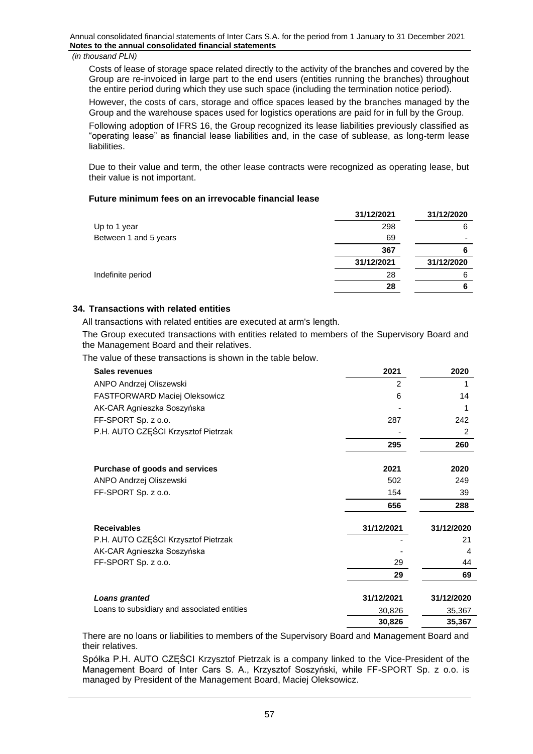Costs of lease of storage space related directly to the activity of the branches and covered by the Group are re-invoiced in large part to the end users (entities running the branches) throughout the entire period during which they use such space (including the termination notice period).

However, the costs of cars, storage and office spaces leased by the branches managed by the Group and the warehouse spaces used for logistics operations are paid for in full by the Group.

Following adoption of IFRS 16, the Group recognized its lease liabilities previously classified as "operating lease" as financial lease liabilities and, in the case of sublease, as long-term lease liabilities.

Due to their value and term, the other lease contracts were recognized as operating lease, but their value is not important.

# **Future minimum fees on an irrevocable financial lease**

|                       | 31/12/2021 | 31/12/2020 |
|-----------------------|------------|------------|
| Up to 1 year          | 298        | 6          |
| Between 1 and 5 years | 69         |            |
|                       | 367        |            |
|                       | 31/12/2021 | 31/12/2020 |
| Indefinite period     | 28         |            |
|                       | 28         |            |
|                       |            |            |

# <span id="page-56-0"></span>**34. Transactions with related entities**

All transactions with related entities are executed at arm's length.

The Group executed transactions with entities related to members of the Supervisory Board and the Management Board and their relatives.

The value of these transactions is shown in the table below.

| <b>Sales revenues</b>                       | 2021       | 2020       |
|---------------------------------------------|------------|------------|
| ANPO Andrzej Oliszewski                     | 2          |            |
| <b>FASTFORWARD Maciej Oleksowicz</b>        | 6          | 14         |
| AK-CAR Agnieszka Soszyńska                  |            |            |
| FF-SPORT Sp. z o.o.                         | 287        | 242        |
| P.H. AUTO CZEŚCI Krzysztof Pietrzak         |            | 2          |
|                                             | 295        | 260        |
| Purchase of goods and services              | 2021       | 2020       |
| ANPO Andrzej Oliszewski                     | 502        | 249        |
| FF-SPORT Sp. z o.o.                         | 154        | 39         |
|                                             | 656        | 288        |
| <b>Receivables</b>                          | 31/12/2021 | 31/12/2020 |
| P.H. AUTO CZĘŚCI Krzysztof Pietrzak         |            | 21         |
| AK-CAR Agnieszka Soszyńska                  |            | 4          |
| FF-SPORT Sp. z o.o.                         | 29         | 44         |
|                                             | 29         | 69         |
| <b>Loans granted</b>                        | 31/12/2021 | 31/12/2020 |
| Loans to subsidiary and associated entities | 30,826     | 35,367     |
|                                             | 30,826     | 35,367     |

There are no loans or liabilities to members of the Supervisory Board and Management Board and their relatives.

Spółka P.H. AUTO CZĘŚCI Krzysztof Pietrzak is a company linked to the Vice-President of the Management Board of Inter Cars S. A., Krzysztof Soszyński, while FF-SPORT Sp. z o.o. is managed by President of the Management Board, Maciej Oleksowicz.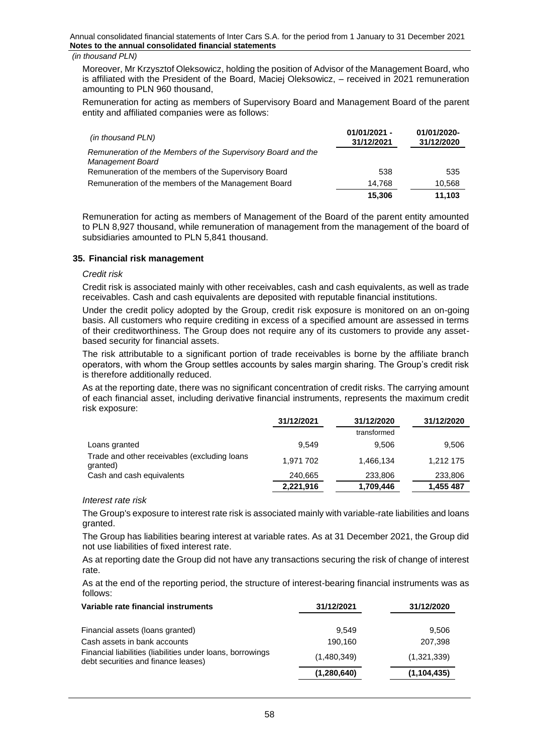#### *(in thousand PLN)*

Moreover, Mr Krzysztof Oleksowicz, holding the position of Advisor of the Management Board, who is affiliated with the President of the Board, Maciej Oleksowicz, – received in 2021 remuneration amounting to PLN 960 thousand,

Remuneration for acting as members of Supervisory Board and Management Board of the parent entity and affiliated companies were as follows:

| (in thousand PLN)                                            | $01/01/2021 -$<br>31/12/2021 | 01/01/2020-<br>31/12/2020 |
|--------------------------------------------------------------|------------------------------|---------------------------|
| Remuneration of the Members of the Supervisory Board and the |                              |                           |
| Management Board                                             |                              |                           |
| Remuneration of the members of the Supervisory Board         | 538                          | 535                       |
| Remuneration of the members of the Management Board          | 14.768                       | 10,568                    |
|                                                              | 15,306                       | 11.103                    |

Remuneration for acting as members of Management of the Board of the parent entity amounted to PLN 8,927 thousand, while remuneration of management from the management of the board of subsidiaries amounted to PLN 5,841 thousand.

## <span id="page-57-0"></span>**35. Financial risk management**

#### *Credit risk*

Credit risk is associated mainly with other receivables, cash and cash equivalents, as well as trade receivables. Cash and cash equivalents are deposited with reputable financial institutions.

Under the credit policy adopted by the Group, credit risk exposure is monitored on an on-going basis. All customers who require crediting in excess of a specified amount are assessed in terms of their creditworthiness. The Group does not require any of its customers to provide any assetbased security for financial assets.

The risk attributable to a significant portion of trade receivables is borne by the affiliate branch operators, with whom the Group settles accounts by sales margin sharing. The Group's credit risk is therefore additionally reduced.

As at the reporting date, there was no significant concentration of credit risks. The carrying amount of each financial asset, including derivative financial instruments, represents the maximum credit risk exposure:

|                                                          | 31/12/2021 | 31/12/2020  | 31/12/2020 |
|----------------------------------------------------------|------------|-------------|------------|
|                                                          |            | transformed |            |
| Loans granted                                            | 9.549      | 9.506       | 9,506      |
| Trade and other receivables (excluding loans<br>granted) | 1.971 702  | 1.466.134   | 1.212 175  |
| Cash and cash equivalents                                | 240.665    | 233,806     | 233,806    |
|                                                          | 2,221,916  | 1,709,446   | 1,455 487  |

#### *Interest rate risk*

The Group's exposure to interest rate risk is associated mainly with variable-rate liabilities and loans granted.

The Group has liabilities bearing interest at variable rates. As at 31 December 2021, the Group did not use liabilities of fixed interest rate.

As at reporting date the Group did not have any transactions securing the risk of change of interest rate.

As at the end of the reporting period, the structure of interest-bearing financial instruments was as follows:

| Variable rate financial instruments                                                               | 31/12/2021  | 31/12/2020    |
|---------------------------------------------------------------------------------------------------|-------------|---------------|
| Financial assets (loans granted)                                                                  | 9.549       | 9,506         |
| Cash assets in bank accounts                                                                      | 190,160     | 207,398       |
| Financial liabilities (liabilities under loans, borrowings<br>debt securities and finance leases) | (1,480,349) | (1,321,339)   |
|                                                                                                   | (1,280,640) | (1, 104, 435) |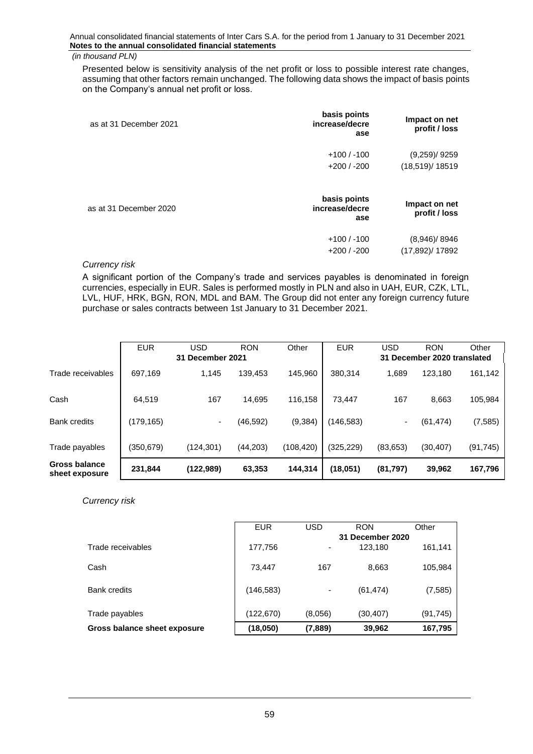Presented below is sensitivity analysis of the net profit or loss to possible interest rate changes, assuming that other factors remain unchanged. The following data shows the impact of basis points on the Company's annual net profit or loss.

| as at 31 December 2021 | basis points<br>increase/decre<br>ase | Impact on net<br>profit / loss         |
|------------------------|---------------------------------------|----------------------------------------|
|                        | $+100/ -100$<br>$+200/ -200$          | $(9,259)$ /9259<br>(18,519)/18519      |
| as at 31 December 2020 | basis points<br>increase/decre<br>ase | Impact on net<br>profit / loss         |
|                        | $+100/ -100$<br>$+200/ -200$          | $(8,946)$ / 8946<br>$(17,892)$ / 17892 |

# *Currency risk*

A significant portion of the Company's trade and services payables is denominated in foreign currencies, especially in EUR. Sales is performed mostly in PLN and also in UAH, EUR, CZK, LTL, LVL, HUF, HRK, BGN, RON, MDL and BAM. The Group did not enter any foreign currency future purchase or sales contracts between 1st January to 31 December 2021.

|                                        | <b>EUR</b> | USD                 | <b>RON</b> | Other      | <b>EUR</b> | <b>USD</b> | <b>RON</b>                  | Other     |
|----------------------------------------|------------|---------------------|------------|------------|------------|------------|-----------------------------|-----------|
|                                        |            | December 2021<br>31 |            |            |            |            | 31 December 2020 translated |           |
| Trade receivables                      | 697,169    | 1.145               | 139.453    | 145.960    | 380.314    | 1,689      | 123.180                     | 161,142   |
| Cash                                   | 64.519     | 167                 | 14.695     | 116.158    | 73.447     | 167        | 8,663                       | 105,984   |
| <b>Bank credits</b>                    | (179, 165) | ۰.                  | (46, 592)  | (9, 384)   | (146, 583) | ۰.         | (61, 474)                   | (7, 585)  |
| Trade payables                         | (350, 679) | (124, 301)          | (44, 203)  | (108, 420) | (325, 229) | (83, 653)  | (30, 407)                   | (91, 745) |
| <b>Gross balance</b><br>sheet exposure | 231,844    | (122,989)           | 63,353     | 144,314    | (18,051)   | (81, 797)  | 39,962                      | 167,796   |

*Currency risk*

|                              | <b>EUR</b> | USD                      | <b>RON</b>       | Other     |
|------------------------------|------------|--------------------------|------------------|-----------|
|                              |            |                          | 31 December 2020 |           |
| Trade receivables            | 177,756    | $\overline{\phantom{0}}$ | 123,180          | 161,141   |
|                              |            |                          |                  |           |
| Cash                         | 73.447     | 167                      | 8,663            | 105,984   |
|                              |            |                          |                  |           |
| <b>Bank credits</b>          | (146, 583) |                          | (61, 474)        | (7, 585)  |
|                              |            |                          |                  |           |
| Trade payables               | (122,670)  | (8.056)                  | (30, 407)        | (91, 745) |
| Gross balance sheet exposure | (18,050)   | (7,889)                  | 39,962           | 167,795   |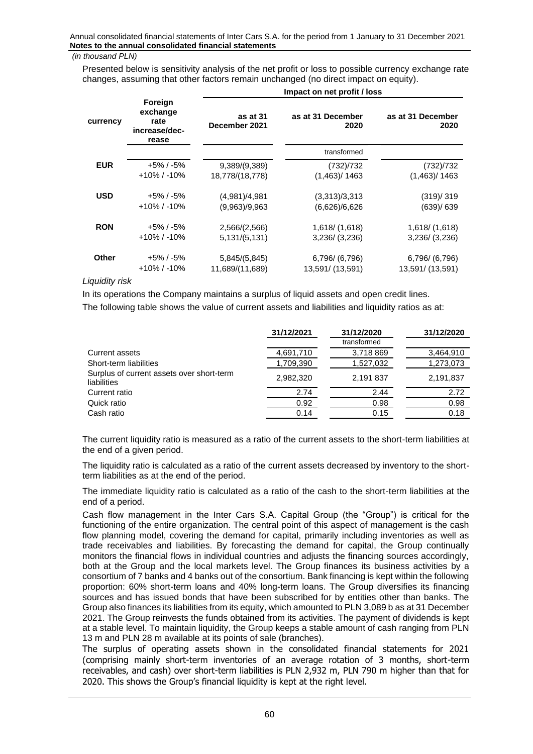# *(in thousand PLN)*

Presented below is sensitivity analysis of the net profit or loss to possible currency exchange rate changes, assuming that other factors remain unchanged (no direct impact on equity).

|              |                                                       | Impact on net profit / loss |                           |                           |  |
|--------------|-------------------------------------------------------|-----------------------------|---------------------------|---------------------------|--|
| currency     | Foreign<br>exchange<br>rate<br>increase/dec-<br>rease | as at 31<br>December 2021   | as at 31 December<br>2020 | as at 31 December<br>2020 |  |
|              |                                                       |                             | transformed               |                           |  |
| <b>EUR</b>   | $+5\%$ / -5%                                          | 9,389/(9,389)               | (732)/732                 | (732)/732                 |  |
|              | $+10\%$ / -10%                                        | 18,778/(18,778)             | (1,463)/1463              | (1,463)/1463              |  |
| <b>USD</b>   | $+5\%$ / -5%                                          | (4,981)/4,981               | (3,313)/3,313             | (319)/319                 |  |
|              | $+10\%$ / -10%                                        | (9,963)/9,963               | (6,626)/6,626             | (639)/639                 |  |
| <b>RON</b>   | $+5\%$ / -5%                                          | 2,566/(2,566)               | 1,618/(1,618)             | 1,618/ (1,618)            |  |
|              | $+10\%$ / -10%                                        | 5,131/(5,131)               | 3,236/ (3,236)            | $3,236/$ $(3,236)$        |  |
| <b>Other</b> | $+5\%$ / -5%                                          | 5,845/(5,845)               | 6,796/ (6,796)            | 6,796/ (6,796)            |  |
|              | $+10\%$ / -10%                                        | 11,689/(11,689)             | 13,591/ (13,591)          | 13,591/(13,591)           |  |

### *Liquidity risk*

In its operations the Company maintains a surplus of liquid assets and open credit lines. The following table shows the value of current assets and liabilities and liquidity ratios as at:

|                                                          | 31/12/2021 | 31/12/2020  | 31/12/2020 |
|----------------------------------------------------------|------------|-------------|------------|
|                                                          |            | transformed |            |
| <b>Current assets</b>                                    | 4,691,710  | 3,718 869   | 3,464,910  |
| Short-term liabilities                                   | 1,709,390  | 1,527,032   | 1,273,073  |
| Surplus of current assets over short-term<br>liabilities | 2.982.320  | 2.191837    | 2,191,837  |
| Current ratio                                            | 2.74       | 2.44        | 2.72       |
| Quick ratio                                              | 0.92       | 0.98        | 0.98       |
| Cash ratio                                               | 0.14       | 0.15        | 0.18       |

The current liquidity ratio is measured as a ratio of the current assets to the short-term liabilities at the end of a given period.

The liquidity ratio is calculated as a ratio of the current assets decreased by inventory to the shortterm liabilities as at the end of the period.

The immediate liquidity ratio is calculated as a ratio of the cash to the short-term liabilities at the end of a period.

Cash flow management in the Inter Cars S.A. Capital Group (the "Group") is critical for the functioning of the entire organization. The central point of this aspect of management is the cash flow planning model, covering the demand for capital, primarily including inventories as well as trade receivables and liabilities. By forecasting the demand for capital, the Group continually monitors the financial flows in individual countries and adjusts the financing sources accordingly, both at the Group and the local markets level. The Group finances its business activities by a consortium of 7 banks and 4 banks out of the consortium. Bank financing is kept within the following proportion: 60% short-term loans and 40% long-term loans. The Group diversifies its financing sources and has issued bonds that have been subscribed for by entities other than banks. The Group also finances its liabilities from its equity, which amounted to PLN 3,089 b as at 31 December 2021. The Group reinvests the funds obtained from its activities. The payment of dividends is kept at a stable level. To maintain liquidity, the Group keeps a stable amount of cash ranging from PLN 13 m and PLN 28 m available at its points of sale (branches).

The surplus of operating assets shown in the consolidated financial statements for 2021 (comprising mainly short-term inventories of an average rotation of 3 months, short-term receivables, and cash) over short-term liabilities is PLN 2,932 m, PLN 790 m higher than that for 2020. This shows the Group's financial liquidity is kept at the right level.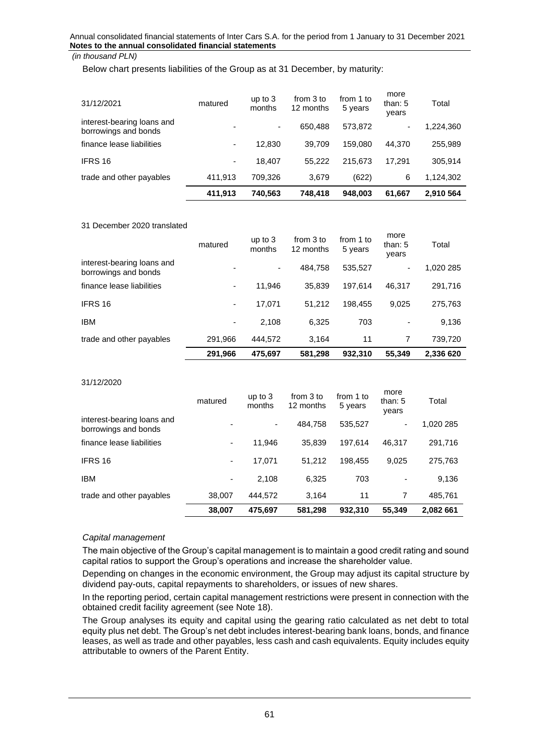Below chart presents liabilities of the Group as at 31 December, by maturity:

| 31/12/2021                                         | matured | up to $3$<br>months | from 3 to<br>12 months | from 1 to<br>5 years | more<br>than: 5<br>vears | Total     |
|----------------------------------------------------|---------|---------------------|------------------------|----------------------|--------------------------|-----------|
| interest-bearing loans and<br>borrowings and bonds |         | ۰                   | 650.488                | 573,872              | ۰                        | 1,224,360 |
| finance lease liabilities                          | ۰       | 12,830              | 39.709                 | 159.080              | 44.370                   | 255,989   |
| IFRS 16                                            | ۰       | 18.407              | 55.222                 | 215.673              | 17.291                   | 305,914   |
| trade and other payables                           | 411,913 | 709,326             | 3.679                  | (622)                | 6                        | 1,124,302 |
|                                                    | 411,913 | 740,563             | 748,418                | 948,003              | 61,667                   | 2,910 564 |

#### 31 December 2020 translated

|                                                    | 291,966 | 475,697             | 581,298                | 932.310              | 55,349                     | 2,336 620 |
|----------------------------------------------------|---------|---------------------|------------------------|----------------------|----------------------------|-----------|
| trade and other payables                           | 291,966 | 444.572             | 3.164                  | 11                   | 7                          | 739,720   |
| <b>IBM</b>                                         | ۰       | 2.108               | 6,325                  | 703                  |                            | 9,136     |
| IFRS 16                                            | ۰       | 17,071              | 51.212                 | 198.455              | 9.025                      | 275,763   |
| finance lease liabilities                          | ۰       | 11,946              | 35.839                 | 197.614              | 46.317                     | 291,716   |
| interest-bearing loans and<br>borrowings and bonds |         | ۰                   | 484.758                | 535,527              | ۰.                         | 1,020 285 |
|                                                    | matured | up to $3$<br>months | from 3 to<br>12 months | from 1 to<br>5 years | more<br>than: $5$<br>vears | Total     |

#### 31/12/2020

|                                                    | 38,007                   | 475.697             | 581,298                | 932.310              | 55,349                     | 2.082 661 |
|----------------------------------------------------|--------------------------|---------------------|------------------------|----------------------|----------------------------|-----------|
| trade and other payables                           | 38,007                   | 444.572             | 3,164                  | 11                   |                            | 485,761   |
| <b>IBM</b>                                         | $\overline{\phantom{a}}$ | 2,108               | 6,325                  | 703                  |                            | 9,136     |
| IFRS 16                                            | ۰                        | 17.071              | 51.212                 | 198.455              | 9.025                      | 275,763   |
| finance lease liabilities                          | ۰                        | 11,946              | 35.839                 | 197.614              | 46.317                     | 291,716   |
| interest-bearing loans and<br>borrowings and bonds | $\overline{\phantom{0}}$ |                     | 484.758                | 535,527              | -                          | 1,020 285 |
|                                                    | matured                  | up to $3$<br>months | from 3 to<br>12 months | from 1 to<br>5 years | more<br>than: $5$<br>vears | Total     |

#### *Capital management*

The main objective of the Group's capital management is to maintain a good credit rating and sound capital ratios to support the Group's operations and increase the shareholder value.

Depending on changes in the economic environment, the Group may adjust its capital structure by dividend pay-outs, capital repayments to shareholders, or issues of new shares.

In the reporting period, certain capital management restrictions were present in connection with the obtained credit facility agreement (see Note 18).

The Group analyses its equity and capital using the gearing ratio calculated as net debt to total equity plus net debt. The Group's net debt includes interest-bearing bank loans, bonds, and finance leases, as well as trade and other payables, less cash and cash equivalents. Equity includes equity attributable to owners of the Parent Entity.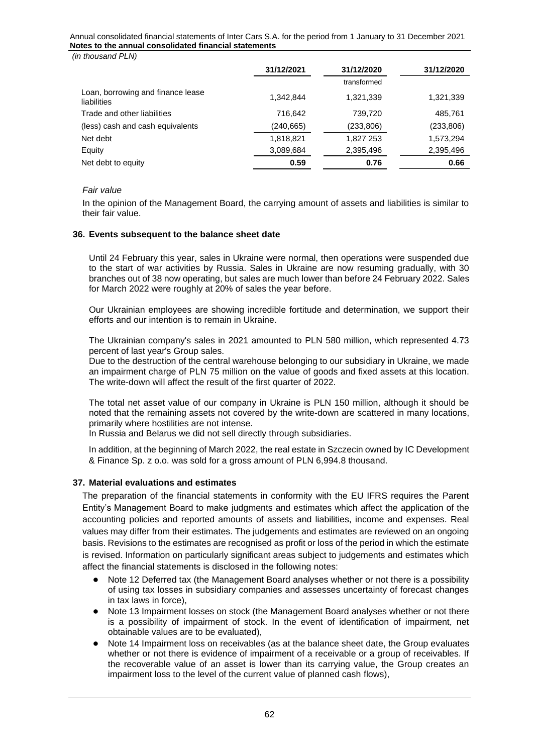*(in thousand PLN)*

|                                                  | 31/12/2021 | 31/12/2020  | 31/12/2020 |
|--------------------------------------------------|------------|-------------|------------|
|                                                  |            | transformed |            |
| Loan, borrowing and finance lease<br>liabilities | 1.342.844  | 1,321,339   | 1,321,339  |
| Trade and other liabilities                      | 716,642    | 739,720     | 485,761    |
| (less) cash and cash equivalents                 | (240,665)  | (233, 806)  | (233,806)  |
| Net debt                                         | 1,818,821  | 1,827 253   | 1,573,294  |
| Equity                                           | 3,089,684  | 2,395,496   | 2,395,496  |
| Net debt to equity                               | 0.59       | 0.76        | 0.66       |

#### *Fair value*

In the opinion of the Management Board, the carrying amount of assets and liabilities is similar to their fair value.

#### <span id="page-61-0"></span>**36. Events subsequent to the balance sheet date**

Until 24 February this year, sales in Ukraine were normal, then operations were suspended due to the start of war activities by Russia. Sales in Ukraine are now resuming gradually, with 30 branches out of 38 now operating, but sales are much lower than before 24 February 2022. Sales for March 2022 were roughly at 20% of sales the year before.

Our Ukrainian employees are showing incredible fortitude and determination, we support their efforts and our intention is to remain in Ukraine.

The Ukrainian company's sales in 2021 amounted to PLN 580 million, which represented 4.73 percent of last year's Group sales.

Due to the destruction of the central warehouse belonging to our subsidiary in Ukraine, we made an impairment charge of PLN 75 million on the value of goods and fixed assets at this location. The write-down will affect the result of the first quarter of 2022.

The total net asset value of our company in Ukraine is PLN 150 million, although it should be noted that the remaining assets not covered by the write-down are scattered in many locations, primarily where hostilities are not intense.

In Russia and Belarus we did not sell directly through subsidiaries.

In addition, at the beginning of March 2022, the real estate in Szczecin owned by IC Development & Finance Sp. z o.o. was sold for a gross amount of PLN 6,994.8 thousand.

#### <span id="page-61-1"></span>**37. Material evaluations and estimates**

The preparation of the financial statements in conformity with the EU IFRS requires the Parent Entity's Management Board to make judgments and estimates which affect the application of the accounting policies and reported amounts of assets and liabilities, income and expenses. Real values may differ from their estimates. The judgements and estimates are reviewed on an ongoing basis. Revisions to the estimates are recognised as profit or loss of the period in which the estimate is revised. Information on particularly significant areas subject to judgements and estimates which affect the financial statements is disclosed in the following notes:

- Note 12 Deferred tax (the Management Board analyses whether or not there is a possibility of using tax losses in subsidiary companies and assesses uncertainty of forecast changes in tax laws in force),
- Note 13 Impairment losses on stock (the Management Board analyses whether or not there is a possibility of impairment of stock. In the event of identification of impairment, net obtainable values are to be evaluated),
- Note 14 Impairment loss on receivables (as at the balance sheet date, the Group evaluates whether or not there is evidence of impairment of a receivable or a group of receivables. If the recoverable value of an asset is lower than its carrying value, the Group creates an impairment loss to the level of the current value of planned cash flows),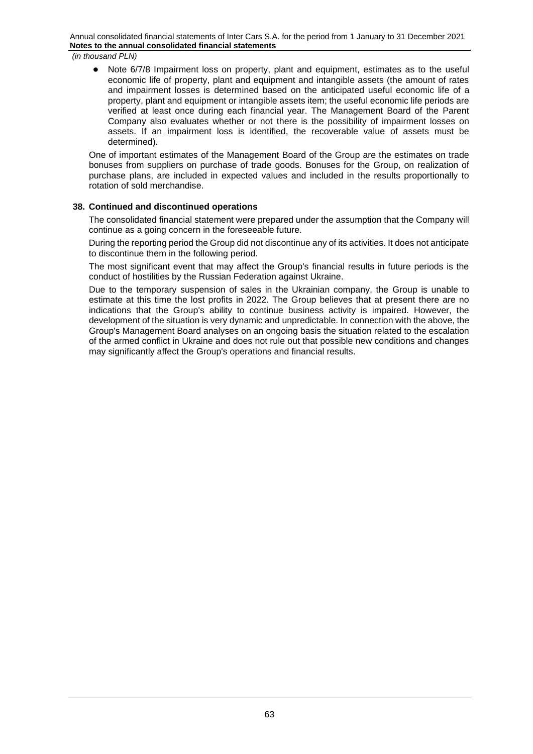*(in thousand PLN)*

Note 6/7/8 Impairment loss on property, plant and equipment, estimates as to the useful economic life of property, plant and equipment and intangible assets (the amount of rates and impairment losses is determined based on the anticipated useful economic life of a property, plant and equipment or intangible assets item; the useful economic life periods are verified at least once during each financial year. The Management Board of the Parent Company also evaluates whether or not there is the possibility of impairment losses on assets. If an impairment loss is identified, the recoverable value of assets must be determined).

One of important estimates of the Management Board of the Group are the estimates on trade bonuses from suppliers on purchase of trade goods. Bonuses for the Group, on realization of purchase plans, are included in expected values and included in the results proportionally to rotation of sold merchandise.

# <span id="page-62-0"></span>**38. Continued and discontinued operations**

The consolidated financial statement were prepared under the assumption that the Company will continue as a going concern in the foreseeable future.

During the reporting period the Group did not discontinue any of its activities. It does not anticipate to discontinue them in the following period.

The most significant event that may affect the Group's financial results in future periods is the conduct of hostilities by the Russian Federation against Ukraine.

Due to the temporary suspension of sales in the Ukrainian company, the Group is unable to estimate at this time the lost profits in 2022. The Group believes that at present there are no indications that the Group's ability to continue business activity is impaired. However, the development of the situation is very dynamic and unpredictable. In connection with the above, the Group's Management Board analyses on an ongoing basis the situation related to the escalation of the armed conflict in Ukraine and does not rule out that possible new conditions and changes may significantly affect the Group's operations and financial results.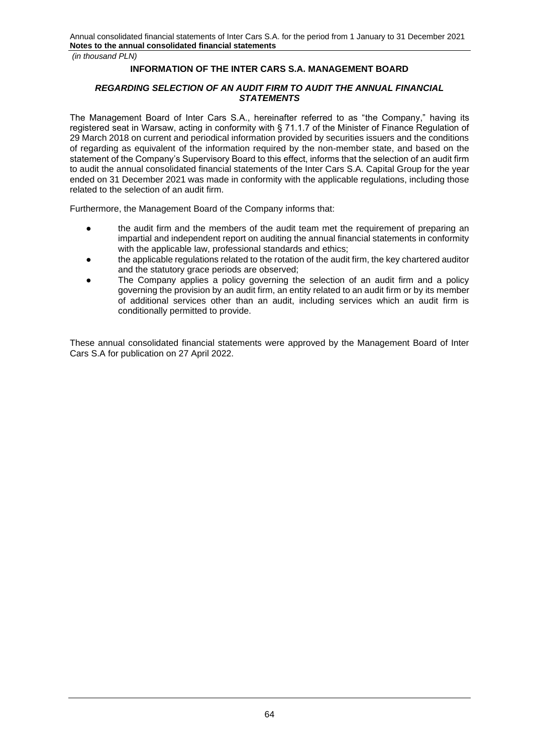# **INFORMATION OF THE INTER CARS S.A. MANAGEMENT BOARD**

# *REGARDING SELECTION OF AN AUDIT FIRM TO AUDIT THE ANNUAL FINANCIAL STATEMENTS*

The Management Board of Inter Cars S.A., hereinafter referred to as "the Company," having its registered seat in Warsaw, acting in conformity with § 71.1.7 of the Minister of Finance Regulation of 29 March 2018 on current and periodical information provided by securities issuers and the conditions of regarding as equivalent of the information required by the non-member state, and based on the statement of the Company's Supervisory Board to this effect, informs that the selection of an audit firm to audit the annual consolidated financial statements of the Inter Cars S.A. Capital Group for the year ended on 31 December 2021 was made in conformity with the applicable regulations, including those related to the selection of an audit firm.

Furthermore, the Management Board of the Company informs that:

- the audit firm and the members of the audit team met the requirement of preparing an impartial and independent report on auditing the annual financial statements in conformity with the applicable law, professional standards and ethics:
- the applicable regulations related to the rotation of the audit firm, the key chartered auditor and the statutory grace periods are observed;
- The Company applies a policy governing the selection of an audit firm and a policy governing the provision by an audit firm, an entity related to an audit firm or by its member of additional services other than an audit, including services which an audit firm is conditionally permitted to provide.

These annual consolidated financial statements were approved by the Management Board of Inter Cars S.A for publication on 27 April 2022.